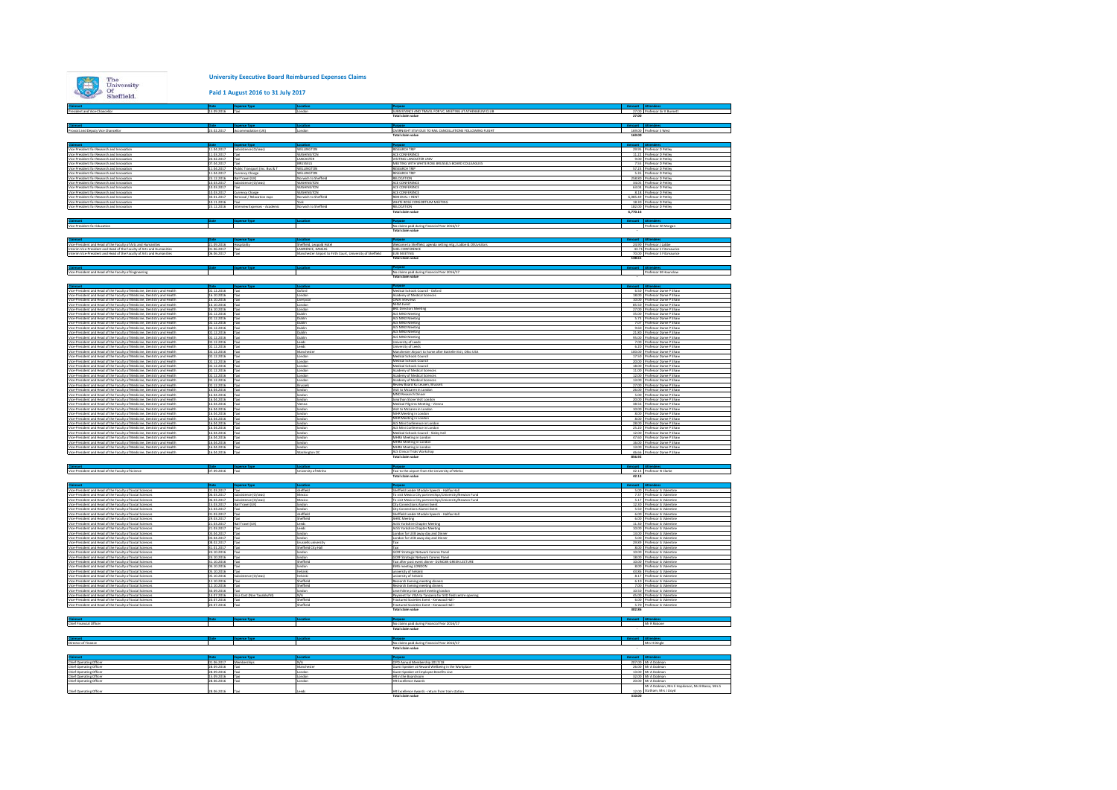**Paid 1 August 2016 to 31 July 2017**

|                                                                                                                                                                                               | 13.09.2016 Taxi               |                                                      |                                                                                | SUBSISTANCE AND TRAVEL FOR VC. MEETING AT ATHENAEUM CLUB                                                             |                                                                                      |
|-----------------------------------------------------------------------------------------------------------------------------------------------------------------------------------------------|-------------------------------|------------------------------------------------------|--------------------------------------------------------------------------------|----------------------------------------------------------------------------------------------------------------------|--------------------------------------------------------------------------------------|
| President and Vice-Chancellor                                                                                                                                                                 |                               |                                                      | London                                                                         |                                                                                                                      | 27.00 Professor Sir K Burnett                                                        |
|                                                                                                                                                                                               |                               |                                                      |                                                                                |                                                                                                                      |                                                                                      |
| Provost and Deputy Vice Chancellor                                                                                                                                                            |                               | 23.02.2017 Accommodation (UK)                        | London                                                                         | OVERNIGHT STAY DUE TO RAIL CANCELLATIONS FOLLOWING FLIGHT                                                            | 169.00 Professor S West                                                              |
|                                                                                                                                                                                               |                               |                                                      |                                                                                | Total claim value                                                                                                    | 169.00                                                                               |
|                                                                                                                                                                                               |                               |                                                      |                                                                                |                                                                                                                      |                                                                                      |
| Vice President for Research and Innovation                                                                                                                                                    |                               | Date Expense Type<br>11.04.2017 Subsistence (O/seas) | WELLINGTON                                                                     | <b>RESEARCH TRIP</b>                                                                                                 | 29.95 Professor D Petley                                                             |
| Vice President for Research and Innovation                                                                                                                                                    | 11.03.2017                    | Taxi                                                 | WASHINGTON                                                                     | ACE CONFERENCE                                                                                                       | 11.22<br>Professor D Petley                                                          |
| Vice President for Research and Innovation<br>Vice President for Research and Innovation                                                                                                      | 20.02.2017<br>07.04.2017      | Taxi<br>Tayl                                         | LANCASTER<br>BRUSSELS                                                          | VISITING LANCASTER UNIV<br>MEETING WITH WHITE ROSE BRUSSELS BOARD COLLEAGUES                                         | 9.00 Professor D Petlev<br>7.55<br>rofessor D Petier                                 |
| Vice President for Research and Innovation                                                                                                                                                    | 104.2017                      | Public Transport (inc. Bus &                         | <b>WELLINGTON</b>                                                              | <b>RESEARCH TRIP</b>                                                                                                 | 57.23<br>Professor D Petley                                                          |
| Vice President for Research and Innovation<br>Vice President for Research and Innovation                                                                                                      | 11.04.2017<br>23.12.2016      | Currency Charge<br>Rail Travel (UK)                  | WELLINGTON<br>Norwich to Sheffiels                                             | <b>RESEARCH TRIP</b><br>RELOCATION                                                                                   | 5.35<br>Professor D Petley<br>258.80<br>rofessor D Petley                            |
| Vice President for Research and Innovation                                                                                                                                                    | 10.03.2017                    | Subsistence (O/sea                                   | WASHINGTON                                                                     | ACE CONFERENCE                                                                                                       | 34.05 Professor D Petlev                                                             |
| Vice President for Research and Innovation<br>Vice President for Research and Innovation                                                                                                      | 10.03.2017<br>10.03.2017      | Tayl<br>Currency Charge                              | <b>WASHINGTON</b><br>WASHINGTON                                                | ACE CONFERENCE<br>ACE CONFERENCE                                                                                     | 63.04 Professor D Petley<br>8.18 Professor D Petley                                  |
| Vice President for Research and Innovation                                                                                                                                                    |                               | 30.01.2017 Removal / Relocation exps                 | Norwich to Sheffield                                                           | REMOVAL + RENT                                                                                                       | 6,085.49 Professor D Petley                                                          |
| Vice President for Research and Innovation<br>Vice President for Research and Innovation                                                                                                      | 10.11.2016                    | 23.12.2016 Interview Expenses - Academi              | Norwich to Sheffield                                                           | WHITE ROSE CONSORTIUM MEETING<br>RELOCATION                                                                          | 18.30<br>ofessor D Petley<br>182.00 Professor D Petlev                               |
|                                                                                                                                                                                               |                               |                                                      |                                                                                | <b>Total claim value</b>                                                                                             | 6.770.16                                                                             |
|                                                                                                                                                                                               |                               |                                                      |                                                                                |                                                                                                                      |                                                                                      |
| Claimant<br>Vice President for Education                                                                                                                                                      |                               | nse Type                                             |                                                                                | No claims paid during Financial Year 2016/17<br>Total claim value                                                    | Professor W Morgan                                                                   |
|                                                                                                                                                                                               |                               |                                                      |                                                                                |                                                                                                                      |                                                                                      |
|                                                                                                                                                                                               |                               |                                                      |                                                                                |                                                                                                                      |                                                                                      |
| Vice-President and Head of the Faculty of Arts and Humanities                                                                                                                                 | 21.09.2016                    | Hospitality                                          | Sheffield, Leopold Hotel                                                       | Welcome to Sheffield, agenda setting mtg, I Labbe & OSUvisito                                                        | 24.90 Professor J Labbe                                                              |
| Interim Vice-President and Head of the Faculty of Arts and Humanities<br>Interim Vice-President and Head of the Faculty of Arts and Humanities                                                | 01.06.2017                    | Taxi                                                 | LAWRENCE, KANSAS<br>Manchester Airport to Firth Court, University of Sheffield | SHEL CONFERENCE<br>EUB MEETING                                                                                       | $\frac{43.71}{70.00}$<br>138.61<br>Professor S Fitzmaurice<br>Professor S Fitzmaurio |
|                                                                                                                                                                                               |                               |                                                      |                                                                                | <b>Total claim value</b>                                                                                             |                                                                                      |
|                                                                                                                                                                                               |                               |                                                      |                                                                                |                                                                                                                      |                                                                                      |
| Vice-President and Head of the Faculty of Engineering                                                                                                                                         |                               |                                                      |                                                                                | No claims paid during Financial Year 2016/17                                                                         | Professor M Hounslow                                                                 |
|                                                                                                                                                                                               |                               |                                                      |                                                                                | <b>Total claim value</b>                                                                                             |                                                                                      |
|                                                                                                                                                                                               |                               |                                                      |                                                                                |                                                                                                                      |                                                                                      |
| Vice-President and Head of the Faculty of Medicine, Dentistry and Health<br>Vice-President and Head of the Faculty of Medicine, Dentistry and Healt                                           | 02.12.2016<br>6.10.2016       | Tax                                                  | Oxford<br>Londor                                                               | Medical Schools Council - Oxford<br>Academy of Medical Sciences                                                      | 6.50 Professor Dame P Shaw<br>18.00 Professor Dame P Shaw                            |
| Vice-President and Head of the Faculty of Medicine, Dentistry and Health                                                                                                                      | 16.10.2016                    |                                                      | Liverpoo                                                                       | CIMA Inteviews                                                                                                       | 10.00<br>Professor Dame P Shaw                                                       |
| Vice-President and Head of the Faculty of Medicine, Dentistry and Health<br>Vice-President and Head of the Faculty of Medicine, Dentistry and Health                                          | 16.10.2016<br>16.10.2016      |                                                      | Londo<br>London                                                                | <b>NHSA Event</b><br>BRC Directors Meet<br>ALS MND Meeting                                                           | 85.50<br>27.00<br>Professor Dame P Shaw<br>Professor Dame P Shaw                     |
| Vice-President and Head of the Faculty of Medicine, Dentistry and Health                                                                                                                      | 02.12.2016                    | Taxi                                                 | Dublin                                                                         |                                                                                                                      | 35.00<br>Professor Dame P Shaw                                                       |
| Vice-President and Head of the Faculty of Medicine, Dentistry and Health<br>Vice-President and Head of the Faculty of Medicine, Dentistry and Health                                          | 02.12.2016<br>02.12.2016      | Taxi                                                 | Dublin<br>Dublin                                                               | ALS MND Meeting<br>ALS MND Meeting                                                                                   | 5.73 Professor Dame P Shaw<br>7.07 Professor Dame P Shaw                             |
| Vice-President and Head of the Faculty of Medicine, Dentistry and Health                                                                                                                      | 02.12.2016                    |                                                      | Dublin                                                                         | ALS MND Meeting                                                                                                      | 9.60 Professor Dame P Shaw                                                           |
| Vice-President and Head of the Faculty of Medicine, Dentistry and Health<br>Vice-President and Head of the Faculty of Medicine, Dentistry and Health                                          | 02.12.2016<br>2.12.2016       | Tayl<br>Taxi                                         | Dublin<br>Dublin                                                               | ALS MND Meeting<br>ALS MND Meeting                                                                                   | 21.80<br>Professor Dame P Shaw<br>95.00 Professor Dame P Shaw                        |
| Vice-President and Head of the Faculty of Medicine, Dentistry and Health<br>Vice-President and Head of the Faculty of Medicine, Dentistry and Health                                          | 02.12.2016                    | Taxi                                                 | Leeds                                                                          | University of Leeds                                                                                                  | 7.00<br>Professor Dame P Shaw                                                        |
| Vice-President and Head of the Faculty of Medicine, Dentistry and Health                                                                                                                      | 02.12.2016                    | Taxi                                                 | Mancheste                                                                      | niversity of Leeds<br>Manchester Airport to home after Battelle Visit, Ohio USA                                      | 6.20<br>rofessor Dame P Shay<br>100.00<br>rofessor Dame P Shaw                       |
|                                                                                                                                                                                               | 02.12.2016                    |                                                      | London                                                                         | Medical Schools Council                                                                                              | 17.50<br>ofessor Dame P Shaw                                                         |
| Vice-President and Head of the Faculty of Medicine. Dentistry and Health<br>Vice-President and Head of the Faculty of Medicine, Dentistry and Health                                          | 02.12.2016<br>02.12.2016      | Taxi<br>Taxi                                         | London<br>London                                                               | Medical Schools Council<br>Medical Schools Council                                                                   | 20.00 Professor Dame P Shaw<br>18.00<br>Professor Dame P Shaw                        |
| Vice-President and Head of the Faculty of Medicine, Dentistry and Health<br>Vice-President and Head of the Faculty of Medicine, Dentistry and Health                                          |                               |                                                      |                                                                                | Academy of Medical Scien                                                                                             | 11.00                                                                                |
| Vice-President and Head of the Faculty of Medicine, Dentistry and Health                                                                                                                      | 02.12.2016                    | Taxi                                                 | London                                                                         | Academy of Medical Sciences<br><b>Academy of Medical Sciences</b>                                                    | 12.00<br>rofessor Dame P Shaw                                                        |
| Vice-President and Head of the Faculty of Medicine, Dentistry and Health<br>Vice-President and Head of the Faculty of Medicine, Dentistry and Health                                          | 02.12.2016<br>02.12.2016      | Taxi                                                 | London<br>Brussels                                                             | Review Board Ku Leuven, Brussel                                                                                      | 13.00<br>ofessor Dame P Shaw<br>27.00 Professor Dame P Shaw                          |
| Vice-President and Head of the Faculty of Medicine, Dentistry and Health<br>Vice-President and Head of the Faculty of Medicine, Dentistry and Health                                          | 16.04.2016                    | Taxi                                                 | london                                                                         | Visit to McLaren in London                                                                                           | 26.00<br>Professor Dame P Shaw                                                       |
| Vice-President and Head of the Faculty of Medicine, Dentistry and Health                                                                                                                      | 6.04.2016<br>16.04.2016       |                                                      | london<br>london                                                               | Jonathon Stone Visit London                                                                                          | fessor Dame P Shaw<br>5.00<br>20.00<br>rofessor Dame P Shaw                          |
| Vice-President and Head of the Faculty of Medicine: Dentistry and Health<br>Vice-President and Head of the Faculty of Medicine, Dentistry and Health                                          | 16.04.2016                    |                                                      | Vienna                                                                         | Medical Pilerims Meeting - Vienny                                                                                    | 38.56<br>ofessor Dame P Shaw                                                         |
|                                                                                                                                                                                               | 16.04.2016<br>16.04.2016      | Taxi                                                 | london<br>Inndon                                                               | Visit to McLaren in London                                                                                           | 10.00 Professor Dame P Shaw<br>800                                                   |
| Vice-President and Head of the Faculty of Medicine, Dentistry and Health<br>Vice-President and Head of the Faculty of Medicine, Dentistry and Health                                          | 6.04.2016                     |                                                      | london                                                                         | NIHR Meeting in London<br>NIHR Meeting in London                                                                     | Professor Dame P Shaw<br>Professor Dame P Shaw<br>8.00                               |
| Vice-President and Head of the Faculty of Medicine, Dentistry and Health                                                                                                                      | 16.04.2016<br>16.04.2016      |                                                      | london<br>londor                                                               | ALS Mini Conference in Londor<br>ALS Mini Conference in Londor                                                       | 28.00<br>ofessor Dame P Shaw<br>ofessor Dame P Shav                                  |
| Vice-President and Head of the Faculty of Medicine, Dentistry and Health<br>Vice-President and Head of the Faculty of Medicine, Dentistry and Health                                          | 16.04.2016                    | Taxi                                                 | london                                                                         | Medical Schools Council - Slaley Ha                                                                                  | 25.20<br>12.00 Professor Dame P Shaw                                                 |
| Vice-President and Head of the Faculty of Medicine, Dentistry and Health                                                                                                                      | 16.04.2016                    |                                                      | london                                                                         | MHRA Meeting in London                                                                                               | 47.60<br>ofessor Dame P Shaw                                                         |
| Vice-President and Head of the Faculty of Medicine. Dentistry and Health<br>Vice-President and Head of the Faculty of Medicine, Dentistry and Health                                          | 16.04.2016<br>16.04.2016      | Taxi<br>Taxi                                         | london<br>london                                                               | RA Meeting in Londor<br>MHRA Meeting in London                                                                       | 16.00 Professor Dame P Shaw<br>13.00<br>Professor Dame P Shaw                        |
| Vice-President and Head of the Faculty of Medicine, Dentistry and Health                                                                                                                      | 16.04.2016                    |                                                      | Washington DO                                                                  | ALS Clinical Trials Worksho                                                                                          | 46.66 Professor Dame P Shaw                                                          |
|                                                                                                                                                                                               |                               |                                                      |                                                                                | <b>Total claim value</b>                                                                                             | 856.92                                                                               |
| Claimant<br>Vice-President and Head of the Faculty of Science                                                                                                                                 | Date                          |                                                      | Locatio                                                                        |                                                                                                                      | nount Attendees<br>42.13 Professor N Clarke                                          |
|                                                                                                                                                                                               | 07.09.2016 Taxi               |                                                      | University of Minho                                                            | Taxi to the airport from the University of Minho<br><b>Total claim value</b>                                         | 42.13                                                                                |
|                                                                                                                                                                                               |                               |                                                      |                                                                                |                                                                                                                      |                                                                                      |
|                                                                                                                                                                                               | 01.03.2017                    | Taxi                                                 | sheffield                                                                      | Sheffield Leader Module Speech - Halifax Hall                                                                        | 5.00 Professor G Valentine                                                           |
| Claimant<br>Vice-President and Head of the Faculty of Social Sciences<br>Vice-President and Head of the Faculty of Social Sciences<br>Vice-President and Head of the Faculty of Cacial Crimes | 06.03.2017                    | Subsistence (O/seas)                                 | Mexico                                                                         | To visit Mexico City partnerships/University/Newton Fund<br>To visit Mexico City partnerships/University/Newton Fund | 7.37<br>Professor G Valentine                                                        |
| Vice-President and Head of the Faculty of Social Sciences<br>Vice-President and Head of the Faculty of Social Sciences                                                                        | 06.03.2017<br>15.03.2017      | Subsistence (0/seas)<br>Rail Travel (UK)             | Mexico<br>london                                                               | City Connections Alumni Event                                                                                        | 5.17<br>Professor G Valentine<br>12.30<br>vofessor G Valentine                       |
| Vice-President and Head of the Faculty of Social Sciences                                                                                                                                     | 5.03.2017                     | Tayi                                                 | london                                                                         | City Connections Alumni Event                                                                                        | 5.50<br>ofessor G Valentine                                                          |
| Vice-President and Head of the Faculty of Social Sciences                                                                                                                                     | 01.03.2017<br>29.03.2017 Taxi | Taxi                                                 | sheffield<br>Sheffield                                                         | Sheffield Leader Module Speech - Halifax Hall                                                                        | 6.00 Professor G Valentine                                                           |
| Vice-President and Head of the Faculty of Social Sciences<br>Vice-President and Head of the Faculty of Social Sciences                                                                        | 21.03.2017 Rail Travel (UK)   |                                                      | Leeds                                                                          | <b>AHRC Meeting</b><br>ACSS Yorkshire Chapter Meeting                                                                | 6.00 Professor G Valentine<br>11.30 Professor G Valentine                            |
| Vice-President and Head of the Faculty of Social Sciences                                                                                                                                     | 21.03.2017                    | Taxi<br>Taxi                                         | Leeds                                                                          | AcSS Yorkshire Chapter Meeting                                                                                       | 10.00 \$<br>vofessor G Valentine                                                     |
| Vice-President and Head of the Faculty of Social Sciences<br>Vice-President and Head of the Faculty of Social Sciences                                                                        | 03.04.2017<br>03.04.2017      | Taxi                                                 | london<br>london                                                               | andon for UEB away day and Din<br>London for UEB away day and Dinner                                                 | 13.00<br>ofessor G Valer<br>5.00 Professor G Valentine                               |
| Vice-President and Head of the Faculty of Social Sciences                                                                                                                                     | 08.02.2017                    | Taxi                                                 | brussells university                                                           |                                                                                                                      | 29.89<br>rofessor G Valentine                                                        |
| Vice-President and Head of the Faculty of Social Sciences<br>Vice-President and Head of the Faculty of Social Sciences                                                                        | 31.01.2017<br>24.10.2016      | Taxi<br>Taxi                                         | Sheffield City Hall<br>london                                                  | Taxi<br><b>GCRF Strategic Network Comms Panel</b>                                                                    | 8.00 Professor G Valentine<br>10.00<br>Professor G Valentine                         |
| Vice-President and Head of the Faculty of Social Sciences                                                                                                                                     | 24.10.2016                    | Taxi                                                 | london                                                                         | GCRF Strategic Network Comms Panel                                                                                   | 18.00<br>Professor G Valentin                                                        |
| Vice-President and Head of the Faculty of Social Sciences<br>Vice-President and Head of the Faculty of Social Sciences                                                                        | 31.10.2016<br>04.10.2016      | Taxi<br>Taxi                                         | Sheffield<br>london                                                            | Taxi after post event dinner- DUNCAN GREEN LECTURE<br><b>EMG</b> meeting LONDON                                      | 10.00<br>Professor G Valentine<br>8.00<br>Professor G Valentine                      |
| Vice-President and Head of the Faculty of Social Sciences                                                                                                                                     | 05.10.2016                    | Taxi                                                 | helsinki                                                                       | university of helsinki                                                                                               | 43.86 Professor G Valentine                                                          |
| Vice-President and Head of the Faculty of Social Sciences<br>Vice-President and Head of the Faculty of Social Sciences                                                                        | 05.10.2016<br>2.10.2016       | Subsistence (O/seas)                                 | helsinki<br>Sheffield                                                          | university of helsinki<br>lesearch Evening meeting dinner                                                            | 8.17 Professor G Valentine<br>6.10<br>ofessor G Valenti                              |
| Vice-President and Head of the Faculty of Social Sciences                                                                                                                                     | 12.10.2016                    | Tayl                                                 | Sheffield                                                                      | Research Evening meeting dinners                                                                                     | 7.00<br>Professor G Valentine                                                        |
| Vice-President and Head of the Faculty of Social Sciences                                                                                                                                     | 30.09.2016<br>14.07.2016      | Visa Cost (Non Taxable/NI                            | ondon<br>N/A                                                                   | everhilme prize panel meeting londor<br>Payment for VISA to Tanzania for SIID field centre opening                   | 10.50<br>rofessor G Valentin<br>45.00 Professor G Valentine                          |
| Vice-President and Head of the Faculty of Social Sciences<br>Vice-President and Head of the Faculty of Social Sciences                                                                        | 20.07.2016                    | Taxi                                                 | Sheffield                                                                      | Fractured Societies Event - Kenwood Hall                                                                             | 6.00<br>rofessor G Valent                                                            |
| Vice-Pres<br>and Head of the Faculty of Sc                                                                                                                                                    |                               |                                                      |                                                                                | ractured Societies Event<br>Total claim value                                                                        | 5.70P<br>302.86                                                                      |
|                                                                                                                                                                                               |                               |                                                      |                                                                                |                                                                                                                      |                                                                                      |
| Claimant<br>Chief Financial Officer                                                                                                                                                           |                               |                                                      |                                                                                | <b>Purpose</b>                                                                                                       |                                                                                      |
|                                                                                                                                                                                               |                               |                                                      |                                                                                | No claims paid during Financial Year 2016/17<br>Total claim value                                                    | Mr R Rabone                                                                          |
|                                                                                                                                                                                               |                               |                                                      |                                                                                |                                                                                                                      |                                                                                      |
| Director of Finance                                                                                                                                                                           |                               |                                                      |                                                                                | No claims paid during Financial Year 2016/17                                                                         | Mrs H Dingle                                                                         |
|                                                                                                                                                                                               |                               |                                                      |                                                                                | Total claim value                                                                                                    |                                                                                      |
|                                                                                                                                                                                               |                               |                                                      |                                                                                |                                                                                                                      |                                                                                      |
| <b>Claimant</b><br>Chief Operating Officer                                                                                                                                                    | 01.06.2017                    | Memberships                                          |                                                                                | 1PD Annual Membership 2017/18                                                                                        | 207.00<br>Mr A Dodman                                                                |
| Chief Operating Officer                                                                                                                                                                       | 28.09.2016<br>28.09.2016      | Taxi                                                 | Manchester                                                                     | Guest Speaker at Reward Wellbeing in the Workplace<br>uest Speaker at Employee Benefits Live                         | 26.00 Mr A Dodman                                                                    |
| <b>Chief Operating Officer</b><br>Chief Operating Officer                                                                                                                                     | 15.09.2016                    | Taxi                                                 | London                                                                         | K in the Boardroom                                                                                                   | 13.00<br>fr A Dodma<br>32.00 Mr A Dodman                                             |
| Chief Operating Officer                                                                                                                                                                       | 28.06.2016                    |                                                      | ondor                                                                          | <b>HR Excellence Awards</b>                                                                                          | 20.00<br>Mr A Dodman<br>A Dodman, Mrs E Hopkinson, Ms B Bassa, Mrs S                 |
| Chief Operating Officer                                                                                                                                                                       | 8.06.2016                     |                                                      |                                                                                | HR Excellence Awards - return from train static                                                                      | 12.00 Statham, Mrs J Lloyd                                                           |
|                                                                                                                                                                                               |                               |                                                      |                                                                                | Total claim value                                                                                                    | 310.00                                                                               |

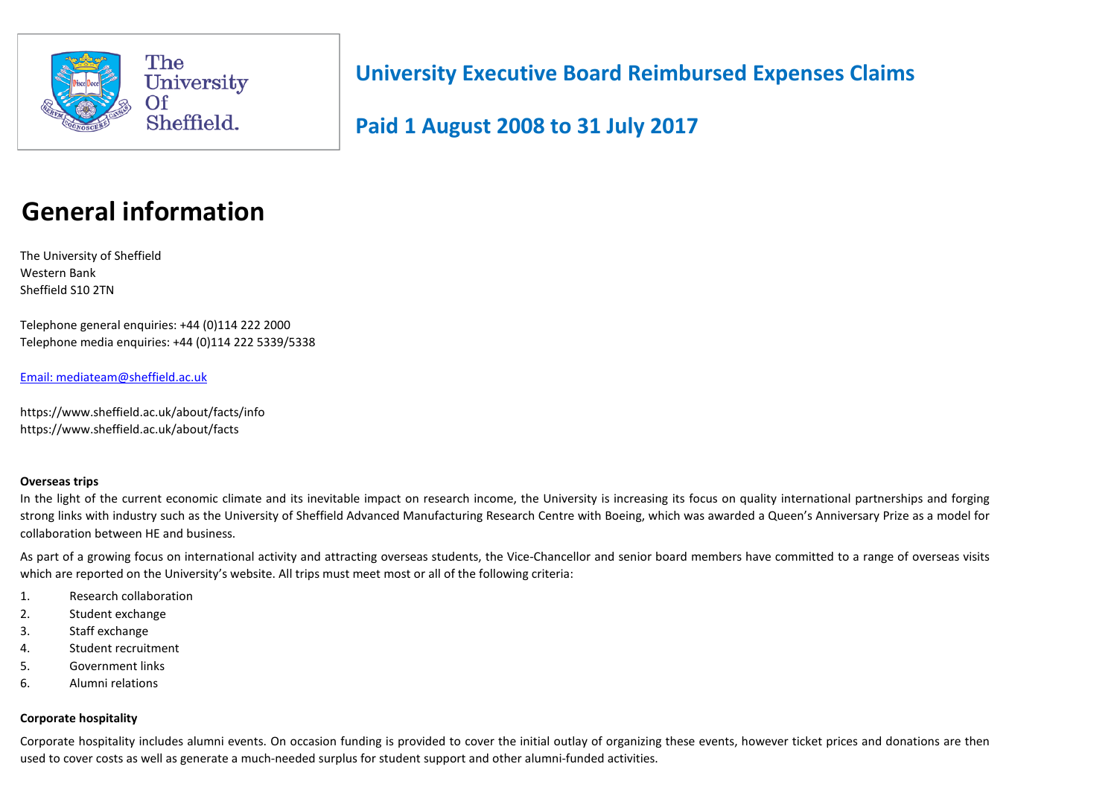

**Paid 1 August 2008 to 31 July 2017**

# **General information**

The University of Sheffield Western Bank Sheffield S10 2TN

Telephone general enquiries: +44 (0)114 222 2000 Telephone media enquiries: +44 (0)114 222 5339/5338

Email: [mediateam@sheffield.ac.uk](mailto:Mediateam@sheffield.ac.uk)

https://www.sheffield.ac.uk/about/facts/info https://www.sheffield.ac.uk/about/facts

# **Overseas trips**

In the light of the current economic climate and its inevitable impact on research income, the University is increasing its focus on quality international partnerships and forging strong links with industry such as the University of Sheffield Advanced Manufacturing Research Centre with Boeing, which was awarded a Queen's Anniversary Prize as a model for collaboration between HE and business.

As part of a growing focus on international activity and attracting overseas students, the Vice-Chancellor and senior board members have committed to a range of overseas visits which are reported on the University's website. All trips must meet most or all of the following criteria:

- 1. Research collaboration
- 2. Student exchange
- 3. Staff exchange
- 4. Student recruitment
- 5. Government links
- 6. Alumni relations

# **Corporate hospitality**

Corporate hospitality includes alumni events. On occasion funding is provided to cover the initial outlay of organizing these events, however ticket prices and donations are then used to cover costs as well as generate a much-needed surplus for student support and other alumni-funded activities.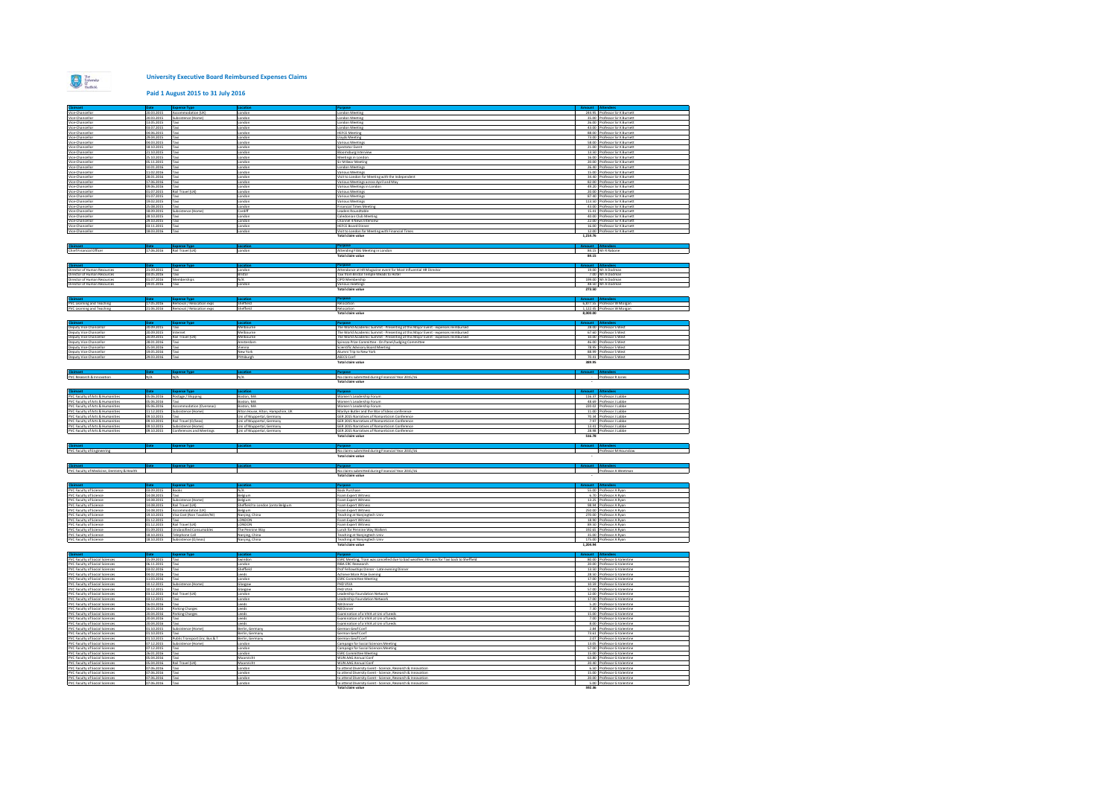

#### **Paid 1 August 2015 to 31 July 2016**

| <b>Claimant</b><br>Vice-Chancellor                                   | 20.03.2015                  | Accommodation (UK)                                   | London                                                               | London Meeting                                                                                                                                      |          | 244.95 Professor Sir K Burnett                                  |
|----------------------------------------------------------------------|-----------------------------|------------------------------------------------------|----------------------------------------------------------------------|-----------------------------------------------------------------------------------------------------------------------------------------------------|----------|-----------------------------------------------------------------|
| Vice-Chancellor                                                      | 20.03.2015                  | Subsistence (Home)                                   | ondon                                                                | ondon Meeting                                                                                                                                       |          | 35.00 Professor Sir K Burnett                                   |
| Vice-Chancellor<br>Vice-Chancellor                                   | 13.05.2015<br>03.07.2015    | Taxi<br>Taxi                                         | ondon.<br>London                                                     | ondon Meeting<br>andon Meeting                                                                                                                      |          | 26.00 Professor Sir K Burnett<br>43.00 Professor Sir K Burnett  |
| Vice-Chancellor                                                      | 04.06.2015                  | Taxi                                                 | ondon.                                                               | <b>HEFCE Meeting</b>                                                                                                                                |          | 88.00 Professor Sir K Burnett                                   |
| Vice-Chancello<br>Vice-Chancellor                                    | 29.04.2015<br>04.03.2015    | Taxi                                                 | andor<br>ondon                                                       | oyds Meeting<br>arious Meetings                                                                                                                     |          | 73.00 Professor Sir K Burnett<br>58.00 Professor Sir K Burnett  |
| Vice-Chancello                                                       | 18.10.2015                  | Taxi<br>'ani                                         | andor                                                                | ectator Event                                                                                                                                       | 21.00    | Professor Sir K Burnett                                         |
| Vice-Chancellor                                                      | 21.10.2015                  | Taxi<br>Taxi                                         | London                                                               | loomsburg Intervier                                                                                                                                 |          | 13.50 Professor Sir K Burnett                                   |
| Vice-Chancellor<br>Vice-Chancellor                                   | 25.10.2015<br>05.11.2015    | Taxi                                                 | ondon<br>London                                                      | Aeetings in Londor<br>Sir M Bear Meeting                                                                                                            | 16.00    | Professor Sir K Burnett<br>20.00 Professor Sir K Burnett        |
| Vice-Chancello                                                       | 10.01.2016                  | `ani                                                 | ondor                                                                | andon Meeting                                                                                                                                       | 26.40    | Professor Sir K Burnett                                         |
| Vice-Chancellor<br>Vice-Chancellor                                   | 11.02.2016<br>28.01.2016    | Taxi<br>Taxi                                         | London<br>London                                                     | arious Meetings<br>isit to London for Meeting with the Independent                                                                                  |          | 15.00 Professor Sir K Burnett<br>34.40 Professor Sir K Burnett  |
| Vice-Chancellor                                                      | 17.06.2016                  | Taxi                                                 | London                                                               | arious Meetings across April and May                                                                                                                |          | 82.00 Professor Sir K Burnett                                   |
| Vice-Chancellor<br>Vice-Chancellor                                   | 09.06.2016<br>01.07.2015    | Taxi<br>Rail Travel (UK)                             | London<br>ondon.                                                     | arious Meetines in London<br>arious Meetings                                                                                                        |          | 49.20 Professor Sir K Burnett<br>20.00 Professor Sir K Burnett  |
| Vice-Chancello                                                       |                             |                                                      |                                                                      | lous Meetings                                                                                                                                       |          | 87.40 Professor Sir K Burnett                                   |
| Vice-Chancellor<br>Vice-Chancello                                    | 19.02.2015<br>25.08.2019    | Taxi                                                 | ondon<br>indo                                                        | <b>Jarious Meetings</b><br>ancial Times Meetin                                                                                                      |          | 113.50 Professor Sir K Burnett<br>43.00 Professor Sir K Burnett |
| Vice-Chancellor                                                      | 18.09.2015                  | Subsistence (Home)                                   | Cardiff                                                              | Leaders Roundtable                                                                                                                                  |          | 15.41 Professor Sir K Burnett                                   |
| Vice-Chancello<br>Vice-Chancellor                                    | 28.10.2015<br>29.10.2015    | Taxi                                                 | ondon<br>London                                                      | aledonian Club Meeting<br>Channel 4 News Interview                                                                                                  | 40.00    | rofessor Sir K Burnet<br>22.00 Professor Sir K Burnett          |
| Vice-Chancellor                                                      | 03.11.2015                  | Tavi                                                 | ondon                                                                | <b>EFCE Board Dinner</b>                                                                                                                            |          | 16.00 Professor Sir K Burnett                                   |
| Vice-Chancellor                                                      | 18.03.2016                  | Taxi                                                 | London                                                               | Visit to London for Meeting with Financial Times<br>Total claim value                                                                               | 1.214.76 | 12.00 Professor Sir K Burnett                                   |
|                                                                      |                             |                                                      |                                                                      |                                                                                                                                                     |          |                                                                 |
|                                                                      |                             |                                                      |                                                                      |                                                                                                                                                     |          | 84.15 Mr R Rabone                                               |
| Chief Financial Officer                                              | 17.06.2016 Rail Travel (UK) |                                                      | London                                                               | Attending FSSG Meeting in London<br>Fotal claim value                                                                                               | 84.15    |                                                                 |
|                                                                      |                             |                                                      |                                                                      |                                                                                                                                                     |          |                                                                 |
| ector of Human Resources                                             | 21.09.2019                  | Taxi                                                 | ondo                                                                 | ttendance at HR Magazine event for Most Influential HR Director                                                                                     |          | 19.00 Mr A Dodman                                               |
| Director of Human Resources                                          | 03.05.2016                  | Taxi                                                 | Bristol                                                              | Taxi from Bristol Temple Meads to Hotel                                                                                                             |          | 7.00 Mr A Dodman                                                |
| rector of Human Resources<br>Director of Human Resources             | 01.07.2016<br>19.01.2016    | Memberships<br>Taxi                                  | N/A<br>ondor                                                         | CIPD Membership<br>Various meetings                                                                                                                 |          | 199.00 Mr A Dodman<br>48.50 Mr A Dodman                         |
|                                                                      |                             |                                                      |                                                                      | <b>Total claim value</b>                                                                                                                            | 273.50   |                                                                 |
|                                                                      |                             |                                                      |                                                                      |                                                                                                                                                     |          |                                                                 |
| PVC Learning and Teaching<br>PVC Learning and Teaching               | 17.05.2016                  | emoval / Relocation exps                             | Sheffield                                                            | elocation                                                                                                                                           |          | 6,877.55 Professor W Morgan                                     |
|                                                                      |                             | 21.06.2016 Removal / Relocation exps                 | Sheffield                                                            | Relocation                                                                                                                                          | 8,000.00 | 1,122.45 Professor W Morgan                                     |
|                                                                      |                             |                                                      |                                                                      |                                                                                                                                                     |          |                                                                 |
|                                                                      |                             |                                                      |                                                                      |                                                                                                                                                     |          |                                                                 |
| Deputy Vice Chancellor<br>Deputy Vice Chancellor                     | 20.09.2015<br>20.09.2015    | Taxi<br><b>stemet</b>                                | Melbourne<br>Melbourne                                               | The World Academic Summit - Presenting at this Major Event - expenses reimbursed<br>he World Academic Summit - Presenting at this Major Event - exp | 67.60    | 28.00 Professor S West<br>rofessor S Wes                        |
| Deputy Vice Chancello<br>Deputy Vice Chancellor                      | 20.09.2015<br>28.01.2016    | lail Travel (UK)<br>'ani                             | Aelbourne<br>Amsterdam                                               | he World Academic Summit - Presenting at this Major Event - expenses reimbursed                                                                     | 10.00    | rofessor S Wes<br>46.00 Professor S West                        |
| Deputy Vice Chancellor                                               | 25.04.2016                  | Taxi                                                 | Vienna                                                               | Spinoza Prize Committee - On Panel/Judging Committee<br>Scientific Advisory Board Meeting                                                           |          | 78.95 Professor S West                                          |
| Deputy Vice Chancellor                                               | 19.05.2016                  | Taxi                                                 | New York                                                             | <b>Numni Trip to New York</b>                                                                                                                       |          | 88.99 Professor S West                                          |
| Deputy Vice Chancellor                                               | 29.03.2016                  | Taxi                                                 | Pittsburgh                                                           | <b>ASECS Conf</b><br><b>Total claim value</b>                                                                                                       | 389.95   | 70.41 Professor S West                                          |
|                                                                      |                             |                                                      |                                                                      |                                                                                                                                                     |          |                                                                 |
| PVC Research & Innovation                                            | N/A                         | N/A                                                  | N/A                                                                  | No claims submitted during Financial Year 2015/16                                                                                                   |          | - Professor R Jones                                             |
|                                                                      |                             |                                                      |                                                                      | <b>Total claim value</b>                                                                                                                            |          |                                                                 |
|                                                                      |                             |                                                      |                                                                      |                                                                                                                                                     |          |                                                                 |
|                                                                      |                             |                                                      |                                                                      |                                                                                                                                                     |          |                                                                 |
| PVC Faculty of Arts & Humanities                                     | 05.06.2016                  | Postage / Shipping                                   | Boston, MA                                                           | Women's Leadership Forum                                                                                                                            |          | 116.37 Professor J Labbe                                        |
| PVC Faculty of Arts & Humanities                                     | 05.06.2016                  |                                                      | loston, MA                                                           | omen's Leadership Forum                                                                                                                             |          | 48.69 Professor J Labbe                                         |
| PVC Faculty of Arts & Humanities                                     | 05.06.2016<br>11.12.2015    | Accommodation (Overseas)<br>ubsistence (Home)        | Boston, MA                                                           | Nomen's Leadership Forum                                                                                                                            |          | 220.02 Professor J Labbe                                        |
| PVC Faculty of Arts & Humanitie<br>PVC Faculty of Arts & Humanities  | 09.10.2015                  | axi                                                  | <b>Nton House, Alton, Hampshire, UK</b><br>Jni of Wuppertal, Germany | Marilyn Butler and the War of Ideas conference<br><b>GER 2015 Narratives of Romanticism Conference</b>                                              |          | 11.00 Professor J Labbe<br>70.34 Professor J Labbe              |
| PVC Faculty of Arts & Humanities                                     | 09.10.2015                  | lail Travel (O/Seas)                                 | Ini of Wuppertal, Germany                                            | <b>GER 2015 Narratives of Romanticism Conference</b>                                                                                                |          | 7.97 Professor J Labbe                                          |
| PVC Faculty of Arts & Humanities<br>PVC Faculty of Arts & Humanities | 09.10.2015<br>09.10.2015    | Subsistence (Home)<br><b>Conferences and Meeting</b> | Uni of Wuppertal, Germany<br>Uni of Wuppertal, Germany               | GER 2015 Narratives of Romanticism Conference<br>GER 2015 Narratives of Romanticism Conference                                                      |          | 13.41 Professor J Labbe<br>28.98 Professor J Labbe              |
|                                                                      |                             |                                                      |                                                                      | Total claim value                                                                                                                                   | 516.78   |                                                                 |
|                                                                      |                             | nse Tyr                                              |                                                                      |                                                                                                                                                     |          |                                                                 |
| <b>Claimant</b><br>PVC Faculty of Engineering                        |                             |                                                      |                                                                      | No claims submitted during Financial Year 2015/16                                                                                                   |          | Professor M Hounslow                                            |
|                                                                      |                             |                                                      |                                                                      | Total claim value                                                                                                                                   |          |                                                                 |
|                                                                      |                             | nse Type                                             | ocat                                                                 |                                                                                                                                                     |          |                                                                 |
| PVC Faculty of Medicine, Dentistry & Health                          |                             |                                                      |                                                                      | No claims submitted during Financial Year 2015/16<br>Total claim value                                                                              |          | Professor A Weetman                                             |
|                                                                      |                             |                                                      |                                                                      |                                                                                                                                                     |          |                                                                 |
|                                                                      | 03.09.2015                  | <b>Expense Typ</b>                                   | N/A                                                                  | gaogru <sup>e</sup>                                                                                                                                 |          | ount Attendees                                                  |
| PVC Faculty of Science<br>PVC Faculty of Science                     | 14.08.2015                  | Books<br>Taxi                                        | Belgium                                                              | Book Purchase<br>Foam Expert Witness                                                                                                                |          | 55.00 Professor A Ryan<br>6.70 Professor A Ryan                 |
| PVC Faculty of Science<br>PVC Faculty of Science                     | 14.08.2015<br>14.08.2015    | ubsistence (Home)<br>Rail Travel (UK)                | Sheffield to London (onto Belaium                                    | oam Expert Witness<br>Foam Expert Witness                                                                                                           | 13.25    | Professor A Ryan<br>98.94 Professor A Rvan                      |
| PVC Faculty of Science                                               | 14.08.2019                  | ccommodation (UK)                                    |                                                                      | sam Expert Witness                                                                                                                                  |          | 250.00 Professor A Rva                                          |
| PVC Faculty of Science                                               | 19.10.2015                  | Visa Cost (Non Taxable/N)                            | Naniing, China                                                       | Teaching at Nanjingtech Uni                                                                                                                         |          | 270.00 Professor A Ryan                                         |
| PVC Faculty of Science<br>PVC Faculty of Science                     | 01.12.2015<br>01.12 2015    | lail Travel (UK)                                     | ONDON<br>LONDON                                                      | oam Expert Witnes<br>Foam Expert Witness                                                                                                            |          | 18.90 Professor A Ryan<br>89.50 Professor A Ryan                |
| PVC Faculty of Science                                               | 01.09.2015                  | nclassified Consumables                              | The Pennine Way                                                      | unch for Pennine Way Walkers                                                                                                                        |          | 192.65 Professor A Ryan                                         |
| PVC Faculty of Science<br>PVC Faculty of Science                     | 18.10.2015<br>18.10.2015    | Telephone Call<br>Subsistence (O/seas)               | Nanjing, China                                                       | Teaching at Nanjingtech Univ<br><b>Teaching at Nanjingtech Univ</b>                                                                                 |          | 35.00 Professor A Ryan<br>175.00 Professor A Ryan               |
|                                                                      |                             |                                                      | Nanjing, China                                                       | Total claim value                                                                                                                                   | 1.204.94 |                                                                 |
|                                                                      | Date:                       | <b>Expense Typ</b>                                   | ocatic                                                               |                                                                                                                                                     |          | ount Attend                                                     |
| Claimant<br>PVC Faculty of Social Sciences                           | 15.09.2015                  | Taxi                                                 | Swindon                                                              | ESRC Meeting, Train was cancelled due to bad weather, this was for Taxi back to Sheffield                                                           |          | 80.00 Professor G Valentine                                     |
| PVC Faculty of Social Sciences                                       | 06.11.2015                  | Taxi                                                 | London                                                               | RIBA ERC Reesearch                                                                                                                                  |          | 20.00 Professor G Valentine                                     |
| PVC Faculty of Social Sciences<br>PVC Faculty of Social Sciences     | 03.02.2016<br>04.02.2016    | axi<br>Taxi                                          | Sheffield<br>Leeds                                                   | rof Fellowships Dinner - Late evening Dinner<br>Achieve More Prize Evening                                                                          |          | 13.50 Professor G Valentine<br>28.50 Professor G Valentine      |
| <b>PVC Faculty of Social Sciences</b>                                | 11.03.2016                  | Taxi                                                 | London                                                               | <b>ESRC Committee Meeting</b>                                                                                                                       |          | 17.00 Professor G Valentine                                     |
| PVC Faculty of Social Sciences<br>PVC Faculty of Social Sciences     | 10.12.2015<br>10.12.2015    | Subsistence (Home<br>Taxi                            | Glasgow<br>Glasgow                                                   | PHD VIVA<br>PHD VIVA                                                                                                                                |          | 10.59 Professor G Valentine<br>57.00 Professor G Valentine      |
| PVC Faculty of Social Sciences                                       | 03.12.2015                  | Rail Travel (UK)                                     | London                                                               | Leadership Foundation Network                                                                                                                       |          | 12.00 Professor G Valentine                                     |
| PVC Faculty of Social Sciences<br>PVC Faculty of Social Sciences     | 03.12.2015<br>16.03.2016    | Taxi                                                 | ondon<br>Leeds                                                       | eadership Foundation Network<br>N8 Dinner                                                                                                           |          | 17.00 Professor G Valentine<br>5.20 Professor G Valentine       |
| PVC Faculty of Social Sciences                                       | 16.03.2016                  | arking Charges                                       | leeds                                                                | N8 Dinner                                                                                                                                           |          | 7.30 Professor G Valentine                                      |
| PVC Faculty of Social Sciences                                       | 20.04.2016                  | Parking Charges                                      | Leeds                                                                | Examination of a VIVA at Uni of Leeds                                                                                                               |          | 15.00 Professor G Valentine                                     |
| PVC Faculty of Social Sciences<br>PVC Faculty of Social Sciences     | 20.04.2016<br>20.04.2016    | àu.<br>Taxi                                          | Leeds<br>Leeds                                                       | samination of a VIVA at Uni of Leeds<br>Examination of a VIVA at Uni of Leeds                                                                       |          | 7.00 Professor G Valentine<br>8.00 Professor G Valentine        |
| PVC Faculty of Social Sciences                                       | 01.10.2019                  | ubsistence (Home)                                    | Berlin, German                                                       | erman Geof Conf                                                                                                                                     |          | 2.84 Professor G Valentine                                      |
| PVC Faculty of Social Sciences<br>PVC Faculty of Social Sciences     | 01.10.2015<br>01.10.2015    | Taxi<br>Public Transport finc. Bus & T               | Berlin, Germany<br>Berlin, German                                    | Serman Geof Conf<br>German Geof Conf                                                                                                                |          | 73.61 Professor G Valentine<br>2.07 Professor G Valentine       |
| PVC Faculty of Social Sciences                                       | 07.12.2015                  | Subsistence (Home)                                   | London                                                               | ampaign for Social Sciences Meeting                                                                                                                 |          | 13.05 Professor G Valentine                                     |
| PVC Faculty of Social Sciences<br>PVC Faculty of Social Sciences     | 07.12.2015<br>26.01.2016    | Tavi<br>Taxi                                         | ondon<br>ondon.                                                      | ampaign for Social Sciences Meeting<br><b>ESRC Committee Meeting</b>                                                                                |          | 57.00 Professor G Valentine<br>15.00 Professor G Valentine      |
| PVC Faculty of Social Sciences                                       | 05.04.2016                  | Taxi                                                 | Maarsricht                                                           | WUN AAG Annual Conf                                                                                                                                 |          | 63.80 Professor G Valentine                                     |
| PVC Faculty of Social Sciences                                       | 05.04.2016                  | Rail Travel (UK)<br>asi.                             | Maarsricht                                                           | WUN AAG Annual Conf                                                                                                                                 |          | 20.40 Professor G Valentine                                     |
| PVC Faculty of Social Sciences<br>PVC Faculty of Social Sciences     | 07.06.2016<br>07.06.2016    | Taxi                                                 | ondon<br>London                                                      | o attend Diversity Event - Science, Research & Innovation<br>to attend Diversity Event - Science, Research & Innovation                             |          | 6.50 Professor G Valentine<br>15.00 Professor G Valentine       |
| PVC Faculty of Social Sciences<br>PVC Faculty of Social Sciences     | 07.06.2016<br>07.06.2016    | Taxi                                                 | London<br>London                                                     | to attend Diversity Event - Science, Research & Innovation<br>to attend Diversity Event - Science, Research & Innovation                            |          | 20.00 Professor G Valentine<br>5.00 Professor G Valentine       |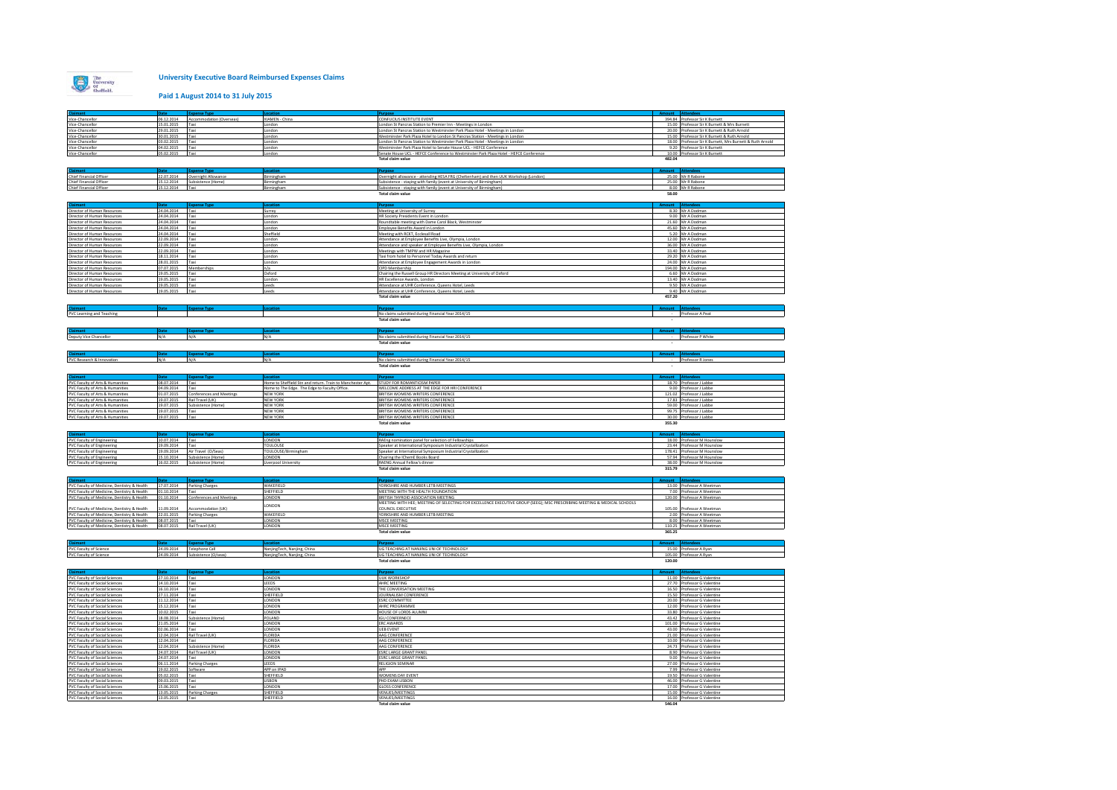

### **Paid 1 August 2014 to 31 July 2015**

|                                                                                                       |                          | <b>Expense Type</b>                   |                                                            |                                                                                                                                              |        |                                                            |
|-------------------------------------------------------------------------------------------------------|--------------------------|---------------------------------------|------------------------------------------------------------|----------------------------------------------------------------------------------------------------------------------------------------------|--------|------------------------------------------------------------|
| Vice-Chancellor                                                                                       |                          | 06.12.2014 Accommodation (Overseas)   | XIAMEN - China                                             | CONFUCIUS INSTITUTE EVENT                                                                                                                    |        | 394.84 Professor Sir K Burnett                             |
| Vice-Chancellor                                                                                       | 15.01.2015               | Taxi                                  | ondon                                                      | London St Pancras Station to Premier Inn - Meetings in London                                                                                |        | 15.00 Professor Sir K Burnett & Mrs Burnett                |
| Vice-Chancellor                                                                                       | 29.01.2015               | Taxi                                  | ondon                                                      | London St Pancras Station to Westminster Park Plaza Hotel - Meetings in London                                                               |        | 20.00 Professor Sir K Burnett & Ruth Arnold                |
| Vice-Chancellor                                                                                       | 30.01.2015               | Taxi                                  | London                                                     | Westminster Park Plaza Hotel to London St Pancras Station - Meetings in London                                                               |        | 15.00 Professor Sir K Burnett & Ruth Arnold                |
| Vice-Chancellor                                                                                       | 03.02.2015               | Taxi                                  | London                                                     | London St Pancras Station to Westminster Park Plaza Hotel - Meetings in London                                                               |        | 18.00 Professor Sir K Burnett, Mrs Burnett & Ruth Arnold   |
| Vice-Chancellor                                                                                       | 04.02.2015               | Taxi                                  | ondon                                                      | Westminster Park Plaza Hotel to Senate House UCL - HEFCE Conference                                                                          |        | 9.20 Professor Sir K Burnett                               |
| Vice-Chancellor                                                                                       | 05.02.2015               | Taxi                                  | ondon                                                      | Senate House UCL - HEFCE Conference to Westminster Park Plaza Hotel - HEFCE Conference                                                       |        | 10.00 Professor Sir K Burnett                              |
|                                                                                                       |                          |                                       |                                                            | Total claim value                                                                                                                            | 482.04 |                                                            |
|                                                                                                       |                          |                                       |                                                            |                                                                                                                                              |        |                                                            |
|                                                                                                       |                          |                                       |                                                            |                                                                                                                                              |        |                                                            |
|                                                                                                       |                          | pense Typi                            |                                                            |                                                                                                                                              |        |                                                            |
| Chief Financial Officer                                                                               |                          | 22.07.2014 Overnight Allowance        | Birmingham                                                 | Overnight allowance - attending HESA FRG (Cheltenham) and then UUK Workshop (London)                                                         |        | 25.00 Mr R Rabone                                          |
| Chief Financial Officer                                                                               |                          | 15.12.2014 Subsistence (Home)         | Birmingham                                                 | Subsistence - staying with family (event at University of Birmingham)                                                                        |        | 25.00 Mr R Rabone                                          |
| <b>Chief Financial Officer</b>                                                                        | 15.12.2014               | Taxi                                  | Birmingham                                                 | Subsistence - staving with family (event at University of Birmingham)                                                                        |        | 8.00 Mr R Rabone                                           |
|                                                                                                       |                          |                                       |                                                            | <b>Total claim value</b>                                                                                                                     | 58.00  |                                                            |
|                                                                                                       |                          |                                       |                                                            |                                                                                                                                              |        |                                                            |
|                                                                                                       |                          |                                       |                                                            |                                                                                                                                              |        |                                                            |
| Director of Human Resources                                                                           | 24.04.2014 Taxi          |                                       | Surrey                                                     | Meeting at University of Surrey                                                                                                              |        | 8.30 Mr A Dodman                                           |
| Director of Human Resources                                                                           | 24.04.2014               | Taxi                                  | London                                                     | HR Society Presidents Event in London                                                                                                        |        | 9.00 Mr A Dodman                                           |
| Director of Human Resources                                                                           | 24.04.2014               | Taxi                                  | London                                                     | Roundtable meeting with Dame Carol Black, Westminster                                                                                        |        | 21.60 Mr A Dodman                                          |
|                                                                                                       |                          |                                       |                                                            |                                                                                                                                              |        |                                                            |
| Director of Human Resources                                                                           | 24.04.2014               | Taxi                                  | ondon                                                      | Employee Benefits Award in London                                                                                                            |        | 45.60 Mr A Dodman                                          |
| Director of Human Resources                                                                           | 24.04.2014               | Taxi                                  | Sheffield                                                  | Meeting with RCKT, Ecclesall Road                                                                                                            |        | 5.20 Mr A Dodman                                           |
| Director of Human Resources                                                                           | 22.09.2014               | Taxi                                  | London                                                     | Attendance at Employee Benefits Live, Olympia, London                                                                                        |        | 12.00 Mr A Dodman                                          |
| Director of Human Resources                                                                           | 22.09.2014               | Taxi                                  | ondon                                                      | Attendance and speaker at Employee Benefits Live, Olympia, London                                                                            |        | 36.00 Mr A Dodman                                          |
| Director of Human Resources                                                                           | 22.09.2014               | Taxi                                  | London                                                     | Meetings with TMPW and HR Magazine                                                                                                           |        | 33.40 Mr A Dodman                                          |
| Director of Human Resources                                                                           | 18.11.2014               | Taxi                                  | London                                                     | Taxi from hotel to Personnel Today Awards and return                                                                                         |        | 29.20 Mr A Dodman                                          |
| Director of Human Resources                                                                           | 28.01.2015               | Taxi                                  | ondon                                                      | Attendance at Employee Engagement Awards in London                                                                                           |        | 24.00 Mr A Dodman                                          |
| Director of Human Resources                                                                           | 07.07.2015               | Memberships                           | n/a                                                        | CIPD Membership                                                                                                                              |        | 194.00 Mr A Dodman                                         |
| Director of Human Resources                                                                           | 19.05.2015               | Taxi                                  | Oxford                                                     | Chairing the Russell Group HR Directors Meeting at University of Oxford                                                                      |        | 6.60 Mr A Dodman                                           |
| Director of Human Resources                                                                           | 19.05.2015               | Taxi                                  | London                                                     | HR Excellence Awards, London                                                                                                                 |        | 13.40 Mr A Dodman                                          |
| Director of Human Resources                                                                           |                          |                                       |                                                            |                                                                                                                                              |        |                                                            |
|                                                                                                       | 19.05.2015               | Taxi                                  | Leeds                                                      | Attendance at UHR Conference, Queens Hotel, Leeds                                                                                            |        | 9.50 Mr A Dodman<br>9.40 Mr A Dodman                       |
| Director of Human Resources                                                                           | 19.05.2015               | Taxi                                  | Leeds                                                      | Attendance at UHR Conference, Queens Hotel, Leeds                                                                                            |        |                                                            |
|                                                                                                       |                          |                                       |                                                            | <b>Total claim value</b>                                                                                                                     | 457.20 |                                                            |
|                                                                                                       |                          |                                       |                                                            |                                                                                                                                              |        |                                                            |
|                                                                                                       |                          |                                       |                                                            |                                                                                                                                              |        |                                                            |
| PVC Learning and Teaching                                                                             |                          |                                       |                                                            | No claims submitted during Financial Year 2014/15                                                                                            |        | Professor A Peat                                           |
|                                                                                                       |                          |                                       |                                                            | Total claim value                                                                                                                            |        |                                                            |
|                                                                                                       |                          |                                       |                                                            |                                                                                                                                              |        |                                                            |
| <b>Iaimant</b>                                                                                        | Date                     | <b>Expense Type</b>                   | Locati                                                     | Purpose                                                                                                                                      |        | Amount Attendees                                           |
| Deputy Vice Chancellor                                                                                | N/A                      | N/A                                   | N/A                                                        | No claims submitted during Financial Year 2014/15                                                                                            |        | Professor P White                                          |
|                                                                                                       |                          |                                       |                                                            | <b>Total claim value</b>                                                                                                                     |        |                                                            |
|                                                                                                       |                          |                                       |                                                            |                                                                                                                                              |        |                                                            |
|                                                                                                       |                          |                                       |                                                            |                                                                                                                                              |        |                                                            |
|                                                                                                       |                          | <b>Expense Type</b>                   |                                                            |                                                                                                                                              |        |                                                            |
| PVC Research & Innovation                                                                             | N/A                      | N/A                                   | N/A                                                        | No claims submitted during Financial Year 2014/15                                                                                            |        | Professor R Jones                                          |
|                                                                                                       |                          |                                       |                                                            | Total claim value                                                                                                                            |        |                                                            |
|                                                                                                       |                          |                                       |                                                            |                                                                                                                                              |        |                                                            |
|                                                                                                       |                          | <b>ise Type</b>                       |                                                            |                                                                                                                                              | unt    |                                                            |
| PVC Faculty of Arts & Humanities                                                                      | 08.07.2014               | Taxi                                  | Home to Sheffield Stn and return. Train to Manchester Apt. | STUDY FOR ROMANTICISM PAPER                                                                                                                  |        | 18.70 Professor J Labbe                                    |
| VC Faculty of Arts & Humanities                                                                       | 04.09.2014               | Taxi                                  | lome to The Edge. The Edge to Faculty Office.              | WELCOME ADDRESS AT THE EDGE FOR HRI CONFERENCE                                                                                               |        | 9.00 Professor J Labbe                                     |
| PVC Faculty of Arts & Humanities                                                                      | 01.07.2015               | Conferences and Meetings              | <b>NEW YORK</b>                                            | BRITISH WOMENS WRITERS CONFERENCE                                                                                                            |        | 121.02 Professor J Labbe                                   |
| PVC Faculty of Arts & Humanities                                                                      |                          |                                       | <b>NEW YORK</b>                                            | BRITISH WOMENS WRITERS CONFERENCE                                                                                                            |        |                                                            |
|                                                                                                       | 19.07.2015               | Rail Travel (UK)                      |                                                            |                                                                                                                                              |        | 17.83 Professor J Labbe                                    |
| PVC Faculty of Arts & Humanities                                                                      | 19.07.2015               | Subsistence (Home)                    | NEW YORK                                                   | BRITISH WOMENS WRITERS CONFERENCE                                                                                                            |        | 59.00 Professor J Labbe                                    |
|                                                                                                       |                          |                                       |                                                            |                                                                                                                                              |        |                                                            |
| PVC Faculty of Arts & Humanities                                                                      | 19.07.2015               | Taxi                                  | NEW YORK                                                   | BRITISH WOMENS WRITERS CONFERENCE                                                                                                            |        | 99.75 Professor J Labbe                                    |
| PVC Faculty of Arts & Humanities                                                                      | 19.07.2015               | Taxi                                  | NEW YORK                                                   | BRITISH WOMENS WRITERS CONFERENCE                                                                                                            |        | 30.00 Professor J Labbe                                    |
|                                                                                                       |                          |                                       |                                                            | Total claim value                                                                                                                            | 355.30 |                                                            |
|                                                                                                       |                          |                                       |                                                            |                                                                                                                                              |        |                                                            |
| Claimant                                                                                              | <b>Date</b>              | <b>Expense Type</b>                   | Location                                                   | Purpose                                                                                                                                      | unt.   |                                                            |
|                                                                                                       |                          |                                       | LONDON                                                     |                                                                                                                                              |        | 18.00 Professor M Hounslow                                 |
| <b>PVC Faculty of Engineering</b>                                                                     | 10.07.2014 Taxi          |                                       |                                                            | RAEng nomination panel for selection of Fellowships                                                                                          |        |                                                            |
| <b>PVC Faculty of Engineering</b>                                                                     | 19.09.2014               | Taxi                                  | TOULOUSE                                                   | Speaker at International Symposium Industrial Crystallization                                                                                |        | 23.44 Professor M Hounslow                                 |
| <b>PVC Faculty of Engineering</b>                                                                     | 19.09.2014               | Air Travel (O/Seas)                   | TOULOUSE/Birmingham                                        | Speaker at International Symposium Industrial Crystallization                                                                                |        | 178.41 Professor M Hounslow                                |
| PVC Faculty of Engineering                                                                            | 15.10.2014               | Subsistence (Home)                    | LONDON                                                     | Chairing the IChemE Books Board                                                                                                              |        | 57.94 Professor M Hounslow                                 |
| PVC Faculty of Engineering                                                                            | 16.02.2015               | Subsistence (Home)                    | Liverpool University                                       | RAENG Annual Fellow's dinner                                                                                                                 |        | 38.00 Professor M Hounslow                                 |
|                                                                                                       |                          |                                       |                                                            | Total claim value                                                                                                                            | 315.79 |                                                            |
|                                                                                                       |                          |                                       |                                                            |                                                                                                                                              |        |                                                            |
|                                                                                                       | Date                     | <b>Expense Type</b>                   | Locatic                                                    | Purpose                                                                                                                                      |        |                                                            |
| PVC Faculty of Medicine, Dentistry & Health 17.07.2014 Parking Charges                                |                          |                                       | WAKEFIELD                                                  | YORKSHIRE AND HUMBER LETB MEETINGS                                                                                                           |        | 13.00 Professor A Weetman                                  |
| PVC Faculty of Medicine, Dentistry & Health                                                           | 01.10.2014               | Taxi                                  | SHEFFIELD                                                  | MEETING WITH THE HEALTH FOUNDATION                                                                                                           |        | 7.00 Professor A Weetman                                   |
| PVC Faculty of Medicine, Dentistry & Health 01.10.2014                                                |                          | <b>Conferences and Meetings</b>       | LONDON                                                     | BRITISH THYROID ASSOCIATION MEETING                                                                                                          |        | 120.00 Professor A Weetman                                 |
|                                                                                                       |                          |                                       |                                                            |                                                                                                                                              |        |                                                            |
|                                                                                                       | 1.09.2014                |                                       | LONDON                                                     | MEETING WITH HEE; MEETING OF SELECTING FOR EXCELLENCE EXECUTIVE GROUP (SEEG); MSC PRESCRIBING MEETING & MEDICAL SCHOOLS<br>COUNCIL EXECUTIVE |        |                                                            |
| PVC Faculty of Medicine, Dentistry & Health<br>PVC Faculty of Medicine, Dentistry & Health 22.01.2015 |                          | (Ccommodation (UK)<br>Parking Charges | WAKEFIELD                                                  | YORKSHIRE AND HUMBER LETB MEETING                                                                                                            |        | 105.00 Professor A Weetman<br>2.00 Professor A Weetman     |
| PVC Faculty of Medicine. Dentistry & Health 08.07.2015                                                |                          | Taxi                                  | LONDON                                                     | MSCE MEETING                                                                                                                                 |        | 8.00 Professor A Weetman                                   |
|                                                                                                       |                          |                                       |                                                            |                                                                                                                                              |        |                                                            |
| PVC Faculty of Medicine, Dentistry & Health 08.07.2015                                                |                          | Rail Travel (UK)                      | LONDON                                                     | <b>MSCE MEETING</b>                                                                                                                          |        | 110.25 Professor A Weetman                                 |
|                                                                                                       |                          |                                       |                                                            | Total claim value                                                                                                                            | 365.25 |                                                            |
|                                                                                                       |                          |                                       |                                                            |                                                                                                                                              |        |                                                            |
|                                                                                                       |                          |                                       |                                                            |                                                                                                                                              |        |                                                            |
| PVC Faculty of Science                                                                                |                          | 24.09.2014 Telephone Call             | NanjingTech, Nanjing, China                                | UG TEACHING AT NANJING UNI OF TECHNOLOGY                                                                                                     |        | 15.00 Professor A Ryan                                     |
| PVC Faculty of Science                                                                                | 24.09.2014               | Subsistence (O/seas)                  | NanjingTech, Nanjing, China                                | UG TEACHING AT NANJING UNI OF TECHNOLOGY                                                                                                     |        | 105.00 Professor A Ryan                                    |
|                                                                                                       |                          |                                       |                                                            | Total claim value                                                                                                                            | 120,00 |                                                            |
|                                                                                                       |                          |                                       |                                                            |                                                                                                                                              |        |                                                            |
|                                                                                                       |                          | nse Typi                              |                                                            |                                                                                                                                              | unt -  |                                                            |
| PVC Faculty of Social Sciences                                                                        | 27.10.2014               | Taxi                                  | LONDON                                                     | <b>UUK WORKSHOP</b>                                                                                                                          |        | 11.00 Professor G Valentine                                |
|                                                                                                       |                          | Taxi                                  |                                                            | AHRC MEETING                                                                                                                                 |        |                                                            |
| <sup>9</sup> VC Faculty of Social Sciences                                                            | 14.10.2014<br>16.10.2014 | Taxi                                  | <b>EEDS</b><br>LONDON                                      | THE CONVERSATION MEETING                                                                                                                     |        | 27.70 Professor G Valentine<br>16.50 Professor G Valentine |
| PVC Faculty of Social Sciences                                                                        |                          |                                       |                                                            |                                                                                                                                              |        |                                                            |
| PVC Faculty of Social Sciences                                                                        | 27.11.2014               | Taxi                                  | SHEFFIELD                                                  | JOURNALISM CONFERENCE                                                                                                                        |        | 15.50 Professor G Valentine                                |
| <b>PVC Faculty of Social Sciences</b>                                                                 | 11.12.2014               | Taxi                                  | LONDON                                                     | <b>ESRC COMMITTEE</b>                                                                                                                        |        | 20.00 Professor G Valentine                                |
| <b>PVC Faculty of Social Sciences</b>                                                                 | 15.12.2014               | Taxi                                  | LONDON                                                     | AHRC PROGRAMME                                                                                                                               |        | 12.00 Professor G Valentine                                |
| PVC Faculty of Social Sciences                                                                        | 10.02.2015               | Taxi                                  | ONDON.                                                     | HOUSE OF LORDS ALUMNI                                                                                                                        |        | 33.80 Professor G Valentine                                |
| PVC Faculty of Social Sciences                                                                        | 18.08.2014               | Subsistence (Home)                    | POLAND                                                     | <b>IGU CONFERNECE</b>                                                                                                                        |        | 43.42 Professor G Valentine                                |
| PVC Faculty of Social Sciences                                                                        | 21.05.2014               | Taxi                                  | LONDON                                                     | ERC AWARDS                                                                                                                                   |        | 101.00 Professor G Valentine                               |
| PVC Faculty of Social Sciences                                                                        | 02.06.2014               | Taxi                                  | LONDON                                                     | <b>UEB EVENT</b>                                                                                                                             |        | 43.00 Professor G Valentine                                |
| <sup>9</sup> VC Faculty of Social Sciences                                                            | 12.04.2014               | Rail Travel (UK)                      | FLORIDA                                                    | AAG CONFERENCE                                                                                                                               |        | 21.00 Professor G Valentine                                |
| <b>PVC Faculty of Social Sciences</b>                                                                 | 12.04.2014               | Taxi                                  | FLORIDA                                                    | AAG CONFERENCE                                                                                                                               |        | 10.00 Professor G Valentine                                |
| PVC Faculty of Social Sciences                                                                        | 12.04.2014               | Subsistence (Home)                    | <b>FLORIDA</b>                                             | AAG CONFERENCE                                                                                                                               |        | 24.73 Professor G Valentine                                |
|                                                                                                       | 24.07.2014               |                                       |                                                            | <b>ESRC LARGE GRANT PANEL</b>                                                                                                                |        |                                                            |
| PVC Faculty of Social Sciences<br><b>PVC Faculty of Social Sciences</b>                               | 24.07.2014               | Rail Travel (UK)<br>Taxi              | LONDON<br>LONDON                                           | <b>ESRC LARGE GRANT PANEL</b>                                                                                                                |        | 8.90 Professor G Valentine<br>9.00 Professor G Valentine   |
|                                                                                                       |                          |                                       | LEEDS                                                      | <b>RELIGION SEMINAR</b>                                                                                                                      |        | 27.00 Professor G Valentine                                |
| PVC Faculty of Social Sciences                                                                        | 06.11.2014               | Parking Charges                       |                                                            | APP                                                                                                                                          |        |                                                            |
| PVC Faculty of Social Sciences                                                                        | 19.02.2015               | Software                              | APP on IPAD                                                |                                                                                                                                              |        | 7.99 Professor G Valentine                                 |
| PVC Faculty of Social Sciences                                                                        | 05.02.2015               | Taxi                                  | SHEFFIELD                                                  | WOMENS DAY EVENT                                                                                                                             |        | 19.50 Professor G Valentine                                |
| <sup>9</sup> VC Faculty of Social Sciences                                                            | 09.03.2015               | Taxi                                  | <b>ISBON</b>                                               | PHD EXAM LISBON                                                                                                                              |        | 46.00 Professor G Valentine                                |
| <b>PVC Faculty of Social Sciences</b>                                                                 | 15.06.2015               | Taxi                                  | ONDON.                                                     | <b>GLOSS CONFERENCE</b>                                                                                                                      |        | 17.00 Professor G Valentine                                |
| PVC Faculty of Social Sciences                                                                        | 13.05.2015               | Parking Charges                       | SHEFFIELD                                                  | <b>VENUES/MEETINGS</b>                                                                                                                       |        | 15.00 Professor G Valentine                                |
| PVC Faculty of Social Sciences                                                                        | 13.05.2015               | Taxi                                  | SHEFFIELD                                                  | <b>VENUES/MEETINGS</b><br>Total claim value                                                                                                  | 546.04 | 16.00 Professor G Valentine                                |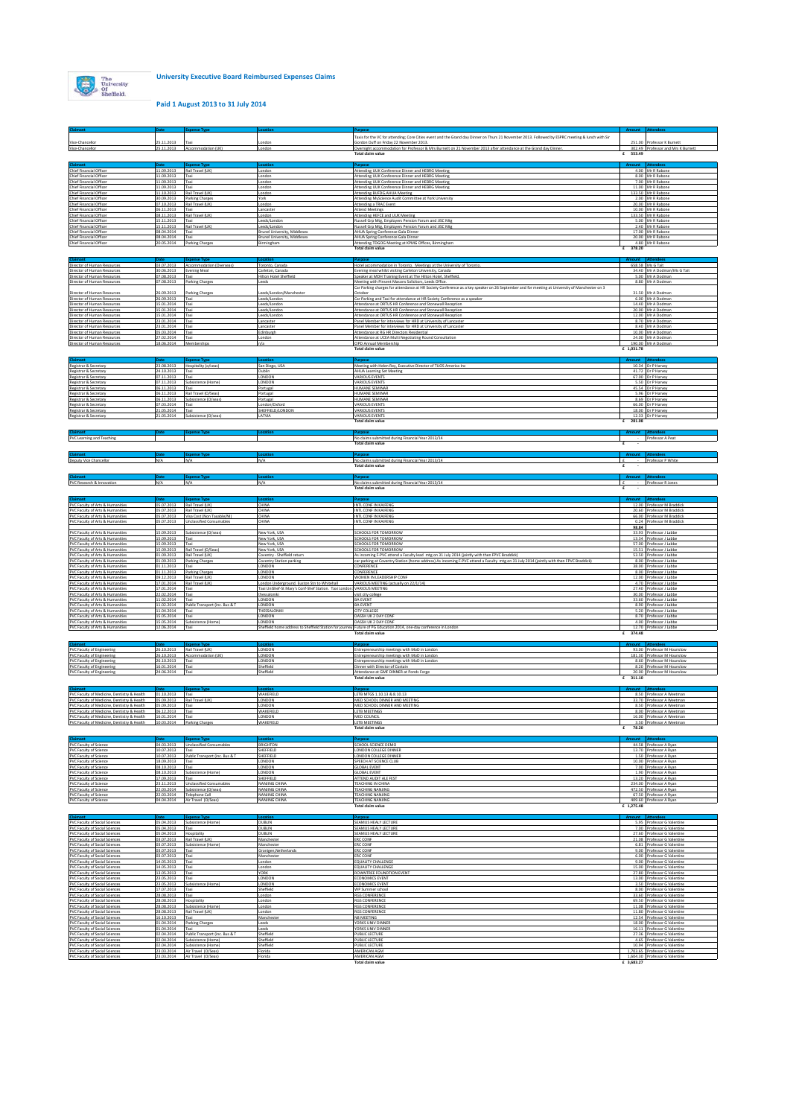

**Paid 1 August 2013 to 31 July 2014**

|                                                                                            |                                      |                                                                    |                                                                     | l'axis for the VC for attending; Core Cities event and the Grand day Dinner on Thurs 21 November 2013. Followed by ESPRC meeting & lunch with Sir                                                      |              |                                                                  |
|--------------------------------------------------------------------------------------------|--------------------------------------|--------------------------------------------------------------------|---------------------------------------------------------------------|--------------------------------------------------------------------------------------------------------------------------------------------------------------------------------------------------------|--------------|------------------------------------------------------------------|
| Vice-Chancellor<br>Vice-Chancellor                                                         | 25.11.2013                           | Taxi<br>25.11.2013 Accommodation (UK)                              | ondor.<br>London                                                    | Gordon Duff on Friday 22 November 2013.<br>Overnight accommodation for Professor & Mrs Burnett on 21 November 2013 after attendance at the Grand day Dinner.                                           |              | 251.00 Professor K Burnett<br>302.49 Professor and Mrs K Burnett |
|                                                                                            |                                      |                                                                    |                                                                     |                                                                                                                                                                                                        | 553.49<br>£  |                                                                  |
| Chief Financial Officer                                                                    |                                      | <b>Expense Type</b><br>11.09.2013 Rail Travel (UK)                 | London                                                              | Attending UUK Conference Dinner and HEBRG Meeting                                                                                                                                                      |              | 4.00 Mr R Rabone                                                 |
| Chief Financial Officer                                                                    | 11.09.2013 Taxi                      |                                                                    | London                                                              | Attending UUK Conference Dinner and HEBRG Meeting                                                                                                                                                      |              | 8.00 Mr R Rabone                                                 |
| Chief Financial Officer<br>Chief Financial Officer                                         | 11.09.2013<br>11.09.2013             | Taxi<br>Taxi                                                       | London<br>London                                                    | Attending UUK Conference Dinner and HEBRG Meeting<br>Attending UUK Conference Dinner and HEBRG Meeting                                                                                                 |              | 7.00 Mr R Rabone<br>11.00 Mr R Rabone                            |
| Chief Financial Officer<br>Chief Financial Officer                                         | 11.10.2013                           | Rail Travel (UK)<br>30.09.2013 Parking Charges                     | London<br>York                                                      | Attending BUFDG.AHUA Meeting<br>Attending MyScience Audit Committee at York University                                                                                                                 |              | 133.50 Mr R Rabone<br>2.00 Mr R Rabone                           |
| Chief Financial Officer<br>Chief Financial Officer                                         | 06.11.2013                           | 07.10.2013 Rail Travel (UK)<br>Taxi                                | London<br>Lancaster                                                 | Attending a TRAC Event<br><b>Attend Meetings</b>                                                                                                                                                       |              | 20.00 Mr R Rabone<br>10.00 Mr R Rabone                           |
| Chief Financial Officer<br>Chief Financial Officer                                         | 08.11.2013<br>15.11.2013             | Rail Travel (UK)<br>Taxi                                           | London<br>eeds/Londor                                               | Attending HEFCE and UUK Meeting<br>kussell Grp Mtg, Employers Pension Forum and JISC Mtg                                                                                                               |              | 133.50 Mr R Rabone<br>5.00 Mr R Rabone                           |
| Chief Financial Officer                                                                    |                                      | 15.11.2013 Rail Travel (UK)                                        | Leeds/London                                                        | Russell Grp Mtg, Employers Pension Forum and JISC Mtg                                                                                                                                                  |              | 2.40 Mr R Rabone                                                 |
| Chief Financial Officer<br>Chief Financial Officer                                         | 08.04.2014 Taxi<br>08.04.2014        | Taxi                                                               | Brunel University, Middlesex<br>Brunel University, Middlesex        | AHUA Spring Conference Gala Dinner<br>AHUA Spring Conference Gala Dinner                                                                                                                               |              | 17.00 Mr R Rabone<br>20.00 Mr R Rabone                           |
| Chief Financial Officer                                                                    | 20.05.2014                           | Parking Charges                                                    | Birmingham                                                          | Attending TDGOG Meeting at KPMG Offices, Birmingham<br><b>Total claim value</b>                                                                                                                        | £ 378.20     | 4.80 Mr R Rabone                                                 |
| Claimant                                                                                   | <b>Date</b>                          | <b>Expense Type</b>                                                | ocation                                                             |                                                                                                                                                                                                        |              |                                                                  |
| Director of Human Resources<br>Director of Human Resources                                 | 30.06.2013                           | 03.07.2013 Accommodation (Overseas)<br><b>Evening Meal</b>         | oronto, Canada<br>Carleton, Canada                                  | Hotel accommodation in Toronto. Meetings at the University of Toronto.<br>vening meal whilst visiting Carleton University, Canada                                                                      |              | 658.58 Ms G Tait<br>34.40 Mr A Dodman/Ms G Tait                  |
| Director of Human Resources                                                                | 07.08.2013                           | Taxi                                                               | filton Hotel Sheffield                                              | Speaker at MDH Training Event at The Hilton Hotel, Sheffield.                                                                                                                                          |              | 5.00 Mr A Dodman                                                 |
| Director of Human Resources                                                                |                                      | 07.08.2013 Parking Charges                                         | eeds.                                                               | Meeting with Pinsent Masons Solicitors, Leeds Office.<br>Car Parking charges for attendance at HR Society Conference as a key speaker on 26 September and for meeting at University of Manchester on 3 |              | 8.80 Mr A Dodmar                                                 |
| Director of Human Resources<br>Director of Human Resources                                 | 26.09.2013<br>26.09.2013             | <b>Parking Charges</b><br>Taxi                                     | Leeds/London/Manchester<br>Leeds/London                             | Ictober<br>Car Parking and Taxi for attendance at HR Society Conference as a speaker                                                                                                                   |              | 31.50 Mr A Dodman<br>6.00 Mr A Dodman                            |
| Director of Human Resources<br>Director of Human Resources                                 | 15.01.2014 Taxi<br>15.01.2014 Taxi   |                                                                    | eeds/London<br>Leeds/London                                         | Attendance at ORTUS HR Conference and Stonewall Reception<br>Attendance at ORTUS HR Conference and Stonewall Reception                                                                                 |              | 14.40 Mr A Dodman<br>20.00 Mr A Dodman                           |
| Director of Human Resources                                                                | 15.01.2014 Taxi                      | Taxi                                                               | Leeds/London                                                        | Attendance at ORTUS HR Conference and Stonewall Reception                                                                                                                                              |              | 12.00 Mr A Dodman<br>8.70 Mr A Dodman                            |
| Director of Human Resources<br>Director of Human Resources                                 | 23.01.2014<br>23.01.2014             | Taxi                                                               | Lancaster<br>Lancaster                                              | Panel Member for interviews for HRD at University of Lancaster<br>Panel Member for interviews for HRD at University of Lancaster                                                                       |              | 8.40 Mr A Dodman                                                 |
| Director of Human Resources<br>Director of Human Resources                                 | 05.03.2014<br>27.02.2014 Taxi        | Taxi                                                               | Edinburgh<br>London                                                 | Attendance at RG HR Directors Residential<br>Attendance at UCEA Multi Negotiating Round Consultation                                                                                                   |              | 10.00 Mr A Dodman<br>24.00 Mr A Dodman                           |
| Director of Human Resources                                                                | 18.06.2014 Memberships               |                                                                    | n/a                                                                 | CIPD Annual Membership<br>Total claim value                                                                                                                                                            | £ 1,031.78   | 190.00 Mr A Dodman                                               |
|                                                                                            |                                      |                                                                    |                                                                     |                                                                                                                                                                                                        |              |                                                                  |
| Registrar & Secretary                                                                      |                                      | <b>Expense Typ</b><br>23.08.2013 Hospitality (o/seas)              | San Diego, USA                                                      | Meeting with Helen Rey, Executive Director of TUOS America Inc.                                                                                                                                        |              | 10.34 Dr P Harvey                                                |
| Registrar & Secretary<br>Registrar & Secretary                                             | 24.10.2013 Taxi<br>07.11.2013        | Taxi                                                               | Dublin<br>LONDON                                                    | <b>AHUA Learning Set Meeting</b><br><b>VARIOUS EVENTS</b>                                                                                                                                              |              | 41.72 Dr P Harvey<br>67.00 Dr P Harvey                           |
| Registrar & Secretary<br>Registrar & Secretary                                             | 07.11.2013<br>06.11.2013             | Subsistence (Home)<br>Taxi                                         | LONDON<br>ortugal                                                   | VARIOUS EVENTS<br><b>HUMANE SEMINAR</b>                                                                                                                                                                |              | 5.50 Dr P Harvey<br>45.54 Dr P Harvey                            |
| Registrar & Secretary                                                                      | 06.11.2013                           | Rail Travel (O/Seas)                                               | Portugal                                                            | HUMANE SEMINAR<br>HUMANE SEMINAR                                                                                                                                                                       |              | 5.96 Dr P Harvey<br>8.69 Dr P Harvey                             |
| Registrar & Secretary<br>Registrar & Secretary                                             | 07.03.2014                           | 06.11.2013 Subsistence (O/seas)<br>Taxi                            | Portugal<br>London/Oxfo                                             | ARIOUS EVENTS                                                                                                                                                                                          |              | 66.00 Dr P Harvey                                                |
| Registrar & Secretary<br>Registrar & Secretary                                             | 21.05.2014<br>21.05.2014             | Taxi<br>Subsistence (O/seas)                                       | HEFFIELD/LONDON<br>LATVIA                                           | VARIOUS EVENTS<br>VARIOUS EVENTS                                                                                                                                                                       |              | 18.00 Dr P Harvey<br>12.33 Dr P Harver                           |
|                                                                                            |                                      |                                                                    |                                                                     | <b>Total claim value</b>                                                                                                                                                                               | 281.08<br>£  |                                                                  |
| Claimant                                                                                   |                                      |                                                                    |                                                                     |                                                                                                                                                                                                        |              | Professor A Peat                                                 |
| PVC Learning and Teaching                                                                  |                                      |                                                                    |                                                                     | No claims submitted during Financial Year 2013/14<br><b>Total claim value</b>                                                                                                                          | £<br>$\sim$  |                                                                  |
|                                                                                            |                                      |                                                                    |                                                                     |                                                                                                                                                                                                        |              |                                                                  |
| Deputy Vice Chancellor                                                                     | N/A                                  | N/A                                                                | N/A                                                                 | No claims submitted during Financial Year 2013/14<br>Total claim value                                                                                                                                 | £<br>£       | - Professor P White                                              |
|                                                                                            |                                      |                                                                    |                                                                     |                                                                                                                                                                                                        | Amount Atten |                                                                  |
| PVC Research & Innovation                                                                  | N/A                                  | N/A                                                                | N/A                                                                 | No claims submitted during Financial Year 2013/14                                                                                                                                                      | Ι£           | - Professor R Jones                                              |
|                                                                                            |                                      |                                                                    |                                                                     | Total claim value                                                                                                                                                                                      | £            |                                                                  |
| PVC Faculty of Arts & Humanities                                                           |                                      | 05.07.2013 Rail Travel (UK)                                        | CHINA                                                               | INTL CONF IN KAIFENG                                                                                                                                                                                   |              | 12.00 Professor M Braddick                                       |
| PVC Faculty of Arts & Humanities<br>PVC Faculty of Arts & Humanities                       | 05.07.2013<br>05.07.2013             | Rail Travel (UK)<br>Visa Cost (Non Taxable/NI)                     | CHINA<br>CHINA                                                      | INTL CONF IN KAIFENG<br>INTL CONF IN KAIFENG                                                                                                                                                           |              | 20.60 Professor M Braddick<br>66.00 Professor M Braddick         |
| PVC Faculty of Arts & Humanities                                                           | 05.07.2013                           | Unclassified Consumables                                           | <b>HINA</b>                                                         | NTL CONF IN KAIFENG                                                                                                                                                                                    |              | 0.24 Professor M Braddick                                        |
| PVC Faculty of Arts & Humanities                                                           | 15.09.2013                           | Subsistence (O/seas)                                               | New York, USA                                                       | SCHOOLS FOR TOMORROW                                                                                                                                                                                   | 98.84        | 33.93 Professor J Labbe                                          |
| PVC Faculty of Arts & Humanities<br>PVC Faculty of Arts & Humanities                       | 15.09.2013<br>15.09.2013             | Taxi<br>Taxi                                                       | New York, USA<br>New York, USA                                      | SCHOOLS FOR TOMORROW<br>SCHOOLS FOR TOMORROW                                                                                                                                                           |              | 13.34 Professor J Labbe<br>57.00 Professor J Labbe               |
| PVC Faculty of Arts & Humanities<br>PVC Faculty of Arts & Humanities                       | 15.09.2013<br>01.09.2013             | Rail Travel (O/Seas)<br>Rail Travel (UK)                           | New York, USA<br>loventry - Sheffield return                        | CHOOLS FOR TOMORROW<br>As incoming F-PVC attend a Faculty lead mtg on 31 July 2014 (jointly with then FPVC Braddick)                                                                                   |              | 15.51 Professor J Labbe<br>53.50 Professor J Labbe               |
| PVC Faculty of Arts & Humanities<br>PVC Faculty of Arts & Humanities                       | 01.09.2013<br>01.11.2013 Taxi        | Parking Charge:                                                    | Coventry Station parking<br>LONDON                                  | car parking at Coventry Station (home address) As incoming F-PVC attend a Faculty mtg on 31 July 2014 (jointly with then FPVC Braddick)<br>CONFERENCE                                                  |              | 8.00 Professor J Labbe<br>38.00 Professor J Labbe                |
| PVC Faculty of Arts & Humanities                                                           | 01.11.2013                           | Parking Charge:                                                    | LONDON                                                              | CONFERENCE                                                                                                                                                                                             |              | 8.00 Professor J Labbe                                           |
| PVC Faculty of Arts & Humanities<br>PVC Faculty of Arts & Humanities                       | 09.12.2013                           | Rail Travel (UK)<br>17.01.2014 Rail Travel (UK)                    | LONDON<br>ondon Underground. Euston Stn to Whitehall                | <b>NOMEN IN LEADERSHIP CONF.</b><br>VARIOUS MEETING (actually on 22/1/14)                                                                                                                              |              | 12.00 Professor J Labbe<br>4.70 Professor J Labbe                |
| PVC Faculty of Arts & Humanities<br>PVC Faculty of Arts & Humanities                       | 17.01.2014<br>22.02.2014 Taxi        | Taxi                                                               | Taxi UniShef-St Mary's Conf-Shef Station. Taxi Lond<br>thessaloniki | VARIOUS MEETING<br>visit city college                                                                                                                                                                  |              | 27.40 Professor J Labbe<br>30.00 Professor J Labbe               |
| PVC Faculty of Arts & Humanities                                                           | 11.02.2014<br>11.02.2014             | Taxi<br>Public Transport (inc. Bus & T                             | LONDON<br>LONDON                                                    | <b>BA EVENT</b><br>A EVENT                                                                                                                                                                             |              | 33.60 Professor J Labbe                                          |
| PVC Faculty of Arts & Humanities<br>PVC Faculty of Arts & Humanities                       | 11.04.2014                           | Taxi                                                               | THESSALONIKI                                                        | <b>CITY COLLEGE</b>                                                                                                                                                                                    |              | 8.90 Professor J Labbe<br>5.20 Professor J Labbe                 |
| PVC Faculty of Arts & Humanities<br>PVC Faculty of Arts & Humanities                       | 15.05.2014                           | Taxi<br>15.05.2014 Subsistence (Home)                              | LONDON<br>LONDON                                                    | DASSH UK 2 DAY CONF<br>DASSH UK 2 DAY CONF                                                                                                                                                             |              | 8.70 Professor J Labbe<br>4.00 Professor J Labbe                 |
| PVC Faculty of Arts & Humanities                                                           | 12.06.2014                           | Taxi                                                               |                                                                     | Sheffield home address to Sheffield Station for journey Future of PG Education 2014, one-day conference in Londor<br>Total claim value                                                                 | 374.48<br>£  | 12.70 Professor J Labbe                                          |
|                                                                                            |                                      | <b>Ixpense Typ</b>                                                 |                                                                     |                                                                                                                                                                                                        |              |                                                                  |
| PVC Faculty of Engineering                                                                 |                                      | 26.10.2013 Rail Travel (UK)                                        | LONDON                                                              | Entrepreneurship meetings with MoD in London                                                                                                                                                           |              | 93.00 Professor M Hounslow                                       |
| PVC Faculty of Engineering<br><b>PVC Faculty of Engineering</b>                            | 26.10.2013<br>26.10.2013             | Accommodation (UK)<br>Taxi                                         | LONDON<br>LONDON                                                    | Entrepreneurship meetings with MoD in London<br>Entrepreneurship meetings with MoD in London                                                                                                           |              | 181.30 Professor M Hounslow<br>8.60 Professor M Hounslow         |
| <b>PVC Faculty of Engineering</b><br><b>PVC Faculty of Engineering</b>                     | 16.01.2014<br>24.06.2014             | Taxi<br>Taxi                                                       | Sheffield<br>Sheffield                                              | Dinner with Director of Costain<br>Attendance at GMF DINNER at Ponds Forge                                                                                                                             |              | 8.20 Professor M Hounslow<br>20.00 Professor M Hounslow          |
|                                                                                            |                                      |                                                                    |                                                                     | Total claim value                                                                                                                                                                                      | 311.10<br>£  |                                                                  |
|                                                                                            |                                      |                                                                    |                                                                     |                                                                                                                                                                                                        |              |                                                                  |
| PVC Faculty of Medicine, Dentistry & Health<br>PVC Faculty of Medicine Dentistry & Health  | 01.10.2013 Tax<br>05.09.2013         | Rail Travel (UK)                                                   | WAKEFIELD<br>LONDON                                                 | LETB MTGS 1.10.13 & 8.10.13<br>MED SCHOOL DINNER AND MEETING                                                                                                                                           |              | 8.50 Professor A Weetman<br>33.70 Professor A Weetman            |
| PVC Faculty of Medicine, Dentistry & Health<br>PVC Faculty of Medicine. Dentistry & Health | 05.09.2013   Taxi<br>06.12.2013      | Taxi                                                               | LONDON<br>WAKEFIELD                                                 | MED SCHOOL DINNER AND MEETING<br>LETB MEETINGS                                                                                                                                                         |              | 8.50 Professor A Weetman<br>8.00 Professor A Weetman             |
| PVC Faculty of Medicine, Dentistry & Health<br>PVC Faculty of Medicine, Dentistry & Health | 16.01.2014<br>10.03.2014             | Taxi<br>Parking Charge                                             | LONDON<br>WAKEFIEL                                                  | <b>MED COUNCIL</b><br>LETB MEETING:                                                                                                                                                                    |              | 16.00 Professor A Weetman<br>3.50 Professor A Weetman            |
|                                                                                            |                                      |                                                                    |                                                                     | Total claim value                                                                                                                                                                                      | £ 78.20      |                                                                  |
| Claimant                                                                                   | <b>Date</b>                          | <b>Expense Type</b>                                                | Location                                                            | urpose                                                                                                                                                                                                 |              | <b>Attendees</b>                                                 |
| <b>PVC Faculty of Science</b><br><b>PVC Faculty of Science</b>                             | 04.03.2013<br>10.07.2013             | Unclassified Consumables<br>Taxi                                   | BRIGHTON<br>HEFFIELD                                                | <b>CHOOL SCIENCE DEMO</b><br>ONDON COLLEGE DINNER                                                                                                                                                      |              | 44.58 Professor A Ryan<br>13.70 Professor A Ryan                 |
| <b>PVC Faculty of Science</b><br><b>PVC Faculty of Science</b>                             | 10.07.2013<br>18.09.2013 Taxi        | Public Transport (inc. Bus & T)                                    | SHEFFIELD<br>LONDON                                                 | LONDON COLLEGE DINNER<br>SPEECH AT SCIENCE CLUB                                                                                                                                                        |              | 1.50 Professor A Ryan<br>10.00 Professor A Ryan                  |
| <b>PVC Faculty of Science</b><br><b>PVC Faculty of Science</b>                             | 08.10.2013<br>08.10.2013             | Taxi<br>Subsistence (Home)                                         | LONDON<br><b>LONDON</b>                                             | <b>GLOBAL EVENT</b><br>LOBAL EVENT                                                                                                                                                                     |              | 7.00 Professor A Ryan<br>1.90 Professor A Ryan                   |
| <b>PVC Faculty of Science</b>                                                              | 17.09.2013                           | Taxi                                                               | SHEFFIELD                                                           | <b>ATTEND AUDIT ALE FEST</b>                                                                                                                                                                           |              | 13.20 Professor A Ryan                                           |
| <b>PVC Faculty of Science</b><br><b>PVC Faculty of Science</b>                             | 23.11.2013                           | <b>Unclassified Consumables</b><br>22.03.2014 Subsistence (O/seas) | NANJING CHINA<br>NANJING CHINA                                      | <b><i>FEACHING IN CHINA</i></b><br>TEACHING NANJING                                                                                                                                                    |              | 234.00 Professor A Ryan<br>472.50 Professor A Ryan               |
| <b>PVC Faculty of Science</b><br><b>PVC Faculty of Science</b>                             | 04.04.2014                           | 22.03.2014 Telephone Call<br>Air Travel (O/Seas)                   | NANJING CHINA<br>NANJING CHINA                                      | <b>TEACHING NANJING</b><br><b>TEACHING NANJING</b>                                                                                                                                                     |              | 67.50 Professor A Ryan<br>409.60 Professor A Ryan                |
|                                                                                            |                                      |                                                                    |                                                                     | Total claim value                                                                                                                                                                                      | £ 1.275.48   |                                                                  |
|                                                                                            |                                      | <b>Expense Type</b>                                                |                                                                     |                                                                                                                                                                                                        |              |                                                                  |
| <b>PVC Faculty of Social Sciences</b><br>PVC Faculty of Social Sciences                    | 05.04.2013                           | 05.04.2013 Subsistence (Home)<br>Taxi                              | DUBLIN<br>DUBLIN                                                    | SEAMUS HEALY LECTURE<br><b>EAMUS HEALY LECTURE</b>                                                                                                                                                     |              | 5.95 Professor G Valentine<br>7.00 Professor G Valentine         |
| <b>PVC Faculty of Social Sciences</b><br>PVC Faculty of Social Sciences                    | 05.04.2013<br>03.07.2013             | Hospitality<br>Rail Travel (UK)                                    | DUBLIN<br>Mancheste                                                 | SEAMUS HEALY LECTURE<br>ERC CONF                                                                                                                                                                       |              | 27.60 Professor G Valentine<br>21.08 Professor G Valentine       |
| PVC Faculty of Social Sciences<br><b>PVC Faculty of Social Sciences</b>                    | 03.07.2013                           | 03.07.2013 Subsistence (Home)<br>Taxi                              | Manchester<br>Gronigen, Netherland                                  | <b>ERC CONF</b><br><b>ERC CONF</b>                                                                                                                                                                     |              | 6.81 Professor G Valentine<br>9.00 Professor G Valentine         |
| <b>PVC Faculty of Social Sciences</b>                                                      | 03.07.2013                           | Taxi                                                               | Manchester                                                          | ERC CONF<br>EQUALITY CHALLENGE                                                                                                                                                                         |              | 6.00 Professor G Valentine                                       |
| <b>PVC Faculty of Social Sciences</b><br><b>PVC Faculty of Social Sciences</b>             | 14.05.2013 Taxi<br>14.05.2013        | Taxi                                                               | London<br>London                                                    | EQUALITY CHALLENGE                                                                                                                                                                                     |              | 9.00 Professor G Valentine<br>15.00 Professor G Valentine        |
| <b>PVC Faculty of Social Sciences</b><br><b>PVC Faculty of Social Sciences</b>             | 13.05.2013 Taxi                      | Taxi                                                               | <b>YORK</b><br>LONDON                                               | ROWNTREE FOUNDTION EVENT<br><b>ECONOMICS EVENT</b>                                                                                                                                                     |              | 27.80 Professor G Valentine<br>13.00 Professor G Valentine       |
| <b>PVC Faculty of Social Sciences</b>                                                      | 23.05.2013                           |                                                                    | LONDON                                                              | <b>ECONOMICS EVENT</b>                                                                                                                                                                                 |              | 3.50 Professor G Valentine                                       |
|                                                                                            | 23.05.2013                           | Subsistence (Home)                                                 | Sheffield                                                           |                                                                                                                                                                                                        |              |                                                                  |
| <b>PVC Faculty of Social Sciences</b><br><b>PVC Faculty of Social Sciences</b>             | 17.07.2013 Taxi<br>28.08.2013        | Taxi                                                               | London                                                              | WP Summer school<br>RGS CONFERENCE                                                                                                                                                                     |              | 8.00 Professor G Valentine<br>33.60 Professor G Valentine        |
| PVC Faculty of Social Sciences<br><b>PVC Faculty of Social Sciences</b>                    | 28.08.2013 Hospitality<br>28.08.2013 | Subsistence (Home)                                                 | London<br>London                                                    | <b>RGS CONFERENCE</b><br><b>RGS CONFERENCE</b>                                                                                                                                                         |              | 69.50 Professor G Valentine<br>11.08 Professor G Valentine       |
| PVC Faculty of Social Sciences                                                             | 28.08.2013<br>16.10.2013 Taxi        | Rail Travel (UK)                                                   | condon<br>Mancheste                                                 | GS CONFERENCE<br>N8 MEETING                                                                                                                                                                            |              | 11.80 Professor G Valentine                                      |
| <b>PVC Faculty of Social Sciences</b><br><b>PVC Faculty of Social Sciences</b>             | 01.04.2014                           | Parking Charges                                                    | Leeds                                                               | YORKS UNIV DINNER                                                                                                                                                                                      |              | 12.54 Professor G Valentine<br>18.00 Professor G Valentine       |
| PVC Faculty of Social Sciences<br><b>PVC Faculty of Social Sciences</b>                    | 01.04.2014 Taxi<br>02.04.2014        | Public Transport (inc. Bus & T                                     | Leeds<br>Sheffield                                                  | YORKS UNIV DINNER<br>PUBLIC LECTURE                                                                                                                                                                    |              | 16.11 Professor G Valentine<br>27.36 Professor G Valentine       |
| <b>PVC Faculty of Social Sciences</b><br><b>PVC Faculty of Social Sciences</b>             | 02.04.2014<br>02.04.2014             | Subsistence (Home)<br>Subsistence (Home)                           | Sheffield<br>Sheffield                                              | <b>UBLIC LECTURE</b><br>PUBLIC LECTURE                                                                                                                                                                 |              | 4.65 Professor G Valentine<br>10.94 Professor G Valentine        |
| <b>PVC Faculty of Social Sciences</b><br><b>PVC Faculty of Social Sciences</b>             |                                      | 23.03.2014 Air Travel (O/Seas)<br>23.03.2014 Air Travel (O/Seas)   | Florida<br>Florida                                                  | AMERICAN AGM<br>AMERICAN AGM                                                                                                                                                                           |              | 1,703.65 Professor G Valentine<br>1,604.30 Professor G Valentine |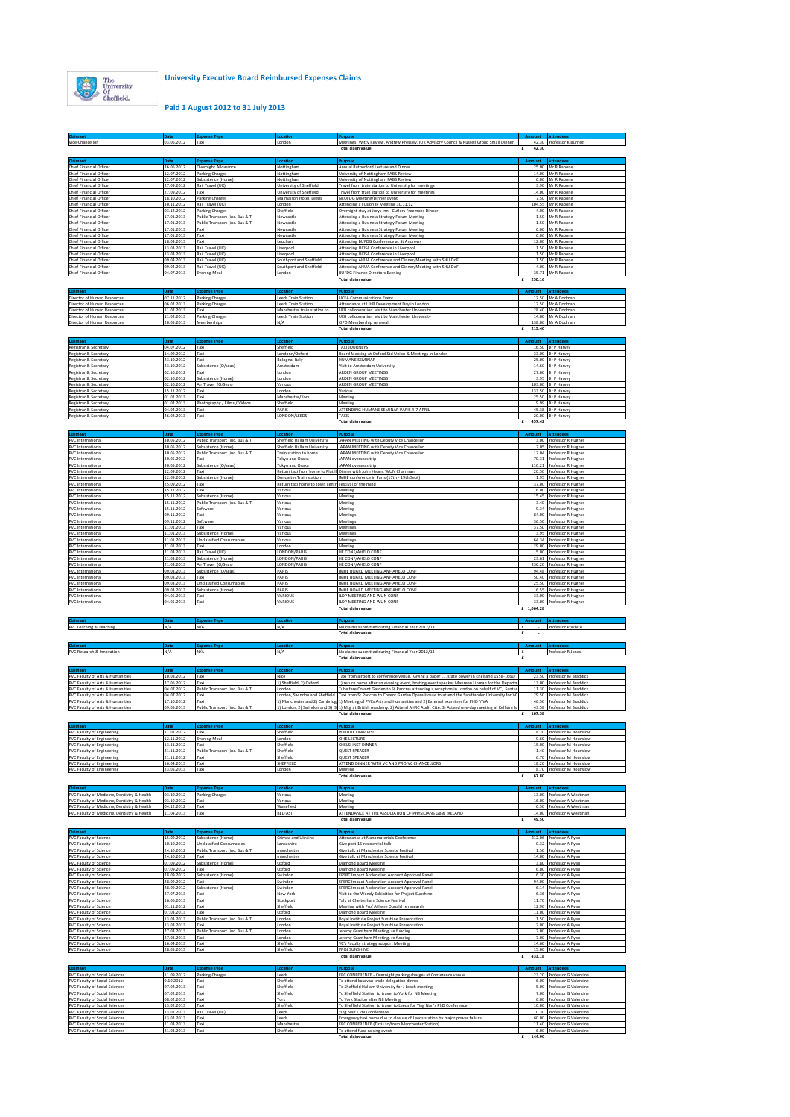

## **Paid 1 August 2012 to 31 July 2013**

| <b>Claimant</b><br>Vice-Chancellor                                                                                                        | 03.06.2012                                           | Taxi                                                                                  | Londo                                                                           | Meetings: Witty Review, Andrew Pressley, IUK Advisory Council & Russell Group Small Dinner<br>Total claim value                                                                                                                                                                                                            | 42.30       | 42.30 Professor K Burnett                                                                                     |
|-------------------------------------------------------------------------------------------------------------------------------------------|------------------------------------------------------|---------------------------------------------------------------------------------------|---------------------------------------------------------------------------------|----------------------------------------------------------------------------------------------------------------------------------------------------------------------------------------------------------------------------------------------------------------------------------------------------------------------------|-------------|---------------------------------------------------------------------------------------------------------------|
| Claimant                                                                                                                                  | Date                                                 | <b>Expense Type</b>                                                                   |                                                                                 |                                                                                                                                                                                                                                                                                                                            |             | <b>Attendees</b>                                                                                              |
| Chief Financial Officer<br>Chief Financial Officer<br>Chief Financial Officer                                                             | 26.06.2012<br>12.07.2012<br>12.07.2012               | Overnight Allowance<br><b>Parking Charges</b><br>Subsistence (Home)                   | Nottingham<br>Nottingham<br>Nottingham                                          | Annual Rutherford Lecture and Dinner<br>University of Nottingham FABS Review<br>University of Nottingham FABS Review                                                                                                                                                                                                       |             | 25.00 Mr R Rabone<br>14.00 Mr R Rabon<br>6.00 Mr R Rabone                                                     |
| Chief Financial Officer<br>Chief Financial Officer                                                                                        | 27.09.2012<br>27.09.2012                             | Rail Travel (UK)<br>Taxi                                                              | University of Sheffield<br>University of Sheffield                              | Travel from train station to University for meetings<br>Travel from train station to University for meetings                                                                                                                                                                                                               |             | 3.90 Mr R Rabone<br>14.00 Mr R Rabone                                                                         |
| Chief Financial Officer<br>Chief Financial Officer                                                                                        | 18.10.2012<br>30.11.2012                             | Parking Charges<br>Rail Travel (UK)                                                   | Malmaison Hotel, Leed:<br>London                                                | NEUFDG Meeting/Dinner Event<br>Attending a Fusion IP Meeting 30.11.12                                                                                                                                                                                                                                                      |             | 7.50 Mr R Rabon<br>104.55 Mr R Rabone                                                                         |
| Chief Financial Officer<br>Chief Financial Officer<br>Chief Financial Officer                                                             | 03.12.2012<br>17.01.2013<br>17.01.2013               | Parking Charges<br>Public Transport (inc. Bus & T<br>Public Transport (inc. Bus & T   | Sheffield<br>Newcastle<br>Newcastle                                             | Overnight stay at Jurys Inn - Cutlers Freemans Dinner<br>Attending a Business Strategy Forum Meeting<br>Attending a Business Strategy Forum Meeting                                                                                                                                                                        |             | 4.00 Mr R Rabone<br>1.50 Mr R Rabone<br>1.50 Mr R Rabone                                                      |
| Chief Financial Officer<br>Chief Financial Officer                                                                                        | 17.01.2013<br>17.01.2013                             | Taxi<br>Taxi                                                                          | Newcastle<br>Newcastle                                                          | Attending a Business Strategy Forum Meeting<br>Attending a Business Strategy Forum Meeting                                                                                                                                                                                                                                 |             | 6.00 Mr R Rabone<br>6.00 Mr R Rabone                                                                          |
| Chief Financial Officer<br>Chief Financial Officer<br>Chief Financial Officer                                                             | 18.03.2013<br>13.03.2013<br>13.03.2013               | Taxi<br>Rail Travel (UK)<br>Rail Travel (UK)                                          | Leuchar:<br>Liverpoo<br>Liverpool                                               | Attending BUFDG Conference at St Andrew<br>Attending UCISA Conference in Liverpool<br>Attending UCISA Conference in Liverpool                                                                                                                                                                                              |             | 12.00 Mr R Rabon<br>1.50 Mr R Rabone<br>1.50 Mr R Rabone                                                      |
| Chief Financial Officer<br>Chief Financial Officer                                                                                        | 09.04.2013<br>09.04.2013                             | Rail Travel (UK)<br>Rail Travel (UK)                                                  | Southport and Sheffield<br>Southport and Sheffield                              | Attending AHUA Conference and Dinner/Meeting with SHU DoF<br>Attending AHUA Conference and Dinner/Meeting with SHU Dol                                                                                                                                                                                                     |             | 1.50 Mr R Rabone<br>4.00 Mr R Rabon                                                                           |
| Chief Financial Officer                                                                                                                   | 04.07.2013                                           | <b>Evening Meal</b>                                                                   | London                                                                          | <b>BUFDG Finance Directors Evening</b><br>Total claim value                                                                                                                                                                                                                                                                | £ 250.16    | 35.71 Mr R Rabon                                                                                              |
| Claimant<br>Director of Human Resources                                                                                                   | 07.11.2012                                           | <b>Expense Type</b><br>Parking Charges                                                | eeds Train Statio                                                               | <b>UCEA Communications Event</b>                                                                                                                                                                                                                                                                                           |             | 17.50 Mr A Dodman                                                                                             |
| Director of Human Resources<br>Director of Human Resources                                                                                | 06.02.2013<br>11.02.2013                             | Parking Charges<br>Taxi                                                               | Leeds Train Station<br>Manchester train station to                              | Attendance at UHR Development Day in London<br>UEB colloboration visit to Manchester University                                                                                                                                                                                                                            |             | 17.50 Mr A Dodman<br>28.40 Mr A Dodman                                                                        |
| Director of Human Resources<br>Director of Human Resources                                                                                | 11.02.2013<br>20.05.2013                             | Parking Charges<br>Memberships                                                        | <b>Leeds Train Station</b><br>N/A                                               | UEB colloboration visit to Manchester University<br>CIPD Membership renewal<br>Total claim value                                                                                                                                                                                                                           | £<br>215,40 | 14.00 Mr A Dodman<br>138.00 Mr A Dodman                                                                       |
|                                                                                                                                           |                                                      |                                                                                       |                                                                                 |                                                                                                                                                                                                                                                                                                                            |             |                                                                                                               |
| Registrar & Secretary<br>Registrar & Secretary                                                                                            | 04.07.2012<br>14.09.2012                             | Taxi<br>Taxi                                                                          | Sheffield<br>Londonn/Oxford                                                     | <b>TAXI JOURNEYS</b><br>Board Meeting at Oxford Std Union & Meetings in London                                                                                                                                                                                                                                             |             | 16.50 Dr P Harvey<br>33.00 Dr P Harvey                                                                        |
| Registrar & Secretary<br>Registrar & Secretary                                                                                            | 23.10.2012<br>23.10.2012<br>02.10.2012               | Taxi<br>Subsistence (O/seas)<br>Taxi                                                  | Bologna, Italy<br>Amsterdam<br>London                                           | HUMANE SEMINAR<br>Visit to Amsterdam University                                                                                                                                                                                                                                                                            |             | 25.00 Dr P Harvey<br>14.60 Dr P Harvey                                                                        |
| Registrar & Secretary<br>Registrar & Secretary<br>Registrar & Secretary                                                                   | 02.10.2012<br>02.10.2012                             | Subsistence (Home)<br>Air Travel (O/Seas)                                             | London<br>Various                                                               | ARDEN GROUP MEETINGS<br>ARDEN GROUP MEETINGS<br>ARDEN GROUP MEETINGS                                                                                                                                                                                                                                                       |             | 27.00 Dr P Harvey<br>3.95 Dr P Harvey<br>103.00 Dr P Harvey                                                   |
| Registrar & Secretary<br>Registrar & Secretary                                                                                            | 15.11.2012<br>01.02.2013                             | Taxi<br>Taxi                                                                          | London<br>Manchester/Yorl                                                       | Various<br>Meeting                                                                                                                                                                                                                                                                                                         |             | 133.50 Dr P Harvey<br>25.50 Dr P Harvey                                                                       |
| Registrar & Secretary<br>Registrar & Secretary<br>Registrar & Secretary                                                                   | 01.02.2013<br>04.04.2013<br>26.02.2013               | Photography / Films / Videos<br>Taxi<br>Taxi                                          | Sheffield<br>PARIS<br>LONDON/LEEDS                                              | Meeting<br>ATTENDING HUMANE SEMINAR PARIS 4-7 APRIL<br>TAXIS                                                                                                                                                                                                                                                               |             | 9.99 Dr P Harvey<br>45.38 Dr P Harvey<br>20.00 Dr P Harvey                                                    |
|                                                                                                                                           |                                                      |                                                                                       |                                                                                 | Total claim value                                                                                                                                                                                                                                                                                                          | 457.42<br>£ |                                                                                                               |
| Claimant<br>PVC International                                                                                                             | 30.05.2012                                           | <b>Expense Type</b><br>Public Transport (inc. Bus & T                                 | Sheffield Hallam University                                                     | JAPAN MEETING with Deputy Vice Chancellor                                                                                                                                                                                                                                                                                  |             | 3.00 Professor R Hughes                                                                                       |
| PVC International<br>PVC International<br>PVC International                                                                               | 30.05.2012<br>30.05.2012<br>30.05.2012               | Subsistence (Home)<br>Public Transport (inc. Bus & T<br>Taxi                          | Sheffield Hallam University<br>Train station to hom<br>Tokyo and Osaka          | JAPAN MEETING with Deputy Vice Chancellor<br>JAPAN MEETING with Deputy Vice Chancellor<br>JAPAN overseas trip                                                                                                                                                                                                              |             | 2.05 Professor R Hughes<br>12.04 Professor R Hughes<br>70.31 Professor R Hughes                               |
| PVC International<br>PVC International                                                                                                    | 30.05.2012<br>12.09.2012                             | Subsistence (O/seas)<br>Taxi                                                          | Tokyo and Osaka                                                                 | JAPAN overseas trip<br>Return taxi from home to Platill Dinner with John Hearn, WUN Chairman                                                                                                                                                                                                                               |             | 110.21 Professor R Hughes<br>20.50 Professor R Hughes                                                         |
| PVC International<br>PVC International<br>PVC International                                                                               | 12.09.2012<br>25.09.2012                             | Subsistence (Home)<br>Taxi                                                            | Doncaster Train station<br>Return taxi home to town centri Festival of the mind | IMHE conference in Paris (17th - 19th Sept)                                                                                                                                                                                                                                                                                |             | 1.95 Professor R Hughes<br>37.00 Professor R Hughes                                                           |
| PVC International<br>PVC International                                                                                                    | 15.11.2012<br>15.11.2012<br>15.11.2012               | Taxi<br>Subsistence (Home)<br>Public Transport (inc. Bus & T                          | Various<br>Various<br>Various                                                   | Meeting<br>Meeting<br>Meeting                                                                                                                                                                                                                                                                                              |             | 16.00 Professor R Hughes<br>15.45 Professor R Hughes<br>3.40 Professor R Hughes                               |
| PVC International<br>PVC International<br>PVC International                                                                               | 15.11.2012<br>09.11.2012                             | Software<br>Taxi                                                                      | Various<br>Various                                                              | Meeting<br>Meetings                                                                                                                                                                                                                                                                                                        |             | 9.34 Professor R Hughes<br>84.00 Professor R Hughes                                                           |
| PVC International                                                                                                                         | 09.11.2012<br>11.01.2013                             | Software<br>Taxi                                                                      | Various<br>Various                                                              | Meetings<br>Meeting                                                                                                                                                                                                                                                                                                        |             | 36.50 Professor R Hughes<br>37.50 Professor R Hughes                                                          |
| PVC International<br>PVC International<br>PVC International                                                                               | 11.01.2013<br>11.01.2013<br>21.01.2013               | Subsistence (Home)<br><b>Unclassified Consumable:</b><br>Taxi                         | Various<br>London                                                               | Meetings<br>Meetings<br>Meeting                                                                                                                                                                                                                                                                                            |             | 3.95 Professor R Hughes<br>64.34 Professor R Hughes<br>29.00 Professor R Hughes                               |
| <b>PVC</b> International<br>PVC International<br>PVC International                                                                        | 21.03.2013<br>21.03.2013                             | Rail Travel (UK)<br>Subsistence (Home)                                                | LONDON/PARIS<br>LONDON/PARIS<br>LONDON/PARIS                                    | HE CONF/AHELO CONF<br>HE CONF/AHELO CONF<br>HE CONF/AHELO CONF                                                                                                                                                                                                                                                             |             | 5.00 Professor R Hughes<br>23.61 Professor R Hughes                                                           |
| <b>PVC</b> International<br>PVC International                                                                                             | 21.03.2013<br>09.03.2013<br>09.03.2013<br>09.03.2013 | Air Travel (O/Seas)<br>Subsistence (O/seas)<br>Taxi<br><b>Unclassified Consumable</b> | PARIS<br>PARIS<br>PARIS                                                         | IMHE BOARD MEETING ANF AHELO CONF<br>IMHE BOARD MEETING ANF AHELO CONF<br>IMHE BOARD MEETING ANF AHELO CONF                                                                                                                                                                                                                |             | 236.20 Professor R Hughes<br>94.48 Professor R Hughes<br>50.40 Professor R Hughes<br>25.50 Professor R Hughes |
| PVC International<br>PVC International<br>PVC International<br>PVC International                                                          | 09.03.2013<br>04.05.2013<br>04.05.2013               | Subsistence (Home)<br>Taxi<br>Taxi                                                    | PARIS<br>VARIOUS<br><b>VARIOUS</b>                                              | IMHE BOARD MEETING ANF AHELO CONF<br><b>ILDP MEETING AND WUN CONF</b><br><b>ILDP MEETING AND WUN CONF</b>                                                                                                                                                                                                                  |             | 6.55 Professor R Hughes<br>33.00 Professor R Hughes<br>33.00 Professor R Hughes                               |
|                                                                                                                                           |                                                      |                                                                                       |                                                                                 | Total claim value                                                                                                                                                                                                                                                                                                          | £ 1,064.28  |                                                                                                               |
| Claimant<br>PVC Learning & Teaching                                                                                                       | Date<br>N/A                                          | <b>Expense Typ</b><br>N/A                                                             | N/A                                                                             | No claims submitted during Financial Year 2012/13<br>Total claim value                                                                                                                                                                                                                                                     | £<br>£      | <b>Attendees</b><br>Professor P White                                                                         |
| Claiman                                                                                                                                   | N/A                                                  |                                                                                       | N/A                                                                             |                                                                                                                                                                                                                                                                                                                            |             |                                                                                                               |
| PVC Research & Innovation                                                                                                                 |                                                      | N/A                                                                                   |                                                                                 | No claims submitted during Financial Year 2012/13<br>Total claim value                                                                                                                                                                                                                                                     | £           | Professor R Jone                                                                                              |
| Claimant<br>PVC Faculty of Arts & Humanities                                                                                              | Date<br>10.08.2012                                   | <b>Expense Type</b><br>Taxi                                                           | Nice                                                                            | Taxi from airport to conference venue. Giving a paper 'state power in Englsand 1558-1660' a                                                                                                                                                                                                                                |             | <b>Attendees</b><br>23.50 Professor M Braddick                                                                |
| PVC Faculty of Arts & Humanities<br>PVC Faculty of Arts & Humanities                                                                      | 27.06.2012<br>04.07.2012<br>04.07.2012               | Taxi<br>Public Transport (inc. Bus & T<br>Taxi                                        | 1) Sheffield. 2) Oxford<br>London                                               | 1) return home after an evening event, hosting event speaker Maureen Lipman for the Departm<br>Tube fare Covent Garden to St Pancras attending a reception in London on behalf of VC, Santan<br>London, Swindon and Sheffield Taxi from St Pancras to Covent Garden Opera House to attend the Sandtander University for VC |             | 13.00 Professor M Braddick<br>11.30 Professor M Braddick<br>29.50 Professor M Braddick                        |
| PVC Faculty of Arts & Humanities<br>PVC Faculty of Arts & Humanities<br>PVC Faculty of Arts & Humanities                                  | 17.10.2012<br>09.05.2013                             | Taxi<br>Public Transport (inc. Bus & T                                                |                                                                                 | 1) Manchester and 2) Cambridg 1) Meeting of PVCs Arts and Humanities and 2) External examiner for PHD VIVA<br>1) London, 2) Swindon and 3) S 1) Mtg at British Academy. 2) Attend AHRC Audit Ctte. 3) Attend one-day meeting at Kelham Is.                                                                                 |             | 46.50 Professor M Braddick<br>43.58 Professor M Braddick                                                      |
|                                                                                                                                           |                                                      |                                                                                       |                                                                                 | Total claim value                                                                                                                                                                                                                                                                                                          | £ 167.38    |                                                                                                               |
| <b>PVC Faculty of Enginee</b>                                                                                                             | 12.11.2012                                           | Tax<br><b>Evening Meal</b>                                                            | Sheffie<br>London                                                               | URDUE UNIV<br>CIHE LECTURE                                                                                                                                                                                                                                                                                                 |             | Professor M<br>9.60 Professor M Hounslow                                                                      |
| <b>PVC Faculty of Engineering</b><br><b>PVC Faculty of Engineering</b><br>PVC Faculty of Engineering                                      | 13.11.2012<br>21.11.2012                             | Taxi<br>Public Transport (inc. Bus & T                                                | Sheffield<br>Sheffield                                                          | CHELSI INST DINNER<br><b>QUEST SPEAKER</b>                                                                                                                                                                                                                                                                                 |             | 15.00 Professor M Hounslow<br>1.40 Professor M Hounslow                                                       |
| PVC Faculty of Engineering<br>PVC Faculty of Engineering<br>PVC Faculty of Engineering                                                    | 21.11.2012<br>16.04.2013<br>23.05.2013               | Taxi<br>Taxi<br>Taxi                                                                  | Sheffield<br>SHEFFIELD<br>London                                                | <b>QUEST SPEAKER</b><br>ATTEND DINNER WITH VC AND PRO-VC CHANCELLORS<br>Meeting                                                                                                                                                                                                                                            |             | 6.70 Professor M Hounslow<br>18.20 Professor M Hounslow<br>8.70 Professor M Hounslow                          |
|                                                                                                                                           |                                                      |                                                                                       |                                                                                 | Total claim value                                                                                                                                                                                                                                                                                                          | 67.80<br>£  |                                                                                                               |
| Claimant<br>PVC Faculty of Medicine, Dentistry & Health                                                                                   | Date<br>03 10 2012<br>03.10.2012                     | <b>Expense Typ</b><br><b>Parking Charges</b><br>Taxi                                  | Various<br>Various                                                              | Meeting<br>Meeting                                                                                                                                                                                                                                                                                                         | unt         | Attendee:<br>13.00 Professor A Weetman                                                                        |
| PVC Faculty of Medicine, Dentistry & Health<br>PVC Faculty of Medicine, Dentistry & Health<br>PVC Faculty of Medicine, Dentistry & Health | 04.12.2012<br>11.04.2013                             | Taxi<br>Taxi                                                                          | Wakefield<br><b>BELFAST</b>                                                     | Meeting<br>ATTENDANCE AT THE ASSOCIATION OF PHYSICIANS GB & IRELAND                                                                                                                                                                                                                                                        |             | 16.00 Professor A Weetman<br>6.50 Professor A Weetman<br>14.00 Professor A Weetman                            |
|                                                                                                                                           |                                                      |                                                                                       |                                                                                 | Total claim value                                                                                                                                                                                                                                                                                                          | £<br>49.50  |                                                                                                               |
| Claimant<br>PVC Faculty of Science<br>PVC Faculty of Science                                                                              | Date<br>15.09.2012                                   | <b>Expense Type</b><br>Subsistence (Home)                                             | ocation<br>Crimea and Ukraine                                                   | Attendance at Nanomaterials Conference                                                                                                                                                                                                                                                                                     |             | <b>Attendees</b><br>212.06 Professor A Ryan                                                                   |
| PVC Faculty of Science<br>PVC Faculty of Science                                                                                          | 10.10.2012<br>24.10.2012<br>24.10.2012               | <b>Unclassified Consumables</b><br>Public Transport (inc. Bus & T<br>Taxi             | Lancashire<br>manchester<br>manchester                                          | Give post 16 residential talk<br>Give talk at Manchester Science Festival<br>Give talk at Manchester Science Festival                                                                                                                                                                                                      |             | 0.32 Professor A Ryan<br>1.50 Professor A Ryan<br>14.00 Professor A Ryan                                      |
| PVC Faculty of Science<br>PVC Faculty of Science                                                                                          | 07.09.2012<br>07.09.2012                             | Subsistence (Home)<br>Taxi                                                            | Oxford<br>Oxford                                                                | <b>Diamond Board Meeting</b><br><b>Diamond Board Meeting</b>                                                                                                                                                                                                                                                               |             | 3.80 Professor A Ryan<br>6.00 Professor A Ryan                                                                |
| PVC Faculty of Science<br>PVC Faculty of Science                                                                                          | 28.09.2012<br>28.09.2012<br>28.09.2012               | Subsistence (Home)<br>Taxi                                                            | Swindon<br>Swindon                                                              | EPSRC Impact Accleration Account Approval Panel<br>EPSRC Impact Accleration Account Approval Panel                                                                                                                                                                                                                         |             | 6.30 Professor A Ryan<br>94.00 Professor A Ryan                                                               |
| PVC Faculty of Science<br>PVC Faculty of Science<br>PVC Faculty of Science                                                                | 27.07.2013<br>16.06.2013                             | Subsistence (Home)<br>Taxi<br>Taxi                                                    | Swindon<br>New York<br>Stockport                                                | EPSRC Impact Accleration Account Approval Panel<br>Visit to the Wendy Exhibition for Project Sunshine<br>Talk at Cheltenham Science Festival                                                                                                                                                                               |             | 6.14 Professor A Ryan<br>6.36 Professor A Ryan<br>11.70 Professor A Ryan                                      |
| PVC Faculty of Science<br><b>PVC Faculty of Science</b>                                                                                   | 01.11.2012<br>07.03.2013                             | Taxi<br>Taxi                                                                          | Sheffield<br>Oxford                                                             | Meeting with Prof Athene Donald re research<br><b>Diamond Board Meeting</b>                                                                                                                                                                                                                                                |             | 12.90 Professor A Ryan<br>11.00 Professor A Ryan                                                              |
| PVC Faculty of Science<br>PVC Faculty of Science<br>PVC Faculty of Science                                                                | 13.03.2013<br>13.03.2013<br>27.03.2013               | Public Transport (inc. Bus & T<br>Taxi<br>Public Transport (inc. Bus & T              | London<br>London                                                                | Royal Institute Project Sunshine Presentation<br>Royal Institute Project Sunshine Presentation<br>Jeremy Grantham Meeting, re funding                                                                                                                                                                                      |             | 1.50 Professor A Ryan<br>7.00 Professor A Ryan<br>2.00 Professor A Ryan                                       |
| PVC Faculty of Science<br>PVC Faculty of Science                                                                                          | 27.03.2013<br>16.04.2013                             | Taxi<br>Taxi                                                                          | London<br>London<br>Sheffield                                                   | Jeremy Grantham Meeting, re funding<br>VC's Faculty strategy support Meeting                                                                                                                                                                                                                                               |             | 7.00 Professor A Ryan<br>14.60 Professor A Ryan                                                               |
| PVC Faculty of Science                                                                                                                    | 28.05.2013                                           | Taxi                                                                                  | Sheffield                                                                       | PROJ SUNSHINE<br>Total claim value                                                                                                                                                                                                                                                                                         | £ 433.18    | 15.00 Professor A Ryan                                                                                        |
| <b>Claimant</b><br>PVC Faculty of Social Sciences                                                                                         | Date<br>11.09.2012                                   | <b>Expense Type</b><br>Parking Charges                                                | Location<br>Leeds                                                               | Purpose<br>ERC CONFERENCE - Overnight parking charges at Conference venue                                                                                                                                                                                                                                                  | ount        | Attendees<br>23.20 Professor G Valentine                                                                      |
| PVC Faculty of Social Sciences<br>PVC Faculty of Social Sciences                                                                          | 9.10.2012<br>07.02.2013                              | Taxi<br>Taxi                                                                          | Sheffield<br>Sheffield                                                          | To attend kosovan trade delegation dinner<br>To Sheffield Hallam University for J Leach meeting                                                                                                                                                                                                                            |             | 6.00 Professor G Valentine<br>5.00 Professor G Valentine                                                      |
| PVC Faculty of Social Sciences<br>PVC Faculty of Social Sciences<br>PVC Faculty of Social Sciences                                        | 07.02.2013<br>08.02.2013<br>13.02.2013               | Taxi<br>Taxi<br>Taxi                                                                  | Sheffield<br>York<br>Sheffield                                                  | To Sheffield Station to travel to York for N8 Meeting<br>To York Station after N8 Meeting<br>To Sheffield Station to travel to Leeds for Ying Nan's PhD Conference                                                                                                                                                         |             | 7.00 Professor G Valentine<br>6.00 Professor G Valentine<br>10.00 Professor G Valentine                       |
| PVC Faculty of Social Sciences<br>PVC Faculty of Social Sciences                                                                          | 13.02.2013                                           | Rail Travel (UK)                                                                      |                                                                                 | Ying Nan's PhD conference                                                                                                                                                                                                                                                                                                  |             | 10.30 Professor G Valentine                                                                                   |
| PVC Faculty of Social Sciences                                                                                                            | 13.02.2013<br>11.03.2013                             | Taxi<br>Taxi                                                                          | Leeds<br>Leeds<br>Mancheste                                                     | Emergency taxi home due to closure of Leeds station by major power failure<br>ERC CONFERENCE (Taxis to/from Manchester Station)                                                                                                                                                                                            |             | 60.00 Professor G Valentine<br>11.40 Professor G Valentine                                                    |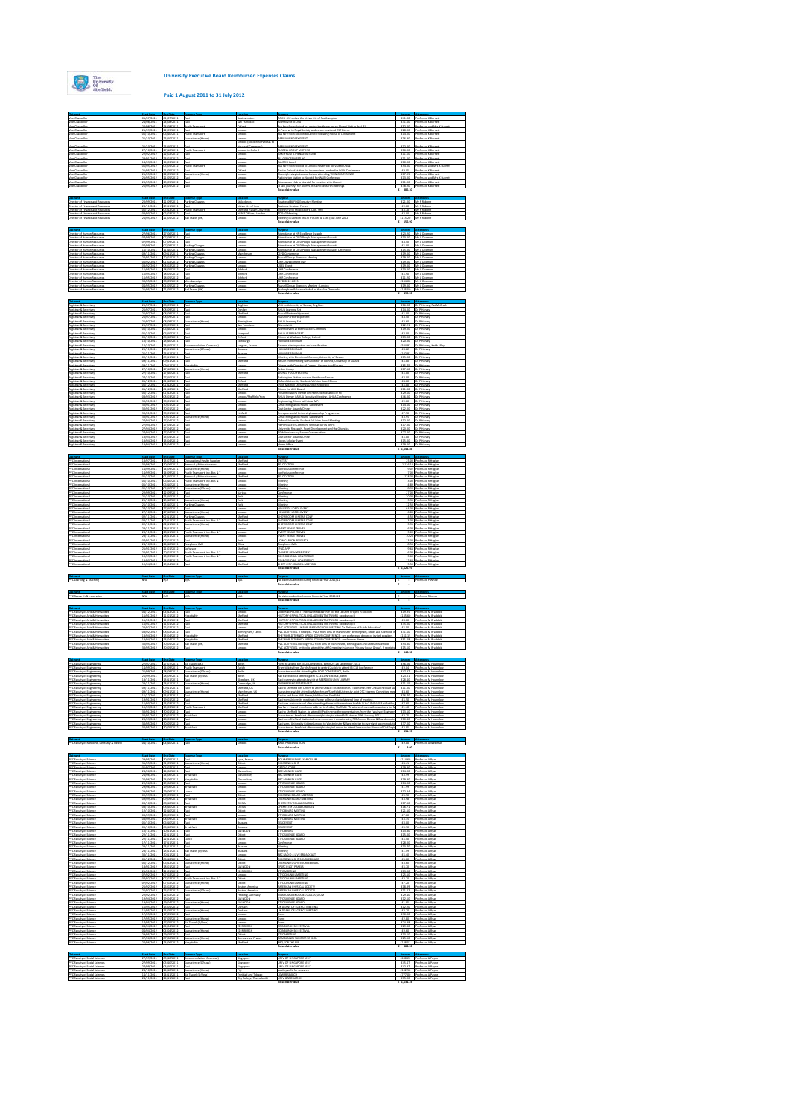# **Paid 1 August 2011 to 31 July 2012**

|                                                                                                                                                                                                                                                                  |                          | 1827/2011                                                      |                                                             |                                                  | VIIS - VC visited the University of                                                                                                                                                           | (41.00)             | Professor KBus                                                 |
|------------------------------------------------------------------------------------------------------------------------------------------------------------------------------------------------------------------------------------------------------------------|--------------------------|----------------------------------------------------------------|-------------------------------------------------------------|--------------------------------------------------|-----------------------------------------------------------------------------------------------------------------------------------------------------------------------------------------------|---------------------|----------------------------------------------------------------|
|                                                                                                                                                                                                                                                                  | 8/2011                   | 1/08/2011<br>A08/2011                                          |                                                             |                                                  | a fare from Oxford to                                                                                                                                                                         | £31.60<br>£52.00    | fessor and Mrs K E                                             |
| Vice-Chancellor                                                                                                                                                                                                                                                  | 6/10/2011                | 06/10/2011                                                     | <b>Public Transport</b>                                     | andon                                            | t Pancras to Royal Society and return to at<br>lus fare from London to Oxford following House of Lords even                                                                                   | £28.00<br>£14.00    | pfessor K Burnet<br>rofessor Küurnett                          |
| Vice-Chancello                                                                                                                                                                                                                                                   | 5/10/2011                | 5/10/2011                                                      | ubsistence (Home)                                           | andon<br>on (London St Pancras to                | ARLIAMENTARY EVENT                                                                                                                                                                            | £16.90              | rofessor K Burnett                                             |
| Vice-Chancello                                                                                                                                                                                                                                                   | 5/10/2011                | 5/10/2011                                                      |                                                             | (ouse of Commons)                                | ARLIAMENTARY EVENT                                                                                                                                                                            | 112.00              | <b>Professor K Burnet</b>                                      |
| Vice-Chancello<br>Vice-Chancello                                                                                                                                                                                                                                 | 7/10/2011<br>2/02/2012   | 7/10/2011<br>2/02/2012                                         | ublic Tra                                                   | andon to Oxford<br>indon                         | USSELL GROUP MEETING<br>AXI FROM ATHENAEUM CLUB                                                                                                                                               | 116.00<br>£11.50    | <b>Professor KBurnett</b><br><b>Professor KBurnett</b>         |
| Vice-Chancella<br>Vice-Chancella                                                                                                                                                                                                                                 | 1/01/2012<br>403/2012    | 3/01/2012<br>4/03/2012                                         |                                                             | indor<br>indon                                   | IS OFFICES MEETING<br><b>LLUMINI Lunch</b>                                                                                                                                                    | £11.00<br>\$10.00   | rofessor Küurnet<br>rofessor Küurnet                           |
| Vice-Chancell                                                                                                                                                                                                                                                    | (05/2012)                | 1,05/2012                                                      | ublic Trans                                                 | indon                                            | lus fare from Oxford to London Heathrow for visit to China                                                                                                                                    | £54.00              | rofessor and Mrs K B                                           |
| Vice-Chancella<br>Vice-Chancella                                                                                                                                                                                                                                 | 1/05/2012<br>1/05/2012   | 1/05/2012<br>12/05/2012                                        | axi<br>ubsistence (Home)                                    | afond<br>andon                                   | Fasi to Oxford station for journey into London for WUN Conference<br>Overnight stay in London before attending WUN CONFERENCE                                                                 | £9.05<br>£17.05     | rofessor KBurnett<br>Professor Külumet                         |
| Vice-Chancello<br>Vice-Chancella                                                                                                                                                                                                                                 | 1/05/2012<br>1/05/2012   | 1/05/2012<br>13/05/2012                                        | Taxd<br>Taxd                                                | andon<br>indon                                   | addington station to Novotel for WUN Conference<br>thenaeum club to Novotel for meeting with Alumni                                                                                           | £13.00<br>£11.00    | Professor and Mrs K Burn<br><b>Professor KBurnett</b>          |
| Vice-Chancello                                                                                                                                                                                                                                                   | 05/2012                  | 25/05/2012                                                     |                                                             | indon                                            | 3 taxi journeys for Alumni, 8/5 and Research meetings                                                                                                                                         |                     | £38.20 Professor K Burnett                                     |
|                                                                                                                                                                                                                                                                  |                          |                                                                |                                                             |                                                  |                                                                                                                                                                                               |                     |                                                                |
| Claim                                                                                                                                                                                                                                                            |                          | 20/09/2011 21/09/2011 Parking Charges                          |                                                             | St Andrews                                       | To attend BUFDG Executive Meeting                                                                                                                                                             |                     | (21.00 Mr R Rabone                                             |
| Director of Finance and Resources<br>Director of Finance and Resources<br>Director of Finance and Resources                                                                                                                                                      | 5/12/2011                | 28/11/2011 29/11/2011 Taxi<br>05/12/2011                       | Public Transport                                            | University of York<br>heffield Hallam University | <b>Justiness Strategy Forum</b><br>Meeting with Philip Severs, DoF, SHU                                                                                                                       |                     | £9.00 Mr R Rabone<br>£3.70 Mr R Rabone                         |
| Director of Finance and Resources                                                                                                                                                                                                                                | 2/01/2012<br>1/05/2012   | 02/03/2012<br>21/05/2012                                       | Tand                                                        | HIFCE Offices, London                            | <b>DGAG Meeting</b>                                                                                                                                                                           | 00.83               | Mr R Rabone                                                    |
| Director of Finance and Resource                                                                                                                                                                                                                                 |                          |                                                                | Rail Travel (UK)                                            | andon                                            | Meeting in London on 1st (Fusion) & 15th (RG) June 20                                                                                                                                         |                     | £115.20 Mr R Rabone<br>£ 156.50                                |
| Claim                                                                                                                                                                                                                                                            |                          |                                                                |                                                             |                                                  |                                                                                                                                                                                               |                     |                                                                |
| Director of Human Resources<br>Director of Human Resources                                                                                                                                                                                                       |                          | 27/06/2011 27/06/2011 Taxi                                     |                                                             | London                                           | Attendance at HR Excellence Awards                                                                                                                                                            |                     | £23.20 Mr A Dodman                                             |
| Director of Human Resources                                                                                                                                                                                                                                      | 17/09/2011<br>7/09/2011  | 07/09/2011<br>7/09/2011                                        | axi                                                         | andon<br>andon                                   | Ittendance at CIPD People Management Awards<br>Ittendance at CIPD People Management Awards                                                                                                    | £4.40               | £10.00 Mr A Dodman<br>Mr A Dodma                               |
| Director of Human Resource<br>Director of Human Resource                                                                                                                                                                                                         | 7/09/2011<br>1/10/2011   | 07/09/2011<br>11/10/2011                                       | arking Charges<br>arking Charges                            | andon<br>andon                                   | Ittendance at CIPD People Management Awards<br>ittendance at CIPD People Management Awards Cer                                                                                                | £5.00<br>£15.00     | Mr A Dodma<br>Mr A Dodma                                       |
| Director of Human Resource                                                                                                                                                                                                                                       | 9/11/2011                | 9/11/2011                                                      | arking Charges                                              | danchester                                       | <b>IPD Conference</b><br><b>Quisell Group Directors Meeting</b>                                                                                                                               | £19.00              | Mr A Dodma                                                     |
| Director of Human Resources<br>Director of Human Resources                                                                                                                                                                                                       | 0/01/2012<br>1/02/2012   | 0/01/2012<br>01/02/2012                                        | arking Charges<br>arking Charges                            | andon<br>andon                                   | JHR Development Day                                                                                                                                                                           | £19.00<br>£19.00    | Mr A Dodma<br>Mr A Dodma                                       |
| Director of Human Resource<br>Director of Human Resource                                                                                                                                                                                                         | 0,02/2012<br>6/05/2012   | 00/02/2012<br>18/05/2012                                       | arking Charge<br>and                                        | indor<br>shford                                  | JCEA Event<br>JHR Conference                                                                                                                                                                  | £19.00<br>£10.00    | Mr A Dodma<br>Mr A Dodma                                       |
| Director of Human Resource                                                                                                                                                                                                                                       | 6/05/2012                | 18/05/2012                                                     |                                                             | shford                                           | JHR Conference                                                                                                                                                                                | £5.90               | Mr A Dodma                                                     |
| Director of Human Resource<br>Director of Human Resources                                                                                                                                                                                                        | 6/05/2012<br>0/05/2012   | 18/05/2012<br>0,05/2012                                        | Memberships                                                 | lahford<br>andon                                 | JHR Conference<br>190 2012-2013                                                                                                                                                               | £11.20              | Mr A Dodma<br>£134.00 Mr A Dodma                               |
| Director of Human Resources<br>Director of Human Resources                                                                                                                                                                                                       | (05/2012)                | 04/05/2012<br>1/05/2012 21/05/2012                             | <b>Farking Charges</b><br>Rail Travel (UK)                  | andon<br>andon                                   | lussell Group Directors Meeting - London                                                                                                                                                      |                     | £19.00 Mr A Dodmar                                             |
|                                                                                                                                                                                                                                                                  |                          |                                                                |                                                             |                                                  | Buckingham Palace on behalf of the Vice Chancello<br>Total claim value                                                                                                                        |                     | £185.50 Mr A Dodman<br>£ 499.20                                |
|                                                                                                                                                                                                                                                                  |                          |                                                                |                                                             |                                                  |                                                                                                                                                                                               |                     |                                                                |
| Registrar & Secretary<br>Registrar & Secretary                                                                                                                                                                                                                   | 16/07/2011               | 26/07/2011 08/09/2011 Taxi<br>08/09/2011                       | axi                                                         | Brighton<br>undee                                | Visit to University of Sussex, Brighton<br><b>MIJA Learning Set</b>                                                                                                                           |                     | £16.00 Dr P Harvey, Pat McGrat<br>£14.00 Dr P Harvey           |
| Registrar & Secretary<br>Registrar & Secretary                                                                                                                                                                                                                   | 6/07/2011<br>6/07/2011   | 00/09/2011<br>00/09/2011                                       | and                                                         | heffield<br>andon                                | basell Partnership event<br>Lasell Partnership event                                                                                                                                          | £5.00<br>£4.40      | Dr P Harvey<br>Dr P Harvey                                     |
| Registrar & Secretary<br>Registrar & Secretary                                                                                                                                                                                                                   | 6/07/2011<br>6/07/2011   | 0/09/2011<br>00/09/2011                                        | ubsistence (Home)                                           | mingham<br>an Francisco                          | <b>MIJA Learning Set</b><br>tisv innuli                                                                                                                                                       | 63.60<br>f22.21     | Dr P Harvey<br>Dr P Harvey                                     |
| Registrar & Secretary                                                                                                                                                                                                                                            | 6/10/2011                | 06/10/2011                                                     |                                                             | indon                                            | <b>Aumni event at the House of Common</b>                                                                                                                                                     | £19.00              | Dr P Harvey                                                    |
| Registrar & Secretary<br>Registrar & Secretary                                                                                                                                                                                                                   | 6/10/2011<br>6/10/2011   | 06/10/2011<br>6/10/2011                                        |                                                             | verpoo<br>dond                                   | <b><i>PEALEARNING SET</i></b><br>linner at Wadham College, Oxford                                                                                                                             | 00.83<br>£13.00     | Dr P Harvey<br>Dr P Harvey                                     |
| Registrar & Secretary<br>Registrar & Secretary                                                                                                                                                                                                                   | 0/10/2011<br>0/10/2011   | 12/10/2011<br>23/10/2011                                       | Accommodation (Overseas)                                    | deburgh<br>orgues, France                        | <b>SAVANE SEMINAR</b><br>ake on site inspection and specification                                                                                                                             | £20.00<br>£504.92   | Dr P Harvey<br>Dr P Harvey, Kelth                              |
| Registrar & Secretary<br>Registrar & Secretary                                                                                                                                                                                                                   | 5/11/2011<br>5/11/2011   | 15/11/2011<br>15/11/2011                                       | ubsistence (D/seas)                                         | russels<br>russels                               | <b>UMANI SEMINAR</b><br><b>IUMANE SEMINAR</b>                                                                                                                                                 | 68.22<br>£102.81    | Dr P Harvey<br>Dr P Harvey                                     |
| Registrar & Secretary                                                                                                                                                                                                                                            | 9/11/2011                | 9/11/2011                                                      |                                                             | indor                                            | Meeting with Director of Comms, University of Sussex                                                                                                                                          | £15.00              | Dr P Harvey                                                    |
| Registrar & Secretary<br>Registrar & Secretary                                                                                                                                                                                                                   | 9/11/2011<br>9/11/2011   | 9/11/2011<br>9/11/2011                                         | ospitality                                                  | heffield<br>andon                                | leturn from meeting with Director of Comms, University of Susa<br>Jinner with Director of Comms, University of Sussex                                                                         | £5.00<br>185.75     | Dr P Harvey<br>Dr P Harvey                                     |
| Registrar & Secretary<br>Registrar & Secretary                                                                                                                                                                                                                   | 7/10/2011<br>7/10/2011   | 17/10/2011<br>17/10/2011                                       | ubsistence (Home)                                           | indor<br>heffield                                | den Group<br>VOILD FOOD FESTIVAL                                                                                                                                                              | £17.50<br>£5.00     | Dr P Harvey<br>Dr P Harvey                                     |
| Registrar & Secretary                                                                                                                                                                                                                                            | 7/10/2011                | 17/10/2011                                                     |                                                             | indon                                            | addington Station to catch Heathrow Express                                                                                                                                                   | 0.001               | Dr P Harvey                                                    |
| Registrar & Secretary<br>Registrar & Secretary                                                                                                                                                                                                                   | 1/12/2011<br>1/12/2011   | 01/12/2011<br>01/12/2011                                       |                                                             | dont<br>heffield                                 | <b>Joford University Students's Union Board Dinner</b><br>rwin Mitchell Christmas Drinks Reception                                                                                            | £4.00<br>£5.00      | Dr P Harvey<br>Dr P Harvey                                     |
| Registrar & Secretary<br>Registrar & Secretary                                                                                                                                                                                                                   | 1/12/2011<br>1/12/2011   | 01/12/2011<br>01/12/2011                                       |                                                             | heffield<br>andor                                | Inner for AMI Board<br>insent Masons Dinner on Internationalisation of HE                                                                                                                     | £11.00<br>£29.50    | Dr P Harvey<br>Dr P Harvey                                     |
| Registrar & Secretary<br>Registrar & Secretary                                                                                                                                                                                                                   | 0,01/2012                | 001/2012                                                       |                                                             | andon/Sheffield/York                             | <b>MUA Dinner / AHUA Executive Meeting / AHUA Confere</b><br>Ingineering Dinner with local MPs                                                                                                | £46.00              | Dr P Harvey                                                    |
| Registrar & Secretary                                                                                                                                                                                                                                            | 0/01/2012<br>0/01/2012   | 0/01/2012<br>0/01/2012                                         |                                                             | andon<br>andon                                   | ASE Immigration Round Table event                                                                                                                                                             | £9.00<br>£14.50     | Dr P Harvey<br>Dr P Harvey                                     |
| Registrar & Secretary<br>Registrar & Secretar                                                                                                                                                                                                                    | 0/01/2012<br>0/01/2012   | 0/01/2012<br>0/01/2012                                         |                                                             | indor<br>tatfield                                | Cost Sector Awards Dinner<br>intrepreneurial University Leadership Programme                                                                                                                  | £22.00<br>£7.50     | Dr P Harvey<br>Dr P Harvey                                     |
| Registrar & Secretar<br>Registrar & Secretary                                                                                                                                                                                                                    | 101/2012<br>7/04/2012    | 0/01/2012<br>17/04/2012                                        | ubsistence (Home)<br>and                                    | andon<br>andon                                   | ASE Immigration Round Table event<br>Inford University Students's Union Board Meeting                                                                                                         | £1.95<br>£12.00     | Dr P Harvey<br>Dr P Harvey                                     |
| Registrar & Secretary                                                                                                                                                                                                                                            | 7/04/2012                | 7/04/2012                                                      |                                                             | andon                                            | (EPI House of Commons Seminar Series on HE                                                                                                                                                    | £17.00              | Dr P Harvey                                                    |
| Registrar & Secretary<br>Registrar & Secretary                                                                                                                                                                                                                   | 7/04/2012<br>7/04/2012   | 17/04/2012<br>17/04/2012                                       |                                                             | andon<br>andor                                   | niversity Research, Sport Development and the Oly<br>Oth Anniversary Sussex Conversations                                                                                                     | £20.00<br>£27.00    | Dr P Harvey<br>Dr P Harvey                                     |
| Registrar & Secretary<br>Registrar & Secretary                                                                                                                                                                                                                   | 13/04/2012<br>13/04/2012 | 11/04/2012<br>13/04/2012                                       | Taxd                                                        | Sheffield<br>andon                               | Cost Sector Awards Dinner<br>Joyds Scholar Event                                                                                                                                              | £5.00               | Dr P Harvey<br>£15.00 Dr P Harvey                              |
| Registrar & Secretary                                                                                                                                                                                                                                            |                          | 13/04/2012 13/04/2012 Taxi                                     |                                                             | London                                           | Home Office<br>Total claim value                                                                                                                                                              | 6, 1, 144.86        | (19.00 Dr P Harvey)                                            |
| Clair                                                                                                                                                                                                                                                            |                          |                                                                |                                                             |                                                  |                                                                                                                                                                                               |                     |                                                                |
| PVC international                                                                                                                                                                                                                                                |                          |                                                                | 13/07/2011 13/07/2011 Occupational Health Supplies          | Sheffield                                        | <b>ENTEST</b>                                                                                                                                                                                 |                     | 25.00 Professor R Hughe                                        |
| PVC international<br>PVC international                                                                                                                                                                                                                           | 10/06/2011<br>14/09/2011 | 30/06/2011<br>14/09/2011                                       | Removal / Relocation exps<br>Subsistence (Home)             | Sheffield<br>ondon                               | MOCATION<br>onfuciun conference                                                                                                                                                               |                     | 1.116.14 Professor R Hughes<br>9.02 Professor R Hughes         |
| PVC international                                                                                                                                                                                                                                                | 14/09/2011               | 14/09/2011                                                     | Public Transport (inc. But & T                              | ondon                                            | onfuciun conference                                                                                                                                                                           |                     | 7.00 Professor R Hughes                                        |
| PVC international<br>PVC international                                                                                                                                                                                                                           | 01/10/2011<br>6/10/2011  | 01/10/2011<br>06/10/2011                                       | Removal / Relocation exps<br>Public Transport (Inc. Bus & T | Sheffield<br>ondon                               | <b>KLOCATION</b><br>Veeting                                                                                                                                                                   | 3.00                | 128.00 Professor R Hughes<br><b>Professor R Hugher</b>         |
| PVC international<br>PVC international                                                                                                                                                                                                                           | 6/10/2011<br>6/10/2011   | 06/10/2011<br>06/10/2011                                       | Subsistence (Home)<br>Subsistence (D/seas)                  | ondon<br>ondon                                   | Veeting<br>Veeting                                                                                                                                                                            | 4.89                | <b>Professor R Hugher</b><br>9.14 Professor R Hughes           |
| PVC international<br>PVC international                                                                                                                                                                                                                           | 22/09/2011<br>5/10/2011  | 22/09/2011<br>25/10/2011                                       | Tand<br>Taxi                                                | <b>Inrigum</b><br><b>lark</b>                    | conference<br>Meeting                                                                                                                                                                         |                     | 27.00 Professor R Hughes<br>20.00 Professor R Hughes           |
| PVC international                                                                                                                                                                                                                                                | 5/10/2011                | 25/10/2011                                                     | Subsistence (Home)                                          | fark                                             | Veeting                                                                                                                                                                                       |                     | 3.35 Professor R Hughes                                        |
| PVC international<br>PVC international                                                                                                                                                                                                                           | 5/10/2011<br>17/10/2011  | 27/10/2011                                                     | 25/10/2011 Parkins Charges<br>Taxi                          | fark<br>ondor                                    | Veeting<br>HOUSE OF LORDS EVENT                                                                                                                                                               |                     | 12.50 Professor R Hughes<br>64.00 Professor R Hughes           |
| PVC international<br>PVC international                                                                                                                                                                                                                           | 17/10/2011<br>2/11/2011  | 27/10/2011<br>02/11/2011                                       | Subsistence (Hz<br>Parking Channes                          | ondon<br>Sheffield                               | <b>FOUSE OF LORDS EVENT</b><br>HOWROOM CINEMA CON                                                                                                                                             |                     | 6.83 Professor R Hughes<br>4.50 Professor R Hughes             |
| PVC international                                                                                                                                                                                                                                                | 02/11/2011               |                                                                | 02/11/2011 Public Transport (inc. But & T.                  | Sheffield                                        | HOWROOM CINEMA CON                                                                                                                                                                            |                     | 3.00 Professor R Hughes                                        |
| PVC international<br>PVC international                                                                                                                                                                                                                           | 02/11/2011<br>28/11/2011 | 28/11/2011                                                     | 02/11/2011 Subsistence (Home)<br>Tand                       | Sheffield<br>ondon                               | HOWROOM CINEMA CON<br>VENT VENUE TRAVEL                                                                                                                                                       |                     | 1.95 Professor R Hughes<br>6.00 Professor R Hughes             |
| PVC international<br>PVC international                                                                                                                                                                                                                           | 28/11/2011<br>28/11/2011 | 28/11/2011<br>28/11/2011                                       | Public Transport (inc. But & T<br>Subsistence (Home)        | ondon<br>ondon                                   | VENT VENUE TRAVEL<br>VENT VENUE TRAVEL                                                                                                                                                        | 3.00<br>10.28       | <b>Professor R Hugher</b><br><b>Professor R Hugher</b>         |
| PVC international                                                                                                                                                                                                                                                | 17/01/2012               | 07/01/2012                                                     | Taxi                                                        | fork                                             | OW CARBON RESEARCH                                                                                                                                                                            | 13.30               | <b>Professor R Hugher</b>                                      |
| PVC international<br>PVC international                                                                                                                                                                                                                           | 4/10/2011<br>21/01/2012  | 24/10/2011<br>21/01/2012                                       | Telephone Call<br>Software                                  | <b>China</b><br>Sheffield                        | Felephone Calls<br>FAD APP                                                                                                                                                                    | 8.53                | <b>Professor R Hugher</b><br>9.64 Professor R Hughes           |
|                                                                                                                                                                                                                                                                  |                          |                                                                | 20/01/2012 Public Transport (inc. But & T.                  | Sheffield                                        | TATAL SATY WIN 121600                                                                                                                                                                         |                     | 6.00 Professor R Hughes<br>3.60 Professor R Hughes             |
| PVC international                                                                                                                                                                                                                                                | 10/01/2012               |                                                                |                                                             |                                                  |                                                                                                                                                                                               |                     |                                                                |
| PVC international<br>PVC international                                                                                                                                                                                                                           | 13/03/2012<br>13/03/2012 | 13/03/2012                                                     | 13/03/2012 Public Transport (inc. But & T)<br>Taxi          | ondon<br>ondon                                   | GOING GLOBAL CONFERINCE<br>GOING GLOBAL CONFERINCE                                                                                                                                            |                     | 12.60 Professor R Hughes                                       |
| PVC international                                                                                                                                                                                                                                                |                          | 19/04/2012 19/04/2012 Taxi                                     |                                                             | Sheffield                                        | SHEFF CITY COUNCIL MEETING<br>Total claim value                                                                                                                                               | 6, 1, 525.97        | 5.50 Professor R Hughes                                        |
| Claim                                                                                                                                                                                                                                                            |                          |                                                                |                                                             |                                                  |                                                                                                                                                                                               |                     |                                                                |
| PVC Learning & Teaching                                                                                                                                                                                                                                          | N/A N/A                  |                                                                | N/A                                                         | N/A                                              | No claims submitted during Financial Year 2011/12<br>Total claim value                                                                                                                        | $E = 100$           | E Professor P White                                            |
| a.                                                                                                                                                                                                                                                               |                          |                                                                |                                                             |                                                  |                                                                                                                                                                                               |                     |                                                                |
| PVC Research & Innovation                                                                                                                                                                                                                                        | N/A                      | N/A                                                            | N/A                                                         | NGA.                                             | No claims submitted during Financial Year 2011/12                                                                                                                                             |                     | E Professor Righes                                             |
|                                                                                                                                                                                                                                                                  |                          |                                                                |                                                             |                                                  | Total claim value                                                                                                                                                                             |                     |                                                                |
| PVC Faculty of Arts & Humanitie                                                                                                                                                                                                                                  |                          | 04/12/2011 04/12/2011 Taxi                                     |                                                             | London                                           | LILBURNE PROJECT - meet with Researcher for the Liburne Project in London                                                                                                                     |                     | £19.95 Professor Militaddick                                   |
| PVC Faculty of Arts & Humanities<br>PVC Faculty of Arts & Humanitie                                                                                                                                                                                              | 11/01/2012<br>11/01/2012 | 11/01/2012<br>11/01/2012                                       | <b>Hospitalit</b><br>Taxi                                   | Sheffield<br>Sheffield                           | HISTORY OF POLITICAL ENGAGEMENT NETWORK - workshop III<br>11STORY OF POLITICAL ENGAGEMENT NETWORK - workshop III                                                                              | CR 00               | £185.60 Professor Militaddick<br>Professor M Braddick          |
| PVC Faculty of Arts & Humanitie                                                                                                                                                                                                                                  | 11/01/2012               | 11/01/2012                                                     | <b>Date</b>                                                 | heffield                                         | 11STORY OF POLITICAL ENGAGEMENT NETWORK - workshop III                                                                                                                                        | 435.00              | <b>Professor M Braddic</b>                                     |
| PVC Faculty of Arts & Humanitie<br>PVC Faculty of Arts & Humanitie                                                                                                                                                                                               | 22/02/2012<br>06/02/2012 | 22/02/2012<br>08/02/2012                                       | Taxi<br>Taxd                                                | ondon<br><b>Immingham / Leed</b>                 | VC ACTIVITIES, UK PARUAMENT GROUP MEETING "In Defence of Public Education".<br>VC ACTIVITIES, 2 Receipts. PVCs from Unix of Manchester, Binningham, Leeds and Sheffield, is                   | 02.01               | <b>Professor M Braddick</b><br>£31.50 Professor M Braddick     |
| PVC Faculty of Arts & Humanities<br>PVC Faculty of Arts & Humanities                                                                                                                                                                                             |                          | 13/04/2012 13/04/2012<br>13/04/2012 13/04/2012 Hospitality     | Hospitality                                                 | <b>Sheffield</b><br>Sheffield                    | THE WORLD TURNED UPSIDE DOWN CONFERENCE - pre conference dinner of invited speakers.<br>THE WORLD TURNED UPSIDE DOWN CONFERENCE - conference dinner                                           |                     | £161.15 Professor Militaddick<br>£91.08 Professor M Braddick   |
| PVC Faculty of Arts & Humanities<br>PVC Faculty of Arts & Humanitie                                                                                                                                                                                              | 10/05/2012               | 30/05/2012 Ball Travel (UK)<br>30/05/2012 30/05/2012 Taxi      |                                                             | Sheffield<br>London                              | PVC ACTIVITIES Hosting PVCs from Unix of Manchester, Birmingham and Leeds in Sheffield<br>PVC ACTIVITIES, invited to attend the AHRC meeting in London Vistory Focus Group', 2 receipts       |                     | £94.30 Professor M Braddick                                    |
|                                                                                                                                                                                                                                                                  |                          |                                                                |                                                             |                                                  | Total claim value                                                                                                                                                                             |                     | (15.50 Professor Militaddick<br>E 648.58                       |
|                                                                                                                                                                                                                                                                  |                          |                                                                |                                                             |                                                  |                                                                                                                                                                                               |                     |                                                                |
| PVC Faculty of Engineering<br>PVC Faculty of Engineering                                                                                                                                                                                                         |                          | 27/07/2011 27/07/2011 Air Travel (UK)<br>14/09/2011 14/09/2011 | Public Transpo                                              | Gertin<br>Zurich                                 | Flight to attend lith EECE Conference, Berlin 25-28 September 2011.<br>Tram tickets from Zurich Airport to central Zurich to attend ISICIB Conference                                         |                     | £96.06 Professor Mitiguration<br>E9.04 Professor M Hounslow    |
|                                                                                                                                                                                                                                                                  | 15/09/2011               | 28/09/2011                                                     | Subsistence (D.                                             | lerin                                            | ubsistence whilst attending Bth ECCE CONFERENCE, Berlin                                                                                                                                       | 647.37              | <b>Professor Mitiguration</b>                                  |
| <b>PVC Faculty of Engineering</b><br><b>PVC Faculty of Engineering</b><br>PVC Faculty of Engineering                                                                                                                                                             | 5509/2011<br>13/11/2011  | 28/09/2011<br>11/11/2011                                       | Rail Travel (O/S)<br>Tand                                   | lerlin.<br><b>Denters III</b>                    | Ral travel whilst attending Bth ECCE CONFERENCE, Berlin<br>Text lourney to attend site visit at ABERDEEN UNIV LIBRARY                                                                         | (23.01<br>£28.40    | <b>Professor Mitiguration</b><br><b>Professor Mitiguration</b> |
| <b>PVC Faculty of Engineering</b><br>PVC Faculty of Engineering                                                                                                                                                                                                  | 23/11/2011<br>99/11/2011 | 23/11/2011<br>09/11/2011                                       | Subsistence (Home)<br>Taxi                                  | ambrides, UK<br><b>Sheffield, UK</b>             | TIZIV JTATZI DARIJIMIZMI<br>Taxi to Sheffield City Centre to attend Chill Si Institute lunch. Taxi home after Chill Si Institute Inc                                                          | 01.55<br>$(11.00 -$ | <b>Professor Mitiguration</b><br><b>Professor Mitiguration</b> |
| <b>PVC Faculty of Engineering</b><br><b>PVC Faculty of Engineering</b>                                                                                                                                                                                           | 99/11/2011<br>15/12/2011 | 09/11/2011<br>15/12/2011 Taxi                                  | Subsistence (Home)                                          | Manchester, UK<br><b>Sheffield</b>               | schrittence whilst attending Manchester/Sheffield University Joint DTC Steering Committee me<br>Taxi to and from AMI dinner. Holiday Inn. Sheffield.                                          | 64.60<br>416.70     | <b>Professor Mitiguration</b><br><b>Professor Mitiguration</b> |
| <b>PVC Faculty of Engineering</b><br>PVC Faculty of Engineering                                                                                                                                                                                                  | 19/01/2012               | 19/01/2012 Taxi<br>15/03/2012 15/03/2012 Taxi                  |                                                             | Sheffield<br>Sheffield                           | Taxi from University meeting to home address due to late end time of meeting.<br>Taxi face - return travel after attending dinner with exeminers for Mr.Xi Yu's PHD VIVA at Antibo            | 02.01               | <b>Professor Mitiguration</b><br>£7.60 Professor M Houselow    |
| PVC Faculty of Engineering                                                                                                                                                                                                                                       | 5/03/2012                | 15/03/2012                                                     | ublic Transport                                             | effield                                          | lus fare - travel from home address to Antibo. Sheffield. To attend dinner with examiners for P                                                                                               | £1.40               | Professor M Hounslo                                            |
| PVC Faculty of Engineering<br>PVC Faculty of Engineering                                                                                                                                                                                                         | 10/01/2012<br>0/01/2012  | 30/01/2012<br>30/01/2012                                       | Greakfas                                                    | ondon<br>ondon                                   | Taxi to Sheffield Station, to attend MPs dinner with representatives from the Faculty of Engineer<br>schnistence - breakfast after overnieht stav to attend MPs dinner 30th January 2012      | £4.25               | £13.10 Professor Mitigatelpa<br><b>Professor Mitiguration</b>  |
| PVC Faculty of Engineering<br>PVC Faculty of Engineering                                                                                                                                                                                                         | 28/03/2012<br>10/05/2012 | 28/03/2012<br>30/05/2012                                       | Taxi.<br>Taxd                                               | ondon<br>ondon                                   | Taxi from Sheffield Station to home on return from attending FCE Alumni Dinner & Board meetin<br>Taxi fares. University College London to Westminster & Westminster to overnight accommodati- | (10.40<br>437.00    | Professor Mitiguration<br>Professor M Hounslow                 |
| PVC Faculty of Engineering                                                                                                                                                                                                                                       | 30/05/2012               | 30/05/2012                                                     |                                                             | andor                                            | Subsistence - breakfast after overnight stay in London to attend Smeatonian Dinner of Civil Engin<br>Total claim value                                                                        | $6 - 331.93$        | £3.95 Professor Mitigunstein                                   |
|                                                                                                                                                                                                                                                                  |                          |                                                                |                                                             |                                                  |                                                                                                                                                                                               |                     |                                                                |
| ö.<br>PVC Faculty of Medicine, Dentistry & Health                                                                                                                                                                                                                |                          | 04/10/2011 04/10/2011 Taxi                                     |                                                             | London                                           | ABLIK PRESENTATION                                                                                                                                                                            |                     | [9.00 Professor A Westman                                      |
|                                                                                                                                                                                                                                                                  |                          |                                                                |                                                             |                                                  | Total claim value                                                                                                                                                                             | $6 - 9.00$          |                                                                |
| ö.<br>PVC Faculty of Science                                                                                                                                                                                                                                     |                          | 29/05/2011 30/05/2011 Taxi                                     |                                                             | Lyon, France                                     | POLYMER SCHINDE SYMPOSIUM                                                                                                                                                                     |                     | £114.69 Professor A Ryan                                       |
| PVC Faculty of Science                                                                                                                                                                                                                                           | 11/05/2011               | 31/05/2011                                                     | Subsistence<br>Tand                                         | Didcot<br>ondor                                  | THOU GROMAN                                                                                                                                                                                   | £4.41               | Professor A Ryan                                               |
| PVC Faculty of Science<br>PVC Faculty of Science                                                                                                                                                                                                                 | 5/07/2011<br>24/06/2011  | 06/07/2011<br>24/06/2011                                       | Taxi                                                        | Sletonbury                                       | ATCLO CONF<br><b>ISC MONKEY GATE</b>                                                                                                                                                          | 439.30<br>(14.00    | <b>Professor A Ryan</b><br><b>Professor A Ryan</b>             |
| PVC Faculty of Science<br>PVC Faculty of Science                                                                                                                                                                                                                 | 4/06/2011<br>24/06/2011  | 24/06/2011<br>24/06/2011                                       | Greakfast<br>ospitality                                     | Sletonbury<br><b>Slastonbury</b>                 | <b>ISC MONKEY GATE</b><br>ISC MONKEY GATE                                                                                                                                                     | £8.59<br>£19.90     | rofessor A Ryan<br>Professor A Ryan                            |
| PVC Faculty of Science<br>PVC Faculty of Science                                                                                                                                                                                                                 | 9/06/2011<br>9/06/2011   | 29/06/2011<br>29/06/2011                                       | <b>And</b><br><b>Breakfast</b>                              | ondon<br>ondon                                   | TFC SO ENCE BOARD<br>TFC SCHINCE BOARD                                                                                                                                                        | (14.00<br>£1.99     | Professor A Ryan<br>Professor A Ryan                           |
| PVC Faculty of Science                                                                                                                                                                                                                                           | 29/06/2011               | 29/06/2011                                                     | unch.                                                       | ondon                                            | TFC SO ENCE BOARD<br>NITING GRACE GROMANC                                                                                                                                                     | 112.34              | Professor A Ryan                                               |
| PVC Faculty of Science<br>PVC Faculty of Science                                                                                                                                                                                                                 | 09/09/2011<br>09/09/2011 | 09/09/2011<br>06/09/2011                                       | Taxi.<br>Greakfast                                          | Didirot<br>Didirot                               | JIAMOND BOARD MEETING                                                                                                                                                                         | 02.01<br>63.98      | rofessor A Ryan<br>rofessor A Ryan                             |
| PVC Faculty of Science<br>PVC Faculty of Science                                                                                                                                                                                                                 | 00/10/2011<br>0/10/2011  | 08/10/2011<br>08/10/2011                                       | ind.<br>Greakfast                                           | CHINA<br>CHINA                                   | <b>DEMISTRY COLLABORATION</b><br><b>DEMISTRY COLLABORATION</b>                                                                                                                                | (17.60)<br>(16.71)  | rofessor A Ryan<br>rofessor A Ryan                             |
| PVC Faculty of Science<br>PVC Faculty of Science                                                                                                                                                                                                                 | 12/10/2011<br>06/09/2011 | 12/10/2011<br>08/09/2011                                       | <b>Auto</b><br>Taxi                                         | Didirot<br>ondor                                 | DWITTING GRACE STE<br>TFC BOARD MEETING                                                                                                                                                       | (21.10)<br>£7.00    | <b>Professor A Ryan</b><br>rofessor A Ryan                     |
| PVC Faculty of Science                                                                                                                                                                                                                                           | 06/09/2011               | 08/09/2011                                                     | <b>Breakfast</b>                                            | ondon                                            | <b>TFC BOARD MEETING</b>                                                                                                                                                                      | 63.35               | rofessor A Ryan                                                |
| PVC Faculty of Science<br>PVC Faculty of Science                                                                                                                                                                                                                 | 6/10/2011<br>6/10/2011   | 06/10/2011<br>06/10/2011                                       | Taxi<br><b>Breakfast</b>                                    | Irusels<br>Irusels                               | TKING 221<br><b>ISC IVINT</b>                                                                                                                                                                 | 68.00<br>02.03      | rofessor A Ryan<br><b>Professor A Ryan</b>                     |
| PVC Faculty of Science<br>PVC Faculty of Science                                                                                                                                                                                                                 | 10/11/2011<br>2/11/2011  | 10/11/2011<br>22/11/2011                                       | Tand<br>Tand                                                | SWINDON<br>Didcot                                | CIRC BOARD<br>CIRAGE EDITIONS                                                                                                                                                                 | (13.80<br>(15.00    | <b>Professor A Ryan</b><br><b>Professor A Ryan</b>             |
| PVC Faculty of Science                                                                                                                                                                                                                                           | 2/11/2011                | 22/11/2011                                                     | Lunch<br>Taxi                                               | <b>Vote</b>                                      | STFC SCHINCE BOARD                                                                                                                                                                            | £5.40               | <b>Professor A Ryan</b>                                        |
| PVC Faculty of Science<br>PVC Faculty of Science                                                                                                                                                                                                                 | 2/11/2011<br>13/11/2011  | 17/11/2011<br>23/11/2011                                       | Taxd                                                        | ondor<br>Irusels                                 | contenence<br>Veeting                                                                                                                                                                         | (28.00<br>(13.70    | <b>Professor A Ryan</b><br><b>Professor A Ryan</b>             |
| PVC Faculty of Science<br>PVC Faculty of Science                                                                                                                                                                                                                 | 13/11/2011<br>0/11/2011  | 23/11/2011<br>30/11/2011                                       | Rail Travel (O/Seas)<br>Tand                                | Irusels<br>ondon                                 | Veeting<br>T2A3GAGRE 3VLP GROUP                                                                                                                                                               | £1.49<br>£6.40      | rofessor A Ryan<br>rofessor A Ryan                             |
| PVC Faculty of Science<br>PVC Faculty of Science                                                                                                                                                                                                                 | 6/12/2011<br>6/12/2011   | 06/12/2011<br>06/12/2011                                       | Taxi<br>Subsistence (Home)                                  | sécot<br>sécot                                   | DIAMOND UGHT SOURCE BOARD<br>DRAGE 33RUDZ THEN GROMAN                                                                                                                                         | £5.00<br>(3.60)     | rofessor A Ryan<br>rofessor A Ryan                             |
| PVC Faculty of Science                                                                                                                                                                                                                                           | 18/01/2012               | 18/01/2012                                                     | Taxé<br>Taxi                                                | SWINDON                                          | <b>IPSRC PILOT PANTLS</b>                                                                                                                                                                     | £6.70               | <b>Professor A Ryan</b>                                        |
| PVC Faculty of Science<br>PVC Faculty of Science                                                                                                                                                                                                                 | 21/01/2012<br>17/02/2012 | 21/01/2012<br>07/02/2012                                       | Taxd                                                        | DINBURGH<br>ondon                                | TFC MEETING<br>TFC COUNCIL MEETING                                                                                                                                                            | (13.00<br>(25.10)   | <b>Professor A Ryan</b><br><b>Professor A Ryan</b>             |
| PVC Faculty of Science<br>PVC Faculty of Science                                                                                                                                                                                                                 | 17/02/2012<br>17/02/2012 | 07/02/2012<br>07/02/2012                                       | Public Transport (inc. But & T)<br>Subsistence (Home)       | sécot<br>Didcot                                  | TFC COUNCIL MEETING<br>TFC COUNCIL MEETING                                                                                                                                                    | £4.20<br>£7.20      | rofessor A Ryan<br><b>Professor A Ryan</b>                     |
|                                                                                                                                                                                                                                                                  | 6/02/2012<br>6/02/2012   | 26/02/2012<br>26/02/2012                                       | Taxi<br>Subsistence (D/seas)                                | <b>Iceton, America</b><br><b>Iceton, America</b> | MERICAN PHYSICAL SOCIETY<br>MERICAN PHYSICAL SOCIETY                                                                                                                                          | (18.89)<br>(11.02)  | <b>Professor A Ryan</b><br>rofessor A Ryan                     |
|                                                                                                                                                                                                                                                                  | 2/02/2012                | 22/02/2012                                                     | Taxi<br>Tand                                                | Freberg, German                                  | MAKROMOLEKULARES COLLOQU                                                                                                                                                                      | (29.40)             | rofessor A Ryan                                                |
|                                                                                                                                                                                                                                                                  | 9/04/2012<br>9/04/2012   | 19/04/2012<br>19/04/2012                                       | Subsistence (Home)                                          | <b>HOONING</b><br>SWINDON                        | CIRAGE EDITIONS<br>TFC SCHINCE BOARD                                                                                                                                                          | (12.50<br>61.85     | rofessor A Ryan<br>rofessor A Ryan                             |
|                                                                                                                                                                                                                                                                  | 5/05/2012<br>5/05/2012   | 15/05/2012<br>15/05/2012                                       | Taxi<br>Subsistence (Home)                                  | Jurham<br>Surham                                 | JK DEANS OF SCIENCE MEETING<br><b>K DEANS OF SCIENCE MEETING</b>                                                                                                                              | (12.20)<br>£4.20    | rofessor A Ryan<br>rofessor A Ryan                             |
|                                                                                                                                                                                                                                                                  | 7/05/2012<br>7/05/2012   | 17/05/2012<br>17/05/2012                                       | Taxi.<br>Subsistence (Home)                                 | andon<br>andon                                   | <b>Stewart</b><br><b>Stevil</b>                                                                                                                                                               | 630.00<br>£2.80     | rofessor A Ryan<br>rofessor A Ryan                             |
| PVC Faculty of Science<br>PVC Faculty of Science<br>PVC Faculty of Science<br>PVC Faculty of Science<br>PVC Faculty of Science<br>PVC Faculty of Science<br>PVC Faculty of Science<br>PVC Faculty of Science<br>PVC Faculty of Science<br>PVC Faculty of Science | 7/05/2012                | 17/05/2012                                                     | Air Travel (O/Seas)                                         | andon                                            | sent.                                                                                                                                                                                         | £74.98              | rofessor A Ryan                                                |
| PVC Faculty of Science<br>PVC Faculty of Science                                                                                                                                                                                                                 | 4/04/2012<br>454/2012    | 06/04/2012<br>04/04/2012                                       | Taxi<br>Subsistence (Home)                                  | KORUSCH<br>KORUSCH                               | <b>INVITER ISSUED/RUNO</b><br>DINBURGH SCI FISTIVAL                                                                                                                                           | (29.30)<br>0.02     | rofessor A Ryan<br>rofessor A Ryan                             |
| PVC Faculty of Science<br>PVC Faculty of Science                                                                                                                                                                                                                 | 29/05/2012<br>07/06/2012 | 29/05/2012<br>07/06/2012                                       | Taxi<br>Subsistence (Home)                                  | Side of<br>ombannes, France                      | STFC MEETING<br>DOMEANIES SUMMER SC                                                                                                                                                           | (11.50<br>(25.50)   | <b>Professor A Ryan</b><br>rofessor A Ryan                     |
| PVC Faculty of Science                                                                                                                                                                                                                                           | 24/06/2012               | 24/06/2012                                                     | <b>Hospitality</b>                                          | Sheffield                                        | 800 FOR THE EYE<br>Total claim value                                                                                                                                                          |                     | £138.51 Professor A Ryan                                       |
|                                                                                                                                                                                                                                                                  |                          |                                                                |                                                             |                                                  |                                                                                                                                                                                               | $6 - 883.20$        |                                                                |
| ö<br>PVC Faculty of Social Sciences                                                                                                                                                                                                                              |                          |                                                                | 27/09/2011 03/10/2011 Accommodation (Overseas)              | Sinascore                                        | TIZIV 3RORAZMIZ 10 VINU                                                                                                                                                                       |                     | E488.22 Professor A Payne                                      |
| PVC Faculty of Social Sciences<br>PVC Faculty of Social Science                                                                                                                                                                                                  | 27/09/2011<br>27/09/2011 | 03/10/2011<br>03/10/2011                                       | Subsistence (D/seas)<br>Tapel                               | Stescore<br>irescore                             | TIZIV 3RONGARIZ 10 VISIT<br>INV OF SINGAPORE VISIT                                                                                                                                            | 045.47<br>£42.97    | Professor A Payne<br>rofessor A Payne                          |
| PVC Faculty of Social Sciences<br>PVC Faculty of Social Sciences                                                                                                                                                                                                 | 4/10/2011<br>14/11/2011  | 24/10/2011<br>14/11/2011                                       | Subsistence (Home)<br>Air Travel (O/Seas)                   | Field .<br><b>Critished and Tobaso</b>           | outh pacific for research<br>HORASSEN NO.                                                                                                                                                     | (102.58)<br>(777.00 | <b>Professor A Payne</b><br><b>Professor A Payne</b>           |

**Total claim value £ 1,531.24**

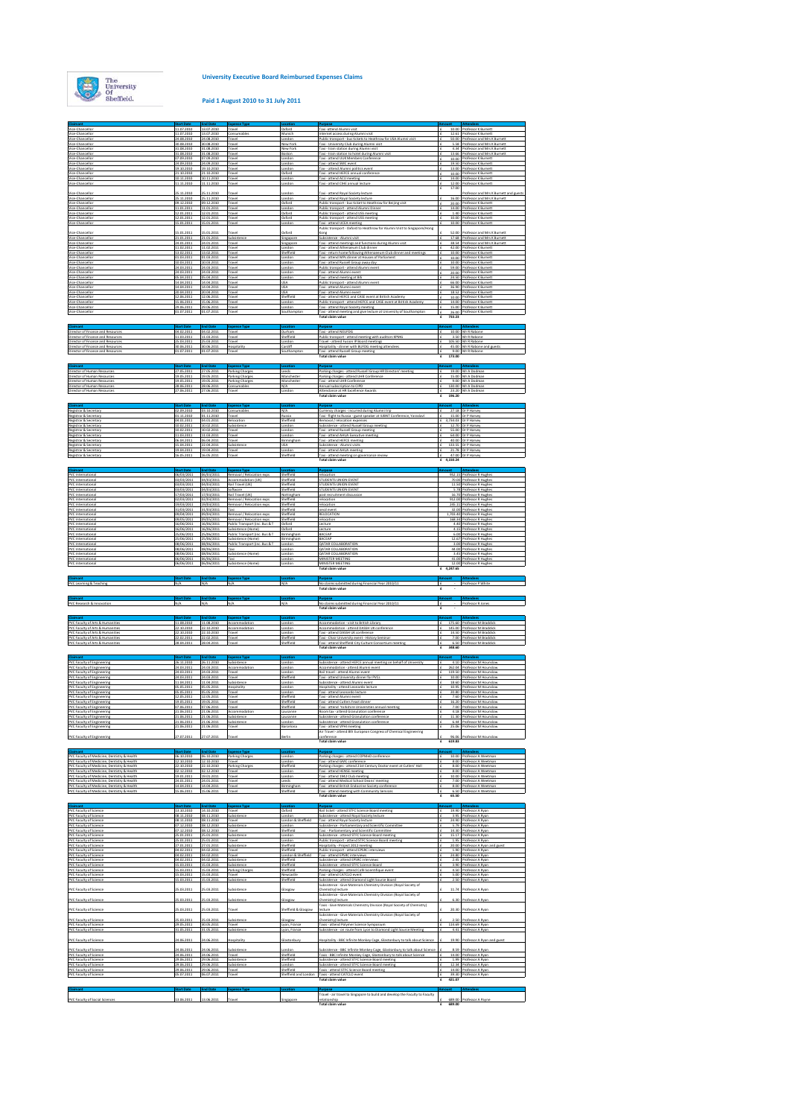

**Claimant Start Date End Date Expense Type Location Purpose Amount Attendees**

## **Paid 1 August 2010 to 31 July 2011**

| Vice-Chancellor<br>Vice-Chancellor                                                                                              | 11.07.2010<br>24.08.2010               | 13.07.2010<br>24.08.2010               | Consumables<br>Travel                                      | Munich<br>London                  | Internet access during Alumni visit<br>Public transport - bus tickets to Heathrow for USA Alumni visit                                           | 10.00 LProt         | 12.61 Professor K Burnett<br>50.00 Professor and Mrs K Burnett              |
|---------------------------------------------------------------------------------------------------------------------------------|----------------------------------------|----------------------------------------|------------------------------------------------------------|-----------------------------------|--------------------------------------------------------------------------------------------------------------------------------------------------|---------------------|-----------------------------------------------------------------------------|
| Vice-Chancellor                                                                                                                 | 30.08.2010<br>31.08.2010               | 30.08.2010<br>31.08.2010               | Travel<br>Travel                                           | New York<br>New York              | Taxi - University Club during Alumni visit<br>Taxi - train station during Alumni visit                                                           |                     | 5.58 Professor and Mrs K Burnett<br>4.34 Professor and Mrs K Burnett        |
| Vice-Chancellor<br>Vice-Chancellor<br>Vice-Chancellor                                                                           | 31.08.2010<br>07.09.2010               | 31.08.2010<br>07.09.2010               | Travel<br>Travel                                           | Boston<br>ondon                   | Taxi - train station to hotel during Alumni visit<br>Taxi - attend UUK Members Conference                                                        |                     | 13.66 Professor and Mrs K Burnett<br>10.00 Professor K Burnett              |
| Vice-Chancellor<br>Vice-Chancellor                                                                                              | 24.09.2010<br>19.10.2010               | 24.09.2010<br>19.10.2010               | Travel<br>Travel                                           | London<br>London                  | Taxi - attend SMC event<br>Tax - attend Alumni politics event                                                                                    |                     | 19.50 Professor K Burnett<br>13.00 Professor K Burnett                      |
| Vice-Chancello<br>Vice-Chancellor                                                                                               | 21.10.2010<br>10.11.2010               | 21.10.2010<br>10.11.2010               | Travel<br>Travel                                           | Oxford<br>London                  | Taxi - attend HEFCE annual conference<br>Taxi - attend ACU meeting                                                                               |                     | 10.00 Professor K Burnett<br>14.00 Professor K Burnett                      |
| Vice-Chancello                                                                                                                  | 1.11.2010                              | 11.11.2010                             | Trave                                                      | ondor                             | axi - attend CIHE annual lecture                                                                                                                 | 12.00<br>17.00<br>£ | Professor K Burnett                                                         |
| Vice-Chancellor<br>Vice-Chancellor                                                                                              | 5.11.2010<br>25.11.2010                | 25.11.2010<br>25.11.2010               | Travel<br>Travel                                           | ondor<br>London                   | Taxi - attend Royal Society lecture<br>Taxi - attend Royal Society lecture                                                                       |                     | Professor and Mrs K Burnett and guests<br>16.00 Professor and Mrs K Burnett |
| Vice-Chancello<br>Vice-Chancellor                                                                                               | 09.12.2010<br>11.01.2011               | 09.12.2010<br>11.01.2011               | Trave<br>Travel                                            | Oxford<br>London                  | Public transport - bus ticket to Heathrow for Beijing visit<br>Public transport - attend Alumni Dinner                                           | 20.00               | Professor K Burnet<br>14.00 Professor K Burnett                             |
| Vice-Chancel<br>Vice-Chancellor                                                                                                 | 12.01.2011                             | 2.01.2011<br>12 01.2011                | rave<br>Travel                                             | Oxford                            | ublic transport - attend USS meetin<br>Public transport - attend USS meeting                                                                     |                     | rofessor K Burnet<br>10.00 Professor K Burnett                              |
| Vice-Chancello                                                                                                                  | 01.2011                                | 5.01.2011                              | Fravel                                                     | ondor                             | attend UCEA meeting<br>Public transport - Oxford to Heathrow for Alumni Visit to Singapore/Hong                                                  | 10.00               | Professor K Burnett                                                         |
| Vice-Chancellor<br>Vice-Chancellor                                                                                              | 5.01.2011<br>21.01.2011                | 15.01.2011<br>21.01.2011               | Subsistence                                                | byford<br>Singapore               | Subsistence - Alumni visit                                                                                                                       | 52.00               | Professor and Mrs K Burnett<br>17.68 Professor and Mrs K Burnett            |
| Vice-Chancelli<br>Vice-Chancellor                                                                                               | 14.01.2011<br>11.02.2011               | 24.01.2011<br>11.02.2011               | Trave<br>Travel                                            | ingapor<br>London                 | axi - attend meetings and functions during Alumni visit<br>Taxi - attend Athenaeum Club dinner                                                   | 38.54               | Professor and Mrs K Burnett<br>42.00 Professor K Burnett                    |
| Vice-Chancell<br>Vice-Chancellor                                                                                                | 01.03.2011                             | 13.02.2011<br>01.03.2011               | rave<br>Travel                                             | Sheffield<br>London               | return home following Athenaeeum Club dinner and meetings<br>Taxi - attend MPs dinner at Houses of Parliament                                    | 10.00               | rofessor K Burnet<br>10.00 Professor K Burnett                              |
| lice-Chancello<br>Vice-Chancellor                                                                                               | 0.03.2011<br>24.03.2011                | 10.03.2011<br>24.03.2011               | Trave<br>Travel                                            | cendor<br>London                  | attend Russell Group away day<br>Public transport - attend Alumni event                                                                          | 10.00               | Professor K Burnett<br>59.00 Professor K Burnett                            |
| Vice-Chancelli<br>Vice-Chancello                                                                                                | 15.04.2011                             | 24.03.2011<br>05.04.2011               | rave<br>Travel                                             | London                            | axi - attend Alumni eve<br>Taxi - attend meeting at BIS                                                                                          |                     | rofessor K Burnet<br>24.50 Professor K Burnett                              |
| Vice-Chancellor<br>Vice-Chancellor                                                                                              | 14.04.201<br>14.04.2011                | 14.04.2011<br>14.04.2011               | Travel<br>Travel                                           | <b>USA</b><br><b>USA</b>          | Public transport - attend Alumni event<br>Taxi - attend Alumni event                                                                             |                     | 66.00 Professor K Burnett<br>36.90 Professor K Burnett                      |
| Vice-Chancellor<br>Vice-Chancellor                                                                                              | 20.04.2011<br>12.06.2011               | 20.04.2011<br>12.06.2011               | Travel<br>Travel                                           | <b>USA</b><br>Sheffield           | Taxi - attend Alumni event<br>Taxi - attend HEFCE and CASE event at British Academy                                                              |                     | 1852 Professor K Burnett<br>10.00 Professor K Burnett                       |
| Vice-Chancellor<br>Vice-Chancellor                                                                                              | 15.06.2011<br>29.06.2011               | 15.06.2011<br>29.06.2011               | Travel<br>Travel                                           | London<br>London                  | Public transport - attend HEFCE and CASE event at British Academy<br>Taxi - attend Royal Society meeting                                         |                     | 14.00 Professor K Burnett<br>15.00 Professor K Burnett                      |
| Vice-Chancellor                                                                                                                 | 01.07.201                              | 01.07.2011                             | Travel                                                     | Southampt                         | Taxi - attend meeting and give lecture at University of Southampton<br>Total claim value                                                         | 733.23<br>£         | 26.00 Professor K Burnett                                                   |
| Claimant                                                                                                                        | art Dal                                | <b>End Date</b>                        |                                                            | ocati                             |                                                                                                                                                  |                     |                                                                             |
| Director of Finance and Resources<br>Director of Finance and Resources                                                          | 04.02.2011<br>1.03.201                 | 04.02.2011<br>11.03.201                | Travel<br>Trave                                            | Durham<br>Sheffield               | Taxi - attend NEUFDG<br>ablic transport - attend meeting with auditors KPMG                                                                      |                     | 10.00 Mr R Rabone<br>3.50 Mr R Rabone                                       |
| Director of Finance and Resources<br>irector of Finance and Resource                                                            | 25.03.2011<br>0.06.2011                | 25.03.2011<br>30.06.2011               | Travel<br>Hospitality                                      | London<br>Cardiff                 | Travel - attend Fusion IP Board meetings<br>ospitality - dinner with BUFDG meeting attendee                                                      |                     | 105.50 Mr R Rabone<br>45.00 Mr R Rabone and gues                            |
| Director of Finance and Resources                                                                                               | 01.07.2011                             | 01.07.2011                             | Travel                                                     | Southampt                         | Taxi - attend Russell Group meeting<br>Total claim value                                                                                         | IΕ<br>£<br>173.00   | 9.00 Mr R Rabone                                                            |
|                                                                                                                                 |                                        |                                        |                                                            |                                   |                                                                                                                                                  |                     |                                                                             |
| Director of Human Resources<br>Director of Human Resource                                                                       | 27.05.2011                             | 27.05.2011                             | Parking Charges                                            | Leeds                             | Parking charges - attend Russell Group HR Directors' meeting<br>Parking charges - attend UHR Conference                                          | Iε<br>15.00         | 19.00 Mr A Dodman<br>Mr A Dodma                                             |
| Director of Human Resources<br>rector of Human Resources                                                                        | 19.05.2011<br>8.06.2011                | 19.05.2011<br>28.06.2011               | Parking Charges<br>Consumables                             | Manchester<br>N/A                 | Taxi - attend UHR Conference<br>nual subscription to CIPD                                                                                        | Iε                  | 9.00 Mr A Dodman<br>130.00 Mr A Dodman                                      |
| Director of Human Resources                                                                                                     | 27.06.2011                             | 27.06.2011                             | Travel                                                     | London                            | Attendance at HR Excellence Awards<br>Total claim value                                                                                          | IΕ<br>£<br>196,20   | 23.20 Mr A Dodman                                                           |
|                                                                                                                                 |                                        |                                        |                                                            |                                   |                                                                                                                                                  |                     |                                                                             |
| Registrar & Secretary<br>Registrar & Secretary                                                                                  | 02.09.2010<br>01.11.2010               | 03.10.2010<br>01.11.2010               | Consumables<br>Travel                                      | N/A<br>tussia                     | Currency charges - incurred during Alumni trip<br>Taxi - flight to Russia - guest speaker at IUBNT Conference, Yaraslav                          |                     | 27.18 Dr P Harvey<br>15.00 Dr P Harvey                                      |
| Registrar & Secretary<br>Registrar & Secretary                                                                                  | 04.01.2011<br>10.02.2011               | 04.01.2011<br>10.02.2011               | Relocation<br>Subsistence                                  | Sheffield<br>London               | Removal / relocation expenses<br>Subsistence - attend Russell Group meeting                                                                      |                     | 3,734.03 Dr P Harvey<br>12.70 Dr P Harvey                                   |
| Registrar & Secretary<br>Registrar & Secretary                                                                                  | 10.02.2011<br>11.03.201                | 10.02.2011<br>11.03.2011               | Travel<br>Travel                                           | London<br>London                  | Taxi - attend Russell Group meeting<br>Taxi - attend AHUA Executive meeting                                                                      |                     | 55.00 Dr P Harvey<br>64.00 Dr P Harvey                                      |
| Registrar & Secretary<br>Registrar & Secretary                                                                                  | 06.04.2011<br>15.04.2011               | 06.04.2011<br>22.04.2011               | Travel<br>Subsistence                                      | Birminghan<br><b>USA</b>          | Taxi - attend HEFCE meeting<br>Subsistence - Alumni visits                                                                                       |                     | 40.00 Dr P Harvey<br>133.55 Dr P Harvey                                     |
| Registrar & Secretary<br>Registrar & Secretar                                                                                   | 19.04.2011<br>16.05.201                | 19.04.2011<br>16.05.2011               | Travel<br>Travel                                           | London<br>Sheffield               | Taxi - attend AHUA meeting<br>Taxi - attend meeting on governance review                                                                         |                     | 21.78 Dr P Harvey<br>47.00 Dr P Harvey                                      |
|                                                                                                                                 |                                        |                                        |                                                            |                                   | <b>Total claim value</b>                                                                                                                         | 4.150.24<br>£       |                                                                             |
| PVC International                                                                                                               | 06/03/2011                             | 06/03/2011                             | Removal / Relocation exps                                  | Sheffield                         | relocation<br>TUDENTS UNION EVENT                                                                                                                |                     | 952.15 Professor R Hughes                                                   |
| PVC International<br>PVC International                                                                                          | 03/03/2011                             | 04/03/2011                             | <b>Accommodation (UK)</b><br>Rail Travel (UK)              | Sheffield<br>Sheffield            | STUDENTS UNION EVENT                                                                                                                             | 70.00               | 11.50 Professor R Hughes                                                    |
| VC International<br>PVC International                                                                                           | 33/03/201<br>17/03/2011                | 14/03/2011<br>17/03/2011               | Software<br>Rail Travel (UK)                               | Sheffield<br>Nottinghar           | TUDENTS UNION EVENT<br>post recruitment discussion                                                                                               | 5.78                | Professor R Hugher<br>16.70 Professor R Hughes                              |
| PVC International<br>PVC International                                                                                          | 2/03/201<br>19/03/2011                 | 12/03/2011<br>19/03/2011               | Removal / Relocation exp:<br>Removal / Relocation exps     | Sheffield<br>Sheffield            | Nocation<br>relocation                                                                                                                           | 912.00              | rofessor R Hughe<br>245.11 Professor R Hughes                               |
| PVC International<br>PVC International                                                                                          | 31/03/201<br>09/04/2011                | 31/03/2011<br>09/04/2011               | Taxi<br>Removal / Relocation exps                          | Sheffield<br>Sheffield            | ecd event<br>RELOCATION                                                                                                                          |                     | 32.00 Professor R Hugher<br>1,703.40 Professor R Hughes                     |
| PVC International<br>PVC International                                                                                          | 16/06/2011                             | 09/05/201<br>16/06/2011<br>16/06/2011  | Removal / Relocation exp<br>Public Transport finc. Bus & T | Sheffield<br>Oxford               | elocation<br>Lecture                                                                                                                             |                     | Professor R Hugh<br>4.40 Professor R Hughes                                 |
| PVC International                                                                                                               | 25/06/2011                             | 25/06/2011                             | Public Transport (inc. Bus & T                             | Birmingham                        | BACEAP                                                                                                                                           |                     | 6.00 Professor R Hughes<br>12.67 Professor R Hughes                         |
| PVC International<br>PVC International                                                                                          | 25/06/2011<br>08/06/2011<br>08/06/2011 | 25/06/2011<br>08/06/2011<br>08/06/2011 | Subsistence (Home)<br>Public Transport (inc. Bus & T       | Birmingha<br>London<br>London     | BACEAP<br>QATAR COLLABORATION<br><b>QATAR COLLABORATION</b>                                                                                      |                     | 3.00 Professor R Hughes                                                     |
| PVC International<br>PVC International                                                                                          | 08/06/2011                             | 08/06/2011                             | Taxi<br>Subsistence (Home)                                 | London                            | <b>QATAR COLLABORATION</b>                                                                                                                       |                     | 44.00 Professor R Hughes<br>3.45 Professor R Hughes                         |
| PVC International<br>PVC International                                                                                          | 06/06/2011<br>06/06/2011               | 06/06/2011<br>06/06/2011               | Taxi<br>Subsistence (Home)                                 | London<br>London                  | MINISTER MEETING<br>MINISTER MEETING<br><b>Total claim value</b>                                                                                 |                     | 41.00 Professor R Hughes<br>12.00 Professor R Hughes                        |
|                                                                                                                                 |                                        |                                        |                                                            |                                   |                                                                                                                                                  |                     |                                                                             |
|                                                                                                                                 |                                        |                                        |                                                            |                                   |                                                                                                                                                  | £ 4.247.65          |                                                                             |
| PVC Learning & Teaching                                                                                                         | <b>Start Date</b><br>N/A               | <b>End Date</b><br>N/A                 | se Type<br>N/A                                             | N/A                               | No claims submitted during Financial Year 2010/11                                                                                                |                     | - Professor P White                                                         |
|                                                                                                                                 |                                        |                                        |                                                            |                                   | <b>Total claim value</b>                                                                                                                         |                     |                                                                             |
| Claimant<br>PVC Research & Innovation                                                                                           | <b>Start D</b><br>N/A                  | End <sub>D</sub><br>N/A                | ise Typ<br>N/A                                             | N/A                               | Purpose<br>No claims submitted during Financial Year 2010/11                                                                                     | £                   | Attendees<br>Professor R Jones                                              |
|                                                                                                                                 |                                        |                                        | <b>Expense Type</b>                                        |                                   | Total claim value<br>Purpose                                                                                                                     |                     | <b>Attendees</b>                                                            |
| Claimant<br>PVC Faculty of Arts & Humanities                                                                                    | Start Dal<br>11.08.2010                | <b>End Date</b><br>11.08.2010          | Accommodation                                              | Londor                            | Accommodation - visit to British Library                                                                                                         |                     | 175.60 Professor M Braddick                                                 |
| VC Faculty of Arts & Humanities                                                                                                 | 22.10.2010<br>2.10.2010                | 22.10.2010<br>22.10.2010               | Accommodation<br>Trave                                     | London<br>ondor                   | Accommodation - attend DASSH UK conference<br>axi - attend DASSH LIK conference                                                                  | 14.50               | 145.00 Professor M Braddick<br>Professor M Braddic                          |
| PVC Faculty of Arts & Humanities<br>PVC Faculty of Arts & Humanities<br>PVC Faculty of Arts & Humanitie                         | 22 02 2011                             | 22.02.2011<br>28.04.2011               | Travel<br>Travel                                           | Sheffield<br>Sheffield            | Taxi - Chair University event - History Seminar<br>Taxi<br>attend Sheffield City Culture Consortium meeting                                      | 348.60<br>£         | 7.00 Professor M Braddick<br>6.50 Professor M Braddick                      |
|                                                                                                                                 | art Da                                 | <b>End Dat</b>                         | <b>Expense Typ</b>                                         |                                   | Total claim value                                                                                                                                |                     |                                                                             |
| Claimant<br><b>PVC Faculty of Engineering</b>                                                                                   | 06.11.2010<br>24.03.2011               | 26.11.2010<br>24.03.2011               | Subsistence<br>Accommodation                               | London                            | Subsistence - attend HEFCE annual meeting on behalf of Universit<br>Accommodation - attend Alumni event                                          |                     | 4.10 Professor M Hounslow<br>262.04 Professor M Hounslow                    |
| PVC Faculty of Engineering<br>PVC Faculty of Engineering<br><b>PVC Faculty of Engineering</b>                                   | 24.03.2011<br>24.03.2011               | 24.03.2011<br>24.03.2011               | Travel<br>Travel                                           | London<br>Sheffield               | Rail travel - attend Alumni event                                                                                                                |                     | 119.50 Professor M Hounslow<br>10.00 Professor M Hounslow                   |
| PVC Faculty of Engineering<br>PVC Faculty of Engineering                                                                        | 11.04.2011<br>05.05.2011               | 11.04.2011<br>05.05.2011               | Subsistence<br>Hospitality                                 | London<br>London                  | Taxi - attend University dinner for PVCs<br>ubsistence - attend Alumni event<br>Hospitality - attend Leonardo lecture                            |                     | 18 60 Professor M Hounslow<br>10.95 Professor M Hounslow                    |
| PVC Faculty of Engineering<br><b>PVC Faculty of Engineering</b>                                                                 | 05.05.2011<br>12.05.2011               | 05.05.2011<br>12.05.2011               | Travel<br>Travel                                           | ondon<br>Sheffield                | axi - attend Leonardo lecture<br>Taxi - attend Alumni event                                                                                      |                     | 20.80 Professor M Hounslow<br>7.60 Professor M Hounslow                     |
| PVC Faculty of Engineering<br><b>PVC Faculty of Engineering</b>                                                                 | 9.05.2011<br>07.06.2011                | 19.05.2011<br>07.06.2011               | Travel<br>Travel                                           | Sheffield<br>Sheffield            | axi - attend Cutlers Feast dinner<br>Taxi - attend Yorkshire Universities annual meeting                                                         |                     | 16.20 Professor M Hounslow<br>7.00 Professor M Hounslow                     |
| PVC Faculty of Engineering                                                                                                      | 21.06.2011<br>21.06.2011               | 21.06.2011<br>21.06.2011               | Accommodation<br>Subsistence                               | Lausanne<br>Lausanne              | Room tax - attend Granulation conference<br>Subsistence - attend Granulation conference                                                          |                     | 4.18 Professor M Hounslow                                                   |
| <b>PVC Faculty of Engineering</b><br><b>PVC Faculty of Engineering</b><br><b>PVC Faculty o</b>                                  | 21.06.2011                             | 21.06.2011                             | Subsistence                                                | London                            | Subsistence - attend Granulation conference                                                                                                      |                     | 11.30 Professor M Hounslow<br>6.44 Professor M Hounslow                     |
| <b>PVC Faculty of Engineering</b>                                                                                               | 27.07.2011                             | 27.07.2011                             | Trave                                                      |                                   | Air Travel - attend 8th European Congress of Chemical Engineering<br>conference                                                                  |                     | 96.06 Professor M Hounslow                                                  |
|                                                                                                                                 |                                        |                                        |                                                            |                                   | <b>Total claim value</b>                                                                                                                         | 619.83              |                                                                             |
| PVC Faculty of Medicine, Dentistry & Health                                                                                     | 06.10.2010                             | 06.10.2010                             | <b>Parking Charges</b>                                     | London                            | Parking charges - attend COPMeD conference                                                                                                       | 10.00               | Professor A Weetman                                                         |
| PVC Faculty of Medicine, Dentistry & Health                                                                                     | 12.10.2010                             | 12.10.2010                             | Travel<br>Parking Charge                                   | London<br>Sheffield               | Taxi - attend GMC conference<br>arking charges - attend 21st Century Doctor event at Cutlers' Hall                                               |                     | 8.00 Professor A Weetman                                                    |
| PVC Faculty of Medicine, Dentistry & Health<br>VC Faculty of Medicine, Dentistry & Health                                       | 12.12.2010<br>9.01.2011                | 02.12.2010<br>19.01.2011               | Travel<br>rave                                             | London<br>andor                   | Taxi - attend HENSE meeting<br>axi - attend 1942 Club meeti                                                                                      | 10.00               | 8.00 Professor A Weetman<br>rofessor A Weetma                               |
| PVC Faculty of Medicine, Dentistry & Health                                                                                     | 24.01.2011                             | 24.01.2011                             | Travel<br>rave                                             | Leeds                             | Taxi - attend Medical School Deans' meeting<br>axi - attend British Endocrine Society conferent                                                  |                     | 7.00 Professor A Weetman<br>rofessor A Weetma                               |
|                                                                                                                                 | 15.06.2011                             | 15.06.2011                             | Travel                                                     | Sheffield                         | Taxi - attend meeting with Community Services<br><b>Total claim value</b>                                                                        | Ι£<br>65.50         | 6.50 Professor A Weetman                                                    |
|                                                                                                                                 | art D.                                 | End Da                                 |                                                            |                                   |                                                                                                                                                  |                     |                                                                             |
| PVC Faculty of Science<br>PVC Faculty of Science                                                                                | 13.10.2010<br>08.11.2010               | 14.10.2010<br>08.11.2010               | Travel<br>Subsistence                                      | Oxford<br>London                  | Rail ticket - attend STFC Science Board meeting<br>ubsistence - attend Royal Society lecture                                                     |                     | 19.90 Professor A Ryan<br>3.95 Professor A Ryan                             |
| PVC Faculty of Medicine, Dentistry & Health<br><b>PVC Faculty of Science</b><br>PVC Faculty of Science                          | 08.11.2010<br>17.12.2010               | 08.11.2010<br>08.12.2010               | Travel<br>Subsisteno                                       | London & Sheffield<br>ondon       | Taxi - attend Royal Society lecture<br>ubsistence - Parliamentary and Scientific Committee                                                       |                     | 24.90 Professor A Ryan<br>5.79 Professor A Ryan                             |
| <b>PVC Faculty of Science</b><br><b>PVC Faculty of Science</b>                                                                  | 07.12.2010<br>5.01.2011                | 08.12.2010<br>25.01.2011               | Travel<br>Subsisteno                                       | Sheffield<br>ondon                | Taxi - Parliamentary and Scientific Committee<br>iubsistence - attend STFC Science Board meeting                                                 |                     | 14.30 Professor A Ryan<br>15.17 Professor A Ryan                            |
| <b>PVC Faculty of Science</b><br>PVC Faculty of Science                                                                         | 25.01.2011<br>7.01.2011                | 25.01.2011<br>27.01.2011               | Travel<br>Subsisteno                                       | London<br>Sheffield               | Public transport - attend STFC Science Board meeting<br>lospitality - Project 2012 meeting                                                       |                     | 1.95 Professor A Ryan<br>20.00 Professor & Ryan and guest                   |
| <b>PVC Faculty of Science</b><br><b>PVC Faculty of Science</b>                                                                  | 04.02.2011<br>04.02.2011               | 04.02.2011<br>04.02.2011               | Travel<br>Travel                                           | Sheffield<br>ondon & Sheffield    | Public transport - attend EPSRC interview:<br>axi - attend EPSRC interviews                                                                      |                     | 1.90 Professor A Ryan<br>24.80 Professor A Rva                              |
| PVC Faculty of Science<br><b>PVC Faculty of Science</b>                                                                         | 04.02.2011<br>15.03.2011               | 04.02.2011<br>15.03.2011               | Subsistence<br>Subsistence                                 | Sheffield<br>Sheffield            | Subsistence - attend EPSRC interviews<br>ubsistence - attend STFC Science Board                                                                  |                     | 2.45 Professor A Ryan<br>3.90 Professor A Ryan                              |
| <b>PVC Faculty of Science</b>                                                                                                   | 5.03.2011<br>15.03.201                 | 15.03.2011<br>15.03.2011               | Parking Charge<br>Travel                                   | Sheffield<br>Newcastl             | arking charges - attend Café Scientifique event<br>axi - attend CATCLO event                                                                     |                     | 4.50 Professor A Ryan<br>5.00 Professor A Ryan                              |
|                                                                                                                                 |                                        | 5.03.2011                              | Subsister                                                  | heffield                          | iubsistence - attend Diamond Light Source Board<br>Subsistence - Give Materials Chemistry Division (Royal Society of                             | 2.50                | Professor A Ry                                                              |
| PVC Faculty of Medicine, Dentistry & Health<br><b>PVC Faculty of Science</b><br>PVC Faculty of Scienc<br>PVC Faculty of Science | 15.03.2011                             | 25.03.2011                             | Subsistence                                                | Glasgow                           | hemistry) lecture<br>iubsistence - Give Materials Chemistry Division (Royal Society of                                                           |                     | 11.74 Professor A Ryan                                                      |
| PVC Faculty of Science                                                                                                          | 5.03.2011                              | 15.03.2011                             | Subsistence                                                | Glasgow                           | Chemistry) lecture<br>Faxis - Give Materials Chemistry Division (Royal Society of Chemistry)                                                     |                     | 6.30 Professor A Ryan                                                       |
| <b>PVC Faculty of Science</b>                                                                                                   | 5.03.2011                              | 25.03.2011                             | Travel                                                     | heffield & Glasgow                | lecture<br>iubsistence - Give Materials Chemistry Division (Royal Society of                                                                     |                     | 20.30 Professor A Ryan                                                      |
| PVC Faculty of Science                                                                                                          | 15.03.2011<br>19.05.2011               | 15.03.2011<br>30.05.2011               | Subsistence<br>Travel                                      | Glasgow<br>Lyon, France           | Chemistry) lecture<br>Taxis - attend Polymer Science Symposium                                                                                   | 2.50                | Professor A Ryan<br>114.69 Professor A Ryan                                 |
| PVC Faculty of Science<br>PVC Faculty of Science                                                                                | 31.05.2011                             | 31.05.2011                             | Subsistend                                                 | Lyon, France                      | Subsistence - on route from Lyon to Diamond Light Source Meeting                                                                                 |                     | 4.41 Professor A Ryan                                                       |
| PVC Faculty of Science                                                                                                          | 4.06.2011                              | 24.06.2011                             | Hospitality                                                | Slastonbury                       | lospitality - BBC Infinite Monkey Cage, Glastonbury to talk about Scienc                                                                         | 19.90               | Professor A Ryan and guest                                                  |
| PVC Faculty of Science<br><b>PVC Faculty of Science</b>                                                                         | 14.06.2011<br>24.06.2011               | 24.06.2011<br>24.06.2011               | Subsistence<br>Travel                                      | London<br>Sheffield               | Subsistence - BBC Infinite Monkey Cage, Glastonbury to talk about Science<br>Taxis - BBC Infinite Monkey Cage, Glastonbury to talk about Science |                     | 8.59 Professor A Ryan<br>14.00 Professor A Ryan                             |
| <b>PVC Faculty of Science</b><br>PVC Faculty of Science                                                                         | 29.06.2011<br>19.06.2011               | 29.06.2011<br>29.06.2011               | Subsistence<br>Subsistence                                 | Sheffield<br>ondon                | Subsistence - attend STFC Science Board meeting<br>ubsistence - attend STFC Science Board meeting                                                |                     | 1.99 Professor A Ryan<br>12.34 Professor A Ryan                             |
| PVC Faculty of Science<br>PVC Faculty of Scienc                                                                                 | 29.06.2011<br>15.07.2011               | 29.06.2011<br>06.07.2011               | Travel<br>Travel                                           | Sheffield<br>Sheffield and London | Taxis - attend STFC Science Board meeting<br>Taxis - attend CATCLO event                                                                         |                     | 14.00 Professor A Ryan<br>39.30 Professor A Rya                             |
|                                                                                                                                 |                                        |                                        |                                                            |                                   | <b>Total claim value</b>                                                                                                                         | 421.07<br>£         |                                                                             |
| <b>PVC Faculty of Social Sciences</b>                                                                                           | 13.06.2011                             | 13.06.2011                             | Trave                                                      | singapore                         | Fravel - air travel to Singapore to build and develop the Faculty to Faculty<br>relationship                                                     |                     | 689.00 Professor A Payne                                                    |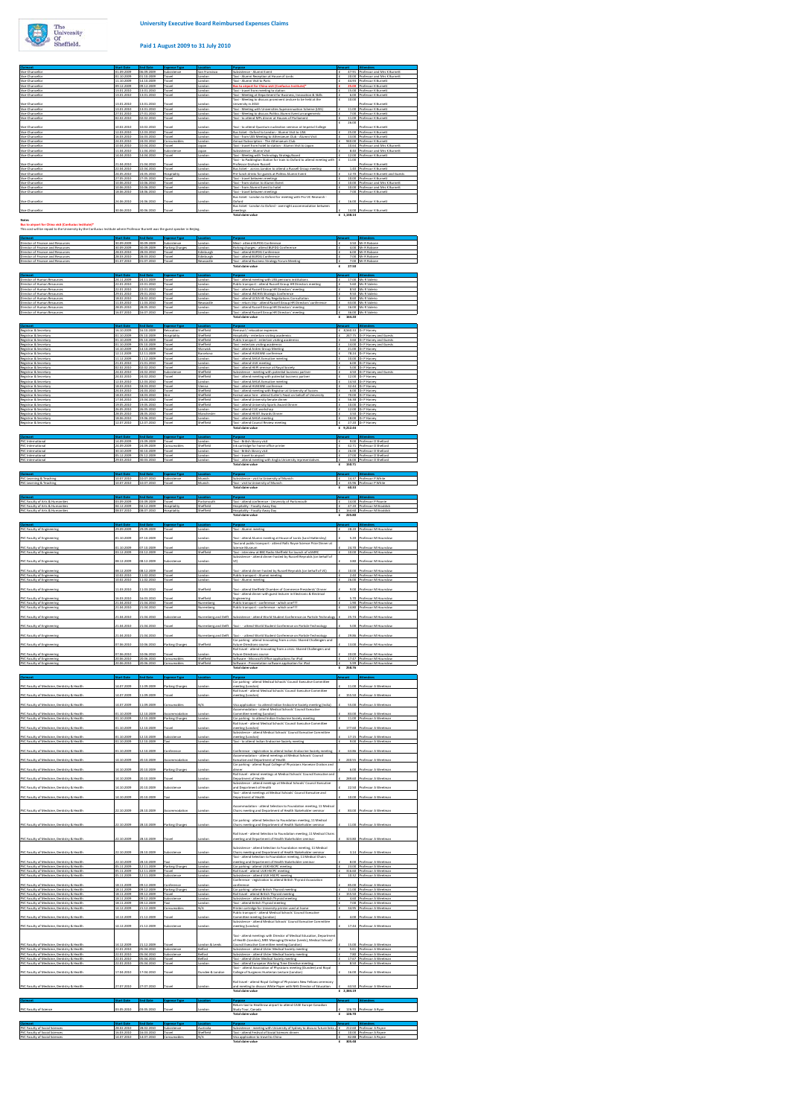

## **Paid 1 August 2009 to 31 July 2010**

| Vice-Chancellor<br>Vice-Chancellor                                                                                                                                                                                                                                                                                                                                                                                                                                                                                                                                                                                                                                                                                                                                                                                                                                                                                                                                                                                                                                                                                                                                                                                                                                                                                                                                                                                                                 | 01.10.2009                             |                                        |                                      | San Fran                      | ubsistence - Alumni Ever                                                                                                                                                        |                    |                                                                                                     |
|----------------------------------------------------------------------------------------------------------------------------------------------------------------------------------------------------------------------------------------------------------------------------------------------------------------------------------------------------------------------------------------------------------------------------------------------------------------------------------------------------------------------------------------------------------------------------------------------------------------------------------------------------------------------------------------------------------------------------------------------------------------------------------------------------------------------------------------------------------------------------------------------------------------------------------------------------------------------------------------------------------------------------------------------------------------------------------------------------------------------------------------------------------------------------------------------------------------------------------------------------------------------------------------------------------------------------------------------------------------------------------------------------------------------------------------------------|----------------------------------------|----------------------------------------|--------------------------------------|-------------------------------|---------------------------------------------------------------------------------------------------------------------------------------------------------------------------------|--------------------|-----------------------------------------------------------------------------------------------------|
|                                                                                                                                                                                                                                                                                                                                                                                                                                                                                                                                                                                                                                                                                                                                                                                                                                                                                                                                                                                                                                                                                                                                                                                                                                                                                                                                                                                                                                                    | 11.10.2009                             | 06.09.2009<br>01.10.2009<br>14.10.2009 | Travel<br>Travel                     | London<br>ondor               | Taxi - Alumni Reception at House of Lord<br>Taxi - Alumni Visit to Paris                                                                                                        |                    | 47.91 Professor and Mrs K Burnett<br>20.00 Professor and Mrs K Burnett<br>44.93 Professor K Burnett |
|                                                                                                                                                                                                                                                                                                                                                                                                                                                                                                                                                                                                                                                                                                                                                                                                                                                                                                                                                                                                                                                                                                                                                                                                                                                                                                                                                                                                                                                    | 3.01.2010                              | 3.01.2010                              | Trave<br>France                      |                               | axi - travel from meeting to stat                                                                                                                                               | 15.00              | rofessor K Burnet<br>ofessor K Burnet                                                               |
| rice-Chancellor                                                                                                                                                                                                                                                                                                                                                                                                                                                                                                                                                                                                                                                                                                                                                                                                                                                                                                                                                                                                                                                                                                                                                                                                                                                                                                                                                                                                                                    | 13.01.2010                             | 13.01.2010                             | Travel                               | London                        | Taxi - Meeting at Department for Business, Innovation & Skills<br>Tayi, Moon                                                                                                    | 10.00              | 6.00 Professor K Burnett                                                                            |
| Vice-Chancellor                                                                                                                                                                                                                                                                                                                                                                                                                                                                                                                                                                                                                                                                                                                                                                                                                                                                                                                                                                                                                                                                                                                                                                                                                                                                                                                                                                                                                                    | 3.01.2010<br>13.01.2010                | 01 2010<br>13.01.2010                  | raw<br>Travel                        | London                        | tiversity in 2010<br>Taxi - Meeting with Universities Superannuation Scheme (USS)                                                                                               |                    | 11.00 Professor K Burnett                                                                           |
|                                                                                                                                                                                                                                                                                                                                                                                                                                                                                                                                                                                                                                                                                                                                                                                                                                                                                                                                                                                                                                                                                                                                                                                                                                                                                                                                                                                                                                                    | 27.01.2010<br>02.02.2010               | 2.02.2010                              | Trave<br>Trave                       |                               | l'axi - Meeting to discuss Politics Alumni Event arrangemen<br>l'axi - to attend MPs dinner at Houses of Parliament                                                             | $7.00 -$<br>11.00  | rofessor K Burnet<br>rofessor K Burnet                                                              |
| Vice-Chancellor                                                                                                                                                                                                                                                                                                                                                                                                                                                                                                                                                                                                                                                                                                                                                                                                                                                                                                                                                                                                                                                                                                                                                                                                                                                                                                                                                                                                                                    | 10.02.2010                             | 10.02.2010                             | Trave                                | ondor                         | axi - to attend Quantum nucleation seminar at Imperial Coll-                                                                                                                    | 26.00              | vofessor K Burnett                                                                                  |
| ice Chancello                                                                                                                                                                                                                                                                                                                                                                                                                                                                                                                                                                                                                                                                                                                                                                                                                                                                                                                                                                                                                                                                                                                                                                                                                                                                                                                                                                                                                                      | 2.03.2010                              | 2.03.2010                              | rave                                 | ondo                          | Bus ticket - Oxford to London - Alumni Visit to USA                                                                                                                             | 25.00              | ofessor K Burnet                                                                                    |
| Vice-Chancellor<br>Vice-Chancellor                                                                                                                                                                                                                                                                                                                                                                                                                                                                                                                                                                                                                                                                                                                                                                                                                                                                                                                                                                                                                                                                                                                                                                                                                                                                                                                                                                                                                 | 16.03.2010<br>24.03.2010               | 16.03.2010<br>24.03.2010               | Travel<br>Consumables                | London<br>London              | Taxi - from USS Meeting to Athenaeum Club - Alumni Vis<br>Annual Subscription - The Athenaeum Club                                                                              |                    | 13.00 Professor K Burnett<br>940.00 Professor K Burnett                                             |
|                                                                                                                                                                                                                                                                                                                                                                                                                                                                                                                                                                                                                                                                                                                                                                                                                                                                                                                                                                                                                                                                                                                                                                                                                                                                                                                                                                                                                                                    | 0.04.201                               | 0.04.2010                              | rave                                 |                               | travel from hotel to station - Alumni Visit to Japa                                                                                                                             | 10.64              | ofessor and Mrs K                                                                                   |
| Vice-Chancellor<br>fce-Chancellor                                                                                                                                                                                                                                                                                                                                                                                                                                                                                                                                                                                                                                                                                                                                                                                                                                                                                                                                                                                                                                                                                                                                                                                                                                                                                                                                                                                                                  | 11.04.2010<br>14.04.2010               | 11.04.2010<br>14.04.2010               | Subsistence<br>Fravel                | Japan<br>ondon                | Subsistence - Alumni Visit<br>Taxi - Meeting with Technology Strategy Board                                                                                                     |                    | 8.40 Professor and Mrs K Burnett<br>12.00 Professor K Burnett                                       |
| Vice-Chancellor                                                                                                                                                                                                                                                                                                                                                                                                                                                                                                                                                                                                                                                                                                                                                                                                                                                                                                                                                                                                                                                                                                                                                                                                                                                                                                                                                                                                                                    | 21.04.2010                             | 21.04.2010                             | Travel                               | London                        | to Paddington Station for train to Oxford to attend meeting with<br>Professor Graham Russell                                                                                    | 11.00              | vofessor K Burnett                                                                                  |
| Vice-Chancellor                                                                                                                                                                                                                                                                                                                                                                                                                                                                                                                                                                                                                                                                                                                                                                                                                                                                                                                                                                                                                                                                                                                                                                                                                                                                                                                                                                                                                                    | 22 04 2010                             | 22 04 2010                             | Travel                               | London                        | Bus ticket - across London to attend a Russell Group meeting                                                                                                                    |                    | 1.40 Professor K Burnett                                                                            |
| Vice-Chancellor                                                                                                                                                                                                                                                                                                                                                                                                                                                                                                                                                                                                                                                                                                                                                                                                                                                                                                                                                                                                                                                                                                                                                                                                                                                                                                                                                                                                                                    | 24.05.2010<br>27.05.2010               | 24.05.2010<br>27.05.2010               | Fravel                               | London                        | lunch drinks for guests at Politics Alumni Event<br>Taxi - travel between meetings                                                                                              | 12.70              | ofessor K Burnett<br>10.00 Professor K Burnett                                                      |
| vice-Chancellor                                                                                                                                                                                                                                                                                                                                                                                                                                                                                                                                                                                                                                                                                                                                                                                                                                                                                                                                                                                                                                                                                                                                                                                                                                                                                                                                                                                                                                    | 10.06.2010                             | 10.06.2010                             | Travel                               | ondon                         | Taxi - from station to Alumni Event                                                                                                                                             | 10.00              | rofessor and Mrs K Burnett                                                                          |
| vice-Chancellor                                                                                                                                                                                                                                                                                                                                                                                                                                                                                                                                                                                                                                                                                                                                                                                                                                                                                                                                                                                                                                                                                                                                                                                                                                                                                                                                                                                                                                    | 18.06.2010                             | 18.06.2010                             | Travel                               | London                        | Taxi - travel between meetings<br>Bus ticket - London to Oxford for meeting with Pro-VC Research -                                                                              |                    | 7.00 Professor K Burnett                                                                            |
| fce-Chancellor                                                                                                                                                                                                                                                                                                                                                                                                                                                                                                                                                                                                                                                                                                                                                                                                                                                                                                                                                                                                                                                                                                                                                                                                                                                                                                                                                                                                                                     | 24.06.2010                             | 24.06.2010                             | Travel                               |                               | <b>DyoluO</b>                                                                                                                                                                   |                    | 16.00 Professor K Burnett                                                                           |
| Vice-Chancellor                                                                                                                                                                                                                                                                                                                                                                                                                                                                                                                                                                                                                                                                                                                                                                                                                                                                                                                                                                                                                                                                                                                                                                                                                                                                                                                                                                                                                                    | 30.06.2010                             | 30.06.2010                             |                                      |                               | Bus ticket - London to Oxford - overnight accommodation between<br>meetings                                                                                                     |                    | 14.00 Professor K Burnett                                                                           |
| <b>Notes</b>                                                                                                                                                                                                                                                                                                                                                                                                                                                                                                                                                                                                                                                                                                                                                                                                                                                                                                                                                                                                                                                                                                                                                                                                                                                                                                                                                                                                                                       |                                        |                                        |                                      |                               | <b>Total claim value</b>                                                                                                                                                        | £ 1.138.14         |                                                                                                     |
| <b>Bus to airport for China visit (Confucius Institute)</b><br>This cost will be repaid to the University by the Confucius Institute where Professor Burnett was the guest speaker in Beijing                                                                                                                                                                                                                                                                                                                                                                                                                                                                                                                                                                                                                                                                                                                                                                                                                                                                                                                                                                                                                                                                                                                                                                                                                                                      |                                        |                                        |                                      |                               |                                                                                                                                                                                 |                    |                                                                                                     |
|                                                                                                                                                                                                                                                                                                                                                                                                                                                                                                                                                                                                                                                                                                                                                                                                                                                                                                                                                                                                                                                                                                                                                                                                                                                                                                                                                                                                                                                    |                                        |                                        |                                      |                               |                                                                                                                                                                                 |                    |                                                                                                     |
| Director of Finance and Resources                                                                                                                                                                                                                                                                                                                                                                                                                                                                                                                                                                                                                                                                                                                                                                                                                                                                                                                                                                                                                                                                                                                                                                                                                                                                                                                                                                                                                  | 30.09.2009                             | 30.09.2009 Subsistence                 |                                      | London                        | Meal - attend BUFDG Conference                                                                                                                                                  |                    | 3.50 Mr R Rabone                                                                                    |
| Frector of Finance and Resources<br>Director of Finance and Resources                                                                                                                                                                                                                                                                                                                                                                                                                                                                                                                                                                                                                                                                                                                                                                                                                                                                                                                                                                                                                                                                                                                                                                                                                                                                                                                                                                              | 0.09.200<br>28.03.2010                 | 0.09.200<br>28.03.2010                 | arking Charge<br>Travel              | Edinburgh                     | arking charges - attend BUFDG Conference<br>Taxi - attend BUFDG Conference                                                                                                      | 6.00               | Ar R Rabor<br>6.00 Mr R Rabone                                                                      |
| Director of Finance and Resources<br>Director of Finance and Resource                                                                                                                                                                                                                                                                                                                                                                                                                                                                                                                                                                                                                                                                                                                                                                                                                                                                                                                                                                                                                                                                                                                                                                                                                                                                                                                                                                              | 28.03.2010<br>01.07.2010               | 28.03.2010                             | Travel<br>Travel                     | Edinburah                     | Taxi - attend BUFDG Conference<br>attend Business Strategy For                                                                                                                  |                    | 7.00 Mr R Rabone                                                                                    |
|                                                                                                                                                                                                                                                                                                                                                                                                                                                                                                                                                                                                                                                                                                                                                                                                                                                                                                                                                                                                                                                                                                                                                                                                                                                                                                                                                                                                                                                    |                                        |                                        |                                      |                               | <b>Total claim value</b>                                                                                                                                                        |                    | 7.00 Mr R Rabi                                                                                      |
|                                                                                                                                                                                                                                                                                                                                                                                                                                                                                                                                                                                                                                                                                                                                                                                                                                                                                                                                                                                                                                                                                                                                                                                                                                                                                                                                                                                                                                                    |                                        |                                        |                                      |                               |                                                                                                                                                                                 |                    |                                                                                                     |
| Director of Human Resources<br>Director of Human Resources                                                                                                                                                                                                                                                                                                                                                                                                                                                                                                                                                                                                                                                                                                                                                                                                                                                                                                                                                                                                                                                                                                                                                                                                                                                                                                                                                                                         | 24.11.2009<br>22.01.2010               | 24.11.2009<br>22.01.2010               | Travel<br>Travel                     | London<br>London              | Taxi - attend meeting with USS pensions institutions<br>Public transport - attend Russell Group HR Directors meeting                                                            |                    | 17.00 Ms R Valerio<br>5.60 Ms R Valerio                                                             |
| rector of Human Resource                                                                                                                                                                                                                                                                                                                                                                                                                                                                                                                                                                                                                                                                                                                                                                                                                                                                                                                                                                                                                                                                                                                                                                                                                                                                                                                                                                                                                           | 2.01.2010                              | 22.01.201                              |                                      |                               | xi - attend Russell Group HR Directors' meeting                                                                                                                                 |                    | 8.50 Ms R Vale                                                                                      |
| Director of Human Resources<br>Director of Human Resources                                                                                                                                                                                                                                                                                                                                                                                                                                                                                                                                                                                                                                                                                                                                                                                                                                                                                                                                                                                                                                                                                                                                                                                                                                                                                                                                                                                         | 29.01.2010<br>18.02.2010               | 29.01.2010<br>18.02.2010               | Fravel<br>Travel                     | London<br>ondon               | Taxi - attend JNCHES Strategic Conference<br>Taxi - attend UCEA HE Pay Negotiations Consultation                                                                                |                    | 9.50 Ms R Valerio<br>8.60 Ms R Valeric                                                              |
| Director of Human Resources                                                                                                                                                                                                                                                                                                                                                                                                                                                                                                                                                                                                                                                                                                                                                                                                                                                                                                                                                                                                                                                                                                                                                                                                                                                                                                                                                                                                                        | 28.05.2010                             | 28.05.2010                             | Travel                               | London                        | Taxi - return trio - attend Russell Group HR Directo<br>Taxi - attend Russell Group HR Directors' meeting                                                                       |                    | 63.00 Ms R Val<br>16.00 Ms R Valerio                                                                |
| Director of Human Resources                                                                                                                                                                                                                                                                                                                                                                                                                                                                                                                                                                                                                                                                                                                                                                                                                                                                                                                                                                                                                                                                                                                                                                                                                                                                                                                                                                                                                        | 16.07.2010                             | 16.07.2010                             | Travel                               | London                        | Taxi - attend Russell Group HR Directors' meeting<br><b>Total claim value</b>                                                                                                   | 164.20<br>£        | 36.00 Ms R Valeri                                                                                   |
|                                                                                                                                                                                                                                                                                                                                                                                                                                                                                                                                                                                                                                                                                                                                                                                                                                                                                                                                                                                                                                                                                                                                                                                                                                                                                                                                                                                                                                                    |                                        |                                        |                                      |                               |                                                                                                                                                                                 |                    |                                                                                                     |
| <b>Claimant</b><br>tegistrar & Secretary                                                                                                                                                                                                                                                                                                                                                                                                                                                                                                                                                                                                                                                                                                                                                                                                                                                                                                                                                                                                                                                                                                                                                                                                                                                                                                                                                                                                           | <b>Start Date</b><br>16.10.2009        | <b>End Date</b><br>16.10.2009          | <b>Expense Typ</b><br>Relocat        | Location<br>Sheffield         | Purpose<br>Removal / relocation expenses                                                                                                                                        |                    | <b>Attendees</b><br>8,560.33 Dr P Harvey                                                            |
| egistrar & Secretary<br>Registrar & Secretary                                                                                                                                                                                                                                                                                                                                                                                                                                                                                                                                                                                                                                                                                                                                                                                                                                                                                                                                                                                                                                                                                                                                                                                                                                                                                                                                                                                                      | 1.10.2009<br>01.10.2009                | 5.10.200<br>05.10.2009                 | distincto<br>Travel                  | heffield<br>Sheffield         | fospitality - entertain visiting academic<br>Public transport - entertain visiting academics                                                                                    |                    | 247.75 Dr P Harvey and Guest<br>3.60 Dr P Harvey and Guests                                         |
| egistrar & Secretary<br>egistrar & Secretary                                                                                                                                                                                                                                                                                                                                                                                                                                                                                                                                                                                                                                                                                                                                                                                                                                                                                                                                                                                                                                                                                                                                                                                                                                                                                                                                                                                                       |                                        | 35.10.2009<br>54.10.2009               |                                      |                               | axi - entertain visiting academics<br>axi - attend Arden Group Meeting                                                                                                          |                    | 14.00 Dr P Harvey and G<br>21.00 Dr P Harvey                                                        |
| <b>Registrar &amp; Secretary</b>                                                                                                                                                                                                                                                                                                                                                                                                                                                                                                                                                                                                                                                                                                                                                                                                                                                                                                                                                                                                                                                                                                                                                                                                                                                                                                                                                                                                                   | 4.10.2009<br>12.11.2009                | 12.11.2009                             | rave<br>Travel                       | Barcelona                     | Taxi - attend HUMANE conference                                                                                                                                                 |                    | 78.24 Dr P Harvey                                                                                   |
| legistrar & Secretary                                                                                                                                                                                                                                                                                                                                                                                                                                                                                                                                                                                                                                                                                                                                                                                                                                                                                                                                                                                                                                                                                                                                                                                                                                                                                                                                                                                                                              | 1.01.2010                              | 1.01.2010                              | Frane<br>Frane                       |                               | axi - attend UUK meeting                                                                                                                                                        |                    | <b>Y P Har</b><br>6.00 Dr P Harvey                                                                  |
| <b>Registrar &amp; Secretary</b>                                                                                                                                                                                                                                                                                                                                                                                                                                                                                                                                                                                                                                                                                                                                                                                                                                                                                                                                                                                                                                                                                                                                                                                                                                                                                                                                                                                                                   | 02 02 2010                             | 02.02.2010                             | Travel<br>Subcistence                | London                        | Taxi - attend HEPI seminar at Royal Society                                                                                                                                     |                    | 5.00 Dr P Harvey                                                                                    |
| Registrar & Secretary<br>agistrar & Secretar                                                                                                                                                                                                                                                                                                                                                                                                                                                                                                                                                                                                                                                                                                                                                                                                                                                                                                                                                                                                                                                                                                                                                                                                                                                                                                                                                                                                       | 24.02.2010<br>1.02.201                 | 24.02.2010<br>4.02.201                 |                                      | Sheffield                     | Subsistence - meeting with potential business partner<br>Taxi - attend meeting with potential business partner                                                                  | 12.00              | 4.50 Dr P Harvey and Guest<br>ir P.Harve                                                            |
| Registrar & Secretary<br><b>Registrar &amp; Secretary</b>                                                                                                                                                                                                                                                                                                                                                                                                                                                                                                                                                                                                                                                                                                                                                                                                                                                                                                                                                                                                                                                                                                                                                                                                                                                                                                                                                                                          | 12.03.2010<br>18.03.2010               | 12.03.2010<br>18.03.2010               | Fravel<br>Fravel                     | London<br>Vienna              | Taxi - attend AHUA Executive meeting<br>Taxi - attend HUMANE conference                                                                                                         |                    | 14.50 Dr P Harvey<br>32.44 Dr P Harvey                                                              |
|                                                                                                                                                                                                                                                                                                                                                                                                                                                                                                                                                                                                                                                                                                                                                                                                                                                                                                                                                                                                                                                                                                                                                                                                                                                                                                                                                                                                                                                    | 4.03.201                               | 24.03.201                              |                                      |                               | attend meeting with Registrar at University of Susse                                                                                                                            |                    |                                                                                                     |
| Registrar & Secretary<br><b>Registrar &amp; Secretary</b>                                                                                                                                                                                                                                                                                                                                                                                                                                                                                                                                                                                                                                                                                                                                                                                                                                                                                                                                                                                                                                                                                                                                                                                                                                                                                                                                                                                          | 18.03.2010<br>17.04.2010               | 18.03.2010<br>23.04.2010               | tire<br>Travel                       | Sheffield<br>Sheffield        | Formal wear hire - attend Cutler's Feast on behalf of Univers<br>Taxi - attend University Senate dinner                                                                         |                    | 70.00 Dr P Harvey<br>56.38 Dr P Harvey                                                              |
| agistrar & Secretar                                                                                                                                                                                                                                                                                                                                                                                                                                                                                                                                                                                                                                                                                                                                                                                                                                                                                                                                                                                                                                                                                                                                                                                                                                                                                                                                                                                                                                | 9.05.2010                              | 19.05.2010                             |                                      |                               | axi - attend University Sports Award Dis                                                                                                                                        |                    | 10.00 Dr P Harve                                                                                    |
| Registrar & Secretary<br>Registrar & Secretary                                                                                                                                                                                                                                                                                                                                                                                                                                                                                                                                                                                                                                                                                                                                                                                                                                                                                                                                                                                                                                                                                                                                                                                                                                                                                                                                                                                                     | 26.05.2010<br>28.05.2010               | 26.05.2010<br>28.05.2010               | Fravel<br>Travel                     | London<br>Manchester          | Taxi - attend CUC workshop<br>Taxi - attend HEIST Awards Dinner                                                                                                                 |                    | 12.00 Dr P Harvey<br>3.50 Dr P Harvey                                                               |
| Registrar & Secretary                                                                                                                                                                                                                                                                                                                                                                                                                                                                                                                                                                                                                                                                                                                                                                                                                                                                                                                                                                                                                                                                                                                                                                                                                                                                                                                                                                                                                              | 12.07.2010                             | 12.07.2010                             | Travel                               | Sheffield                     | Taxi - attend Council Review meeting                                                                                                                                            | I٤                 | 27.20 Dr P Harvey                                                                                   |
|                                                                                                                                                                                                                                                                                                                                                                                                                                                                                                                                                                                                                                                                                                                                                                                                                                                                                                                                                                                                                                                                                                                                                                                                                                                                                                                                                                                                                                                    |                                        |                                        |                                      |                               | <b>Total claim value</b>                                                                                                                                                        | 9.212.44           |                                                                                                     |
|                                                                                                                                                                                                                                                                                                                                                                                                                                                                                                                                                                                                                                                                                                                                                                                                                                                                                                                                                                                                                                                                                                                                                                                                                                                                                                                                                                                                                                                    | itart Date                             | d Date                                 |                                      |                               |                                                                                                                                                                                 |                    |                                                                                                     |
| PVC International                                                                                                                                                                                                                                                                                                                                                                                                                                                                                                                                                                                                                                                                                                                                                                                                                                                                                                                                                                                                                                                                                                                                                                                                                                                                                                                                                                                                                                  | 14.09.2009                             | 23.09.2009                             | Travel                               | London                        | Taxi - British library visit<br>nk cartridae for home office printe                                                                                                             |                    | 9.00 Professor D Shellard                                                                           |
| VC Internationa                                                                                                                                                                                                                                                                                                                                                                                                                                                                                                                                                                                                                                                                                                                                                                                                                                                                                                                                                                                                                                                                                                                                                                                                                                                                                                                                                                                                                                    | 0.10.2009                              | 0.10.200                               | <b>Fave</b>                          | ndor                          | Taxi - British library visit                                                                                                                                                    | 26.00              | ofessor D Shellan                                                                                   |
| <b>PVC</b> International                                                                                                                                                                                                                                                                                                                                                                                                                                                                                                                                                                                                                                                                                                                                                                                                                                                                                                                                                                                                                                                                                                                                                                                                                                                                                                                                                                                                                           | 05.12.2009                             | 05.12.2009                             | Travel                               | London                        | Taxi - travel to airport<br>Taxi - attend meeting with Anglia University repres<br>Total claim value                                                                            | 46.00              | 27.00 Professor D Shellard                                                                          |
|                                                                                                                                                                                                                                                                                                                                                                                                                                                                                                                                                                                                                                                                                                                                                                                                                                                                                                                                                                                                                                                                                                                                                                                                                                                                                                                                                                                                                                                    |                                        |                                        |                                      |                               |                                                                                                                                                                                 | 150.71<br>£        |                                                                                                     |
| VC Learning & Teaching                                                                                                                                                                                                                                                                                                                                                                                                                                                                                                                                                                                                                                                                                                                                                                                                                                                                                                                                                                                                                                                                                                                                                                                                                                                                                                                                                                                                                             | 0.07.2010                              | 0.07.2010                              | Subsistence                          |                               | Subsistence - visit to University of Munici                                                                                                                                     | 14.37              | rofessor P White                                                                                    |
| PVC Learning & Teaching                                                                                                                                                                                                                                                                                                                                                                                                                                                                                                                                                                                                                                                                                                                                                                                                                                                                                                                                                                                                                                                                                                                                                                                                                                                                                                                                                                                                                            | 10.07.2010                             | 10.07.2010                             | Travel                               | Munich                        | Taxi - visit to University of Munich                                                                                                                                            | Iε                 | 45.96 Professor P White                                                                             |
|                                                                                                                                                                                                                                                                                                                                                                                                                                                                                                                                                                                                                                                                                                                                                                                                                                                                                                                                                                                                                                                                                                                                                                                                                                                                                                                                                                                                                                                    |                                        |                                        |                                      |                               | <b>Total claim value</b>                                                                                                                                                        | 60.33<br>£         |                                                                                                     |
| VC Faculty of Arts & Humanities                                                                                                                                                                                                                                                                                                                                                                                                                                                                                                                                                                                                                                                                                                                                                                                                                                                                                                                                                                                                                                                                                                                                                                                                                                                                                                                                                                                                                    | tart Da<br>03.09.2009                  | nd Date<br>03.09.2009                  | Travel                               | Portsmouth                    | <b>Furpose</b><br>Taxi - attend conference - University of Portsmouth                                                                                                           |                    | 14.00 Professor P Powrie                                                                            |
| VC Faculty of Arts & Humanitie                                                                                                                                                                                                                                                                                                                                                                                                                                                                                                                                                                                                                                                                                                                                                                                                                                                                                                                                                                                                                                                                                                                                                                                                                                                                                                                                                                                                                     | 4.12.200                               | 4.12.200                               | lospitali                            |                               | rospitality - Faculty Away Day                                                                                                                                                  | $^{7.20}$          | ofessor M Braddi                                                                                    |
| PVC Faculty of Arts & Humanities                                                                                                                                                                                                                                                                                                                                                                                                                                                                                                                                                                                                                                                                                                                                                                                                                                                                                                                                                                                                                                                                                                                                                                                                                                                                                                                                                                                                                   | 08.07.2010                             | 08.07.2010                             | Hospitality                          | Sheffield                     | Hospitality - Faculty Away Day<br><b>Total claim value</b>                                                                                                                      | IΕ<br>225.80<br>£. | 164.60 Professor M Braddick                                                                         |
| PVC Faculty of Engineering                                                                                                                                                                                                                                                                                                                                                                                                                                                                                                                                                                                                                                                                                                                                                                                                                                                                                                                                                                                                                                                                                                                                                                                                                                                                                                                                                                                                                         | itart Date<br>29.09.2009               | <b>End Date</b><br>29.09.2009          | Travel                               | London                        | Taxi - Alumni meeting                                                                                                                                                           |                    | 28.20 Professor M Hounslow                                                                          |
|                                                                                                                                                                                                                                                                                                                                                                                                                                                                                                                                                                                                                                                                                                                                                                                                                                                                                                                                                                                                                                                                                                                                                                                                                                                                                                                                                                                                                                                    |                                        |                                        |                                      |                               |                                                                                                                                                                                 |                    |                                                                                                     |
| PVC Faculty of Engineering                                                                                                                                                                                                                                                                                                                                                                                                                                                                                                                                                                                                                                                                                                                                                                                                                                                                                                                                                                                                                                                                                                                                                                                                                                                                                                                                                                                                                         | 01.10.2009                             | 07.10.2009                             | Travel                               | ondor                         | Taxi - attend Alumni meeting at House of Lords (Lord Hattersley)<br>Taxi and public transport - attend Rolls Royce Science Prize Dinner at                                      |                    | 5.20 Professor M Hounslow                                                                           |
| VC Faculty of Engineerin                                                                                                                                                                                                                                                                                                                                                                                                                                                                                                                                                                                                                                                                                                                                                                                                                                                                                                                                                                                                                                                                                                                                                                                                                                                                                                                                                                                                                           | 0005.01.10                             | 02102009                               | Travel                               | Sheffield                     | cience Museum<br>Taxi - interview at BBC Radio Sheffield for launch of nAMRC                                                                                                    | 24.70              | Professor M Hounsh                                                                                  |
| VC Faculty of Engineering                                                                                                                                                                                                                                                                                                                                                                                                                                                                                                                                                                                                                                                                                                                                                                                                                                                                                                                                                                                                                                                                                                                                                                                                                                                                                                                                                                                                                          | 03.12.2009                             | 03.12.2009                             | Travel                               |                               | Subsistence - attend dinner hosted by Russell Reynolds (on behalf of                                                                                                            |                    | 10.00 Professor M Hounslow                                                                          |
| PVC Faculty of Engineering                                                                                                                                                                                                                                                                                                                                                                                                                                                                                                                                                                                                                                                                                                                                                                                                                                                                                                                                                                                                                                                                                                                                                                                                                                                                                                                                                                                                                         | 08.12.2009                             | 08.12.2005                             | <b>Gallegi</b>                       |                               | vcı                                                                                                                                                                             |                    | 3.80 Professor M Hour                                                                               |
| PVC Faculty of Engineering                                                                                                                                                                                                                                                                                                                                                                                                                                                                                                                                                                                                                                                                                                                                                                                                                                                                                                                                                                                                                                                                                                                                                                                                                                                                                                                                                                                                                         | 08 12 2009                             | 08.12.2009                             | Travel                               | ondor<br>ondor                | Taxi - attend dinner hosted by Russell Reynolds (on behalf of VC)                                                                                                               | 2.40               | 10.00 Professor M Hounslow                                                                          |
| VC Faculty of Engineering<br>VC Faculty of Engineering                                                                                                                                                                                                                                                                                                                                                                                                                                                                                                                                                                                                                                                                                                                                                                                                                                                                                                                                                                                                                                                                                                                                                                                                                                                                                                                                                                                             | 0.02.2010                              | 11.02.2010<br>11.02.2010               | Trave<br>Franci                      |                               | Public transport - Alumni meeting<br>axi - Alumni meeting                                                                                                                       | 26.00              | rofessor M Hounsia<br>rofessor M Hounsia                                                            |
| PVC Faculty of Engineering                                                                                                                                                                                                                                                                                                                                                                                                                                                                                                                                                                                                                                                                                                                                                                                                                                                                                                                                                                                                                                                                                                                                                                                                                                                                                                                                                                                                                         | 11.03.2010                             | 11.03.2010                             | Traw                                 | <b>Sheffield</b>              | attend Sheffield Chamber of Commerce Presidents' Dinner<br>attend dinner with guest lecturer in Electronic & Electrical                                                         | 9.00               | Professor M Ho                                                                                      |
| PM <sup>C</sup> Faculty of Final paring                                                                                                                                                                                                                                                                                                                                                                                                                                                                                                                                                                                                                                                                                                                                                                                                                                                                                                                                                                                                                                                                                                                                                                                                                                                                                                                                                                                                            | 16.03.2010                             | 16.03.2010                             | Travel                               | Sheffield                     | soineering                                                                                                                                                                      |                    | 5.70 Professor M Hounslow                                                                           |
|                                                                                                                                                                                                                                                                                                                                                                                                                                                                                                                                                                                                                                                                                                                                                                                                                                                                                                                                                                                                                                                                                                                                                                                                                                                                                                                                                                                                                                                    | 21.04.2010                             | 21.04.2010                             | Travel                               | Nuremberg                     | Public transport - conference - which one???<br>ublic transport - conference                                                                                                    |                    | 1.90 Professor M Hounslow                                                                           |
|                                                                                                                                                                                                                                                                                                                                                                                                                                                                                                                                                                                                                                                                                                                                                                                                                                                                                                                                                                                                                                                                                                                                                                                                                                                                                                                                                                                                                                                    | 1.04.2010                              | 21.04.2010                             |                                      |                               |                                                                                                                                                                                 | 14.80              | ofessor M Hounsk                                                                                    |
| <b>PVC Faculty of Engineering</b><br>PVC Faculty of Engineering                                                                                                                                                                                                                                                                                                                                                                                                                                                                                                                                                                                                                                                                                                                                                                                                                                                                                                                                                                                                                                                                                                                                                                                                                                                                                                                                                                                    |                                        | 21.04.2010                             | ishci                                | and Delft                     |                                                                                                                                                                                 |                    | 25.74 Professor M Hounsig                                                                           |
| PVC Faculty of Engineering                                                                                                                                                                                                                                                                                                                                                                                                                                                                                                                                                                                                                                                                                                                                                                                                                                                                                                                                                                                                                                                                                                                                                                                                                                                                                                                                                                                                                         | 21.04.2010                             |                                        |                                      |                               | Subsistence - attend World Student Conference on Particle Tech                                                                                                                  |                    | 5.00 Professor M Hounslow                                                                           |
|                                                                                                                                                                                                                                                                                                                                                                                                                                                                                                                                                                                                                                                                                                                                                                                                                                                                                                                                                                                                                                                                                                                                                                                                                                                                                                                                                                                                                                                    | 21.04.2010                             | 21.04.2010                             | Travel                               |                               | Nuremberg and Delft Taxi - - attend World Student Conference on Particle Technology                                                                                             |                    |                                                                                                     |
| VC Faculty of Engineering                                                                                                                                                                                                                                                                                                                                                                                                                                                                                                                                                                                                                                                                                                                                                                                                                                                                                                                                                                                                                                                                                                                                                                                                                                                                                                                                                                                                                          | 1.04.2010                              | 21.04.2010                             |                                      |                               | attend World Student Conference on Particle Technology                                                                                                                          | 29.86              | rofessor M Hounsk                                                                                   |
| PVC Faculty of Engineering<br>VC Faculty of Engineering                                                                                                                                                                                                                                                                                                                                                                                                                                                                                                                                                                                                                                                                                                                                                                                                                                                                                                                                                                                                                                                                                                                                                                                                                                                                                                                                                                                            | 07.06.2010                             | 10.06.2010                             | <b>Parking Charges</b>               | Sheffield                     | Car parking - attend Innovating from a crisis: Shared Challengers and<br><b>Future Directions course</b>                                                                        | 13.00              | Professor M Hounslow                                                                                |
|                                                                                                                                                                                                                                                                                                                                                                                                                                                                                                                                                                                                                                                                                                                                                                                                                                                                                                                                                                                                                                                                                                                                                                                                                                                                                                                                                                                                                                                    |                                        | 10.06.2010                             |                                      |                               | Rail travel - attend Innovating from a crisis: Shared Challengers and                                                                                                           |                    |                                                                                                     |
|                                                                                                                                                                                                                                                                                                                                                                                                                                                                                                                                                                                                                                                                                                                                                                                                                                                                                                                                                                                                                                                                                                                                                                                                                                                                                                                                                                                                                                                    | 07.06.2010<br>20.06.2010               | 20.06.2010                             | Travel<br>Consumables                | London<br>Sheffield           | Future Directions course<br>Software - Microsoft Office applications for iPad                                                                                                   |                    | 20.00 Professor M Hounslow<br>17.47 Professor M Hounslow                                            |
|                                                                                                                                                                                                                                                                                                                                                                                                                                                                                                                                                                                                                                                                                                                                                                                                                                                                                                                                                                                                                                                                                                                                                                                                                                                                                                                                                                                                                                                    |                                        |                                        |                                      |                               | <b>Total claim value</b>                                                                                                                                                        | $f = 258.76$       |                                                                                                     |
|                                                                                                                                                                                                                                                                                                                                                                                                                                                                                                                                                                                                                                                                                                                                                                                                                                                                                                                                                                                                                                                                                                                                                                                                                                                                                                                                                                                                                                                    |                                        |                                        |                                      |                               |                                                                                                                                                                                 |                    |                                                                                                     |
| VC Faculty of Medicine, Dentistry & Health                                                                                                                                                                                                                                                                                                                                                                                                                                                                                                                                                                                                                                                                                                                                                                                                                                                                                                                                                                                                                                                                                                                                                                                                                                                                                                                                                                                                         | 0005.02.20                             | 11.09.2009                             | arking Charges                       |                               | Car parking - attend Medical Schools' Council Executive Committee<br>neeting (London)                                                                                           | 11.00              | rofessor A Weetman                                                                                  |
|                                                                                                                                                                                                                                                                                                                                                                                                                                                                                                                                                                                                                                                                                                                                                                                                                                                                                                                                                                                                                                                                                                                                                                                                                                                                                                                                                                                                                                                    |                                        |                                        |                                      |                               | Ital travel - attend Medical Schools' Council Everythe Committee                                                                                                                |                    |                                                                                                     |
| ty of Medicine, Dentistry & Health                                                                                                                                                                                                                                                                                                                                                                                                                                                                                                                                                                                                                                                                                                                                                                                                                                                                                                                                                                                                                                                                                                                                                                                                                                                                                                                                                                                                                 |                                        |                                        |                                      |                               | ne (Londo                                                                                                                                                                       | 155.50             |                                                                                                     |
|                                                                                                                                                                                                                                                                                                                                                                                                                                                                                                                                                                                                                                                                                                                                                                                                                                                                                                                                                                                                                                                                                                                                                                                                                                                                                                                                                                                                                                                    | 14.07.2005                             | 11.09.2009                             |                                      |                               |                                                                                                                                                                                 | 55.00              | <b>Infeccor A W</b>                                                                                 |
|                                                                                                                                                                                                                                                                                                                                                                                                                                                                                                                                                                                                                                                                                                                                                                                                                                                                                                                                                                                                                                                                                                                                                                                                                                                                                                                                                                                                                                                    | 01.10.2009                             | 12.10.2009                             | Accommodation                        |                               | Visa application - to attend Indian Endocrine Society meeting (India)<br>Accommodation - attend Medical Schools' Council Executive<br>committee meeting (London)                | 83.00              | Professor A Weetman                                                                                 |
|                                                                                                                                                                                                                                                                                                                                                                                                                                                                                                                                                                                                                                                                                                                                                                                                                                                                                                                                                                                                                                                                                                                                                                                                                                                                                                                                                                                                                                                    |                                        |                                        | Parking Charge                       |                               | .<br>Car parking - to attend Indian Endocrine Society meeting<br>Kail travel - attend Medical Schools' Council Executive Co                                                     |                    |                                                                                                     |
|                                                                                                                                                                                                                                                                                                                                                                                                                                                                                                                                                                                                                                                                                                                                                                                                                                                                                                                                                                                                                                                                                                                                                                                                                                                                                                                                                                                                                                                    | 11.10.2005                             | 2.10.2009                              | rayel                                |                               | frebnoJ) snitssn<br>Subsistence - attend Medical Schnols' Council Frecutive Committee                                                                                           | 177.60             | ofessor A Weetman                                                                                   |
|                                                                                                                                                                                                                                                                                                                                                                                                                                                                                                                                                                                                                                                                                                                                                                                                                                                                                                                                                                                                                                                                                                                                                                                                                                                                                                                                                                                                                                                    | 1.10.2005<br>01.10.2009                | 10.200                                 |                                      | ondor                         | leting (London)<br>Taxi - to attend Indian Endocrine Society meeting                                                                                                            | 17.15              | pfessor A Wee                                                                                       |
|                                                                                                                                                                                                                                                                                                                                                                                                                                                                                                                                                                                                                                                                                                                                                                                                                                                                                                                                                                                                                                                                                                                                                                                                                                                                                                                                                                                                                                                    |                                        | 12.10.2009                             | Taxi                                 |                               |                                                                                                                                                                                 |                    | 9.00 Professor A Weetman                                                                            |
| of Medicine, Dentistry & Health                                                                                                                                                                                                                                                                                                                                                                                                                                                                                                                                                                                                                                                                                                                                                                                                                                                                                                                                                                                                                                                                                                                                                                                                                                                                                                                                                                                                                    | 1.10.2005                              | 2.10.2005                              |                                      |                               | registration to attend Indian Endocrine Society of<br>Accommodation - attend meetings at Medical Schools' Counci                                                                | 63.86              | sor A Weet                                                                                          |
|                                                                                                                                                                                                                                                                                                                                                                                                                                                                                                                                                                                                                                                                                                                                                                                                                                                                                                                                                                                                                                                                                                                                                                                                                                                                                                                                                                                                                                                    | 4.10.2009                              | 20.10.2009                             |                                      |                               | Executive and Department of Health                                                                                                                                              | 240.55             | vofessor A Weetman                                                                                  |
|                                                                                                                                                                                                                                                                                                                                                                                                                                                                                                                                                                                                                                                                                                                                                                                                                                                                                                                                                                                                                                                                                                                                                                                                                                                                                                                                                                                                                                                    | 14.10.2009                             | 20.10.2009                             | <b>Parking Charges</b>               |                               | Car parking - attend Royal College of Physicians Harvelan Oration and<br>dinner                                                                                                 | 6.00               | Professor A Weetman                                                                                 |
|                                                                                                                                                                                                                                                                                                                                                                                                                                                                                                                                                                                                                                                                                                                                                                                                                                                                                                                                                                                                                                                                                                                                                                                                                                                                                                                                                                                                                                                    | 4 10 2005                              | 00101010                               |                                      |                               | Rail travel - attend meetings at Medical Schools' Council Executive and                                                                                                         | 289 FO             |                                                                                                     |
|                                                                                                                                                                                                                                                                                                                                                                                                                                                                                                                                                                                                                                                                                                                                                                                                                                                                                                                                                                                                                                                                                                                                                                                                                                                                                                                                                                                                                                                    | 14.10.2009                             | 20.10.2009                             | <b>Gibcichenro</b>                   |                               | <b>Department of Health</b><br>Subsistence - attend meetings at Medical Schools' Council Executive<br>and Department of Health                                                  | 22.50              | rofessor A Weetma                                                                                   |
|                                                                                                                                                                                                                                                                                                                                                                                                                                                                                                                                                                                                                                                                                                                                                                                                                                                                                                                                                                                                                                                                                                                                                                                                                                                                                                                                                                                                                                                    | 14.10.2009                             | 20.10.2009                             | Taxi                                 | ondo                          | attend meetings at Medical Schools' Council Executive and<br>faxi.                                                                                                              |                    |                                                                                                     |
| VC Faculty of Medicine, Dentistry & Health<br>VC Faculty of Medicine, Dentistry & Health                                                                                                                                                                                                                                                                                                                                                                                                                                                                                                                                                                                                                                                                                                                                                                                                                                                                                                                                                                                                                                                                                                                                                                                                                                                                                                                                                           |                                        |                                        |                                      |                               | epartment of Health                                                                                                                                                             |                    | 10.00 Professor A Weetman                                                                           |
| by of Medicine, Dentistry & Health                                                                                                                                                                                                                                                                                                                                                                                                                                                                                                                                                                                                                                                                                                                                                                                                                                                                                                                                                                                                                                                                                                                                                                                                                                                                                                                                                                                                                 | 2009                                   |                                        |                                      |                               | Accommodation - attend Selection to Foundation meeting, 11 Medical<br>hairs meeting and Department of Health Stakel                                                             |                    |                                                                                                     |
|                                                                                                                                                                                                                                                                                                                                                                                                                                                                                                                                                                                                                                                                                                                                                                                                                                                                                                                                                                                                                                                                                                                                                                                                                                                                                                                                                                                                                                                    |                                        |                                        |                                      |                               | Car parking - attend Selection to Foundation meeting, 11 Medical                                                                                                                |                    |                                                                                                     |
|                                                                                                                                                                                                                                                                                                                                                                                                                                                                                                                                                                                                                                                                                                                                                                                                                                                                                                                                                                                                                                                                                                                                                                                                                                                                                                                                                                                                                                                    | 2 10 2009                              | 8 10 200                               | <b>Jarking Chars</b>                 |                               | e and Department of Health Stakeh                                                                                                                                               |                    |                                                                                                     |
|                                                                                                                                                                                                                                                                                                                                                                                                                                                                                                                                                                                                                                                                                                                                                                                                                                                                                                                                                                                                                                                                                                                                                                                                                                                                                                                                                                                                                                                    |                                        |                                        |                                      |                               | Rail travel - attend Selection to Foundation meeting, 11 Medical Chairs                                                                                                         |                    |                                                                                                     |
|                                                                                                                                                                                                                                                                                                                                                                                                                                                                                                                                                                                                                                                                                                                                                                                                                                                                                                                                                                                                                                                                                                                                                                                                                                                                                                                                                                                                                                                    | 2.10.2009                              | 28.10.2009                             |                                      |                               | eting and Department of Health Stakeholder se                                                                                                                                   | 323.80             | ofessor A Wee                                                                                       |
|                                                                                                                                                                                                                                                                                                                                                                                                                                                                                                                                                                                                                                                                                                                                                                                                                                                                                                                                                                                                                                                                                                                                                                                                                                                                                                                                                                                                                                                    | 22.10.2009                             | 28.10.2009                             |                                      |                               | Subsistence - attend Selection to Foundation meeting, 11 Medical                                                                                                                |                    | <b>hofessor A Weet</b>                                                                              |
|                                                                                                                                                                                                                                                                                                                                                                                                                                                                                                                                                                                                                                                                                                                                                                                                                                                                                                                                                                                                                                                                                                                                                                                                                                                                                                                                                                                                                                                    |                                        |                                        |                                      |                               | .<br>Chairs meeting and Department of Health Stakeholder seminar<br>Taxi - attend Selection to Foundation meeting, 11 Medical Chairs                                            |                    |                                                                                                     |
| Faculty of Medicine, Dentistry & Healt                                                                                                                                                                                                                                                                                                                                                                                                                                                                                                                                                                                                                                                                                                                                                                                                                                                                                                                                                                                                                                                                                                                                                                                                                                                                                                                                                                                                             | 22.10.2009<br>11.200                   | 28.10.2009<br>2.11.200                 | Taxi<br>arking Charge                | endor                         | neeting and Department of Health Stakeholder seminar<br>ar parking - attend UUK HSCPC meeting                                                                                   | 8.00<br>23.00      | Professor A Weetman                                                                                 |
|                                                                                                                                                                                                                                                                                                                                                                                                                                                                                                                                                                                                                                                                                                                                                                                                                                                                                                                                                                                                                                                                                                                                                                                                                                                                                                                                                                                                                                                    | 05.11.2009<br>05.11.2009               | 12.11.2009<br>12.11.2009               | Fravel<br>Subsistence                | London<br>ondor               | Rail travel - attend UUK HSCPC meeting<br>ubsistence - attend UUK HSCPC meeting                                                                                                 | 10.32              | 316.60 Professor A Weetman<br><b>hofessor A Weetman</b>                                             |
|                                                                                                                                                                                                                                                                                                                                                                                                                                                                                                                                                                                                                                                                                                                                                                                                                                                                                                                                                                                                                                                                                                                                                                                                                                                                                                                                                                                                                                                    |                                        |                                        |                                      |                               | Conference - registration to attend British Thyroid Association                                                                                                                 |                    |                                                                                                     |
|                                                                                                                                                                                                                                                                                                                                                                                                                                                                                                                                                                                                                                                                                                                                                                                                                                                                                                                                                                                                                                                                                                                                                                                                                                                                                                                                                                                                                                                    | 18.11.2009<br>18.11.2009               | 09.12.2009<br>09.12.2009               | Conference<br>Parking Charges        | ondon<br>London               | onference<br>Car parking - attend British Thyroid meeting                                                                                                                       | 85.00              | Professor A Weetman<br>11.00 Professor A Weetman                                                    |
|                                                                                                                                                                                                                                                                                                                                                                                                                                                                                                                                                                                                                                                                                                                                                                                                                                                                                                                                                                                                                                                                                                                                                                                                                                                                                                                                                                                                                                                    | 18.11.2005<br>18.11.2009               | 0.12.200<br>09.12.2009                 | Subsistence                          | London                        | lail travel - attend British Thyroid me<br>Subsistence - attend British Thyroid meeting                                                                                         | 155.50             | ofessor A Wee<br>4.60 Professor A Weetman                                                           |
|                                                                                                                                                                                                                                                                                                                                                                                                                                                                                                                                                                                                                                                                                                                                                                                                                                                                                                                                                                                                                                                                                                                                                                                                                                                                                                                                                                                                                                                    | 18.11.2009                             | 09.12.2009                             | Taxi                                 | ondor                         | axi - attend British Thyroid meeting                                                                                                                                            | 7.00               | rofessor A Weetman                                                                                  |
| ty of Medicine, Dentistry & Healt                                                                                                                                                                                                                                                                                                                                                                                                                                                                                                                                                                                                                                                                                                                                                                                                                                                                                                                                                                                                                                                                                                                                                                                                                                                                                                                                                                                                                  |                                        | 21.12.200                              |                                      |                               | Printer cartridge for University printer used at home<br>Public transport - attend Medical Schools' Council Executive                                                           |                    | ofessor A We                                                                                        |
|                                                                                                                                                                                                                                                                                                                                                                                                                                                                                                                                                                                                                                                                                                                                                                                                                                                                                                                                                                                                                                                                                                                                                                                                                                                                                                                                                                                                                                                    | 14.12.2009                             | 21.12.2009                             | Travel                               |                               | committee meeting (London)                                                                                                                                                      |                    | 4.00 Professor A Weetman                                                                            |
| VC Faculty of Medicine, Dentistry & Health                                                                                                                                                                                                                                                                                                                                                                                                                                                                                                                                                                                                                                                                                                                                                                                                                                                                                                                                                                                                                                                                                                                                                                                                                                                                                                                                                                                                         | 14.12.2009                             | 21.12.2009                             | Subsistence                          | ondor                         | iubsistence - attend Medical Schools' Council Executive Committee<br>neeting (London)                                                                                           | 17.44              | Professor A Weetman                                                                                 |
|                                                                                                                                                                                                                                                                                                                                                                                                                                                                                                                                                                                                                                                                                                                                                                                                                                                                                                                                                                                                                                                                                                                                                                                                                                                                                                                                                                                                                                                    |                                        |                                        |                                      |                               | Taxi - attend meetings with Director of Medical Education, Depart                                                                                                               |                    |                                                                                                     |
|                                                                                                                                                                                                                                                                                                                                                                                                                                                                                                                                                                                                                                                                                                                                                                                                                                                                                                                                                                                                                                                                                                                                                                                                                                                                                                                                                                                                                                                    |                                        |                                        |                                      |                               | of Health (London), MEE Managing Director (Leeds), Medical Schools'                                                                                                             |                    |                                                                                                     |
|                                                                                                                                                                                                                                                                                                                                                                                                                                                                                                                                                                                                                                                                                                                                                                                                                                                                                                                                                                                                                                                                                                                                                                                                                                                                                                                                                                                                                                                    | 14.12.2009                             | 21.12.2009                             | Travel                               | ondon & Leeds                 | Council Executive Committee meeting (London)                                                                                                                                    |                    | 15.00 Professor A Weetman                                                                           |
|                                                                                                                                                                                                                                                                                                                                                                                                                                                                                                                                                                                                                                                                                                                                                                                                                                                                                                                                                                                                                                                                                                                                                                                                                                                                                                                                                                                                                                                    | 22.01.2010<br>22.01.2010<br>22 01 2010 | 35.04.2010<br>35.04.2010<br>05.04.2010 | Subsistence<br>Subsistence<br>Francé | Belfast<br>Belfast<br>Belfast | Subsistence - attend Ulster Medical Society meeting<br>Subsistence - attend Ulster Medical Society meeting<br>Taxi - attend Ulster Medical Society meeting                      | 5.61<br>7.80       | volessor A Weetman<br>volessor A Weetman<br>17.67 Professor A Weetman                               |
|                                                                                                                                                                                                                                                                                                                                                                                                                                                                                                                                                                                                                                                                                                                                                                                                                                                                                                                                                                                                                                                                                                                                                                                                                                                                                                                                                                                                                                                    | 22.01.2010                             | 05.04.2010                             | Travel                               | ondor                         |                                                                                                                                                                                 | 8.50               | Professor A Weetman                                                                                 |
| VC Faculty of Medicine, Dentistry & Health<br>VC Faculty of Medicine, Dentistry & Health                                                                                                                                                                                                                                                                                                                                                                                                                                                                                                                                                                                                                                                                                                                                                                                                                                                                                                                                                                                                                                                                                                                                                                                                                                                                                                                                                           | 17.04.2010                             | 17.04.2010                             | Travel                               |                               | .<br>Taxi - attend European Working Time Directive meeting<br>Taxi - attend Association of Physicians meeting (Dundee) and Royal<br>ollege of Surgeons Hunterian Lecture (Londo | 16.00              | Professor A Weetman                                                                                 |
|                                                                                                                                                                                                                                                                                                                                                                                                                                                                                                                                                                                                                                                                                                                                                                                                                                                                                                                                                                                                                                                                                                                                                                                                                                                                                                                                                                                                                                                    |                                        |                                        |                                      |                               |                                                                                                                                                                                 |                    |                                                                                                     |
|                                                                                                                                                                                                                                                                                                                                                                                                                                                                                                                                                                                                                                                                                                                                                                                                                                                                                                                                                                                                                                                                                                                                                                                                                                                                                                                                                                                                                                                    | 27.07.2010                             | 27.07.2010                             | Trave                                |                               | tail travel - attend Royal College of Physicians New Fellows ceremony<br>and meeting to discuss White Paper with NHS Director of Education                                      |                    | 63.50 Professor A Weetman                                                                           |
|                                                                                                                                                                                                                                                                                                                                                                                                                                                                                                                                                                                                                                                                                                                                                                                                                                                                                                                                                                                                                                                                                                                                                                                                                                                                                                                                                                                                                                                    |                                        |                                        |                                      |                               | Total claim value                                                                                                                                                               | £ 2.384.19         |                                                                                                     |
|                                                                                                                                                                                                                                                                                                                                                                                                                                                                                                                                                                                                                                                                                                                                                                                                                                                                                                                                                                                                                                                                                                                                                                                                                                                                                                                                                                                                                                                    |                                        |                                        |                                      |                               |                                                                                                                                                                                 |                    |                                                                                                     |
| ilty of Science                                                                                                                                                                                                                                                                                                                                                                                                                                                                                                                                                                                                                                                                                                                                                                                                                                                                                                                                                                                                                                                                                                                                                                                                                                                                                                                                                                                                                                    | 3 05.2016                              | 3105.2016                              |                                      |                               | Return taxi to Heathrow airport to attend CASE Europe Canadian<br>itudy Tour, Canada                                                                                            | 126.70             |                                                                                                     |
|                                                                                                                                                                                                                                                                                                                                                                                                                                                                                                                                                                                                                                                                                                                                                                                                                                                                                                                                                                                                                                                                                                                                                                                                                                                                                                                                                                                                                                                    |                                        |                                        |                                      |                               | <b>Total claim value</b>                                                                                                                                                        | 126.70             |                                                                                                     |
|                                                                                                                                                                                                                                                                                                                                                                                                                                                                                                                                                                                                                                                                                                                                                                                                                                                                                                                                                                                                                                                                                                                                                                                                                                                                                                                                                                                                                                                    | 28.02.2010                             | 28.02.2010                             | Subsistence                          | Australia                     | Subsistence - meeting with University of Sydney to discuss future links y                                                                                                       |                    | 212.60 Professor A Payne                                                                            |
| PVC Faculty of Engineering<br>VC Faculty of Engineering<br>NC Faculty of Medicine Dentistry & Health<br>VC Faculty of Medicine, Dentistry & Health<br>VC Faculty of Medicine, Dentistry & Health<br><b>PVC Faculty of Medicine, Dentistry &amp; Health</b><br>VC Faculty of Medicine, Dentistry & Health<br>PVC Faculty of Medicine, Dentistry & Health<br>VC Faculty of Medicine, Dentistry & Health<br>PVC Faculty of Medicine, Dentistry & Health<br><b>VC Facu</b><br>PVC Faculty of Medicine, Dentistry & Health<br>VC Faculty of Medicine, Dentistry & Health<br><b>PVC Faculty of Medicine, Dentistry &amp; Health</b><br>PVC Faculty of Medicine, Dentistry & Health<br><b>PVC Faculty of Medicine, Dentistry &amp; Health</b><br>VC Faculty of Medicine, Dentistry & Health<br>PVC Faculty of Medicine, Dentistry & Health<br><b>PVC Faculty of Medicine, Dentistry &amp; Health</b><br>VC Faculty of Medicine, Dentistry & Health<br><b>PVC Faculty of Medicine, Dentistry &amp; Health</b><br>VC Faculty of Medicine, Dentistry & Health<br>PVC Faculty of Medicine, Dentistry & Health<br>PVC Faculty of Medicine, Dentistry & Health<br>PVC Faculty of Medicine, Dentistry & Health<br>VC Faculty of Medicine, Dentistry & Health<br>PVC Faculty of Medicine, Dentistry & Health<br>PVC Faculty of Medicine, Dentistry & Health<br><b>PVC Faculty of Social Sciences</b><br>VC Faculty of Social Sciences<br>C Faculty of Social Scie | 16.03.2010                             | 16.03.2010                             | Fravel                               | Sheffield                     | laxi - attend Festival of Social Sciences dinner<br>Visa application to travel to China<br>Total claim value                                                                    | 82.88 F            | 10.00 Professor A Payne<br>rofessor A Payne                                                         |